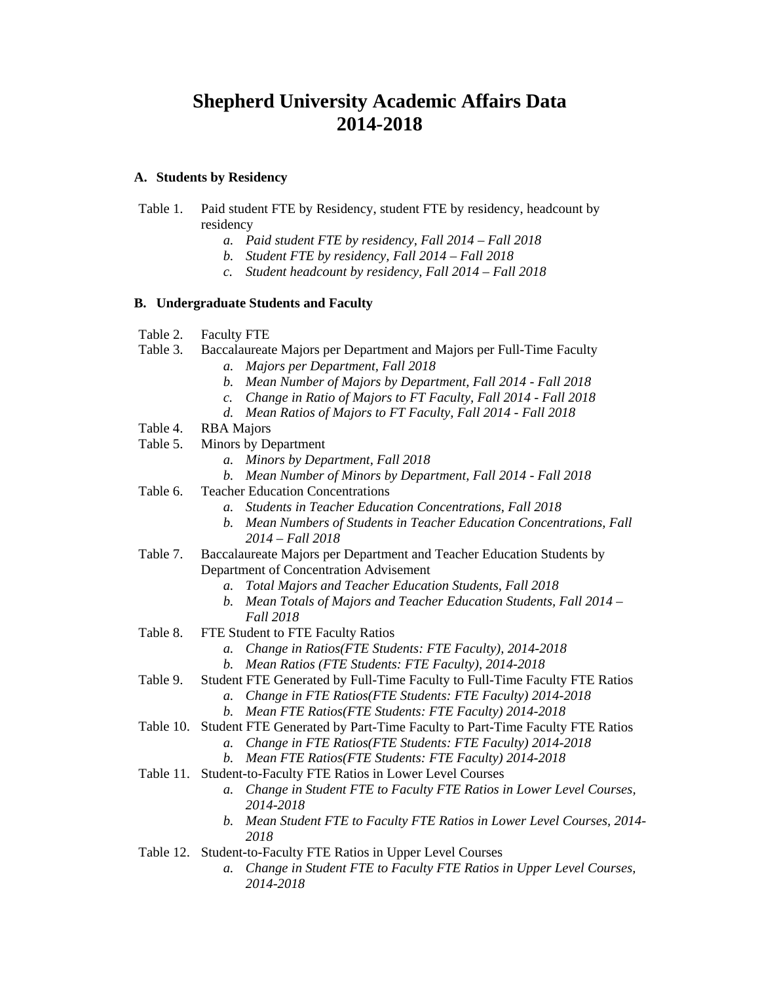# **Shepherd University Academic Affairs Data 2014-2018**

### **A. Students by Residency**

- Table 1. Paid student FTE by Residency, student FTE by residency, headcount by residency
	- *a. Paid student FTE by residency, Fall 2014 Fall 2018*
	- *b. Student FTE by residency, Fall 2014 Fall 2018*
	- *c. Student headcount by residency, Fall 2014 Fall 2018*

### **B. Undergraduate Students and Faculty**

- Table 2. Faculty FTE
- Table 3. Baccalaureate Majors per Department and Majors per Full-Time Faculty
	- *a. Majors per Department, Fall 2018*
	- *b. Mean Number of Majors by Department, Fall 2014 Fall 2018*
	- *c. Change in Ratio of Majors to FT Faculty, Fall 2014 Fall 2018*
	- *d. Mean Ratios of Majors to FT Faculty, Fall 2014 Fall 2018*
- Table 4. RBA Majors
- Table 5. Minors by Department
	- *a. Minors by Department, Fall 2018*
	- *b. Mean Number of Minors by Department, Fall 2014 Fall 2018*
- Table 6. Teacher Education Concentrations
	- *a. Students in Teacher Education Concentrations, Fall 2018*
	- *b. Mean Numbers of Students in Teacher Education Concentrations, Fall 2014 – Fall 2018*
- Table 7. Baccalaureate Majors per Department and Teacher Education Students by Department of Concentration Advisement
	- *a. Total Majors and Teacher Education Students, Fall 2018*
	- *b. Mean Totals of Majors and Teacher Education Students, Fall 2014 Fall 2018*
- Table 8. FTE Student to FTE Faculty Ratios
	- *a. Change in Ratios(FTE Students: FTE Faculty), 2014-2018*
	- *b. Mean Ratios (FTE Students: FTE Faculty), 2014-2018*
- Table 9. Student FTE Generated by Full-Time Faculty to Full-Time Faculty FTE Ratios
	- *a. Change in FTE Ratios(FTE Students: FTE Faculty) 2014-2018*
	- *b. Mean FTE Ratios(FTE Students: FTE Faculty) 2014-2018*
- Table 10. Student FTE Generated by Part-Time Faculty to Part-Time Faculty FTE Ratios
	- *a. Change in FTE Ratios(FTE Students: FTE Faculty) 2014-2018*
	- *b. Mean FTE Ratios(FTE Students: FTE Faculty) 2014-2018*
- Table 11. Student-to-Faculty FTE Ratios in Lower Level Courses
	- *a. Change in Student FTE to Faculty FTE Ratios in Lower Level Courses, 2014-2018*
	- *b. Mean Student FTE to Faculty FTE Ratios in Lower Level Courses, 2014- 2018*
- Table 12. Student-to-Faculty FTE Ratios in Upper Level Courses
	- *a. Change in Student FTE to Faculty FTE Ratios in Upper Level Courses, 2014-2018*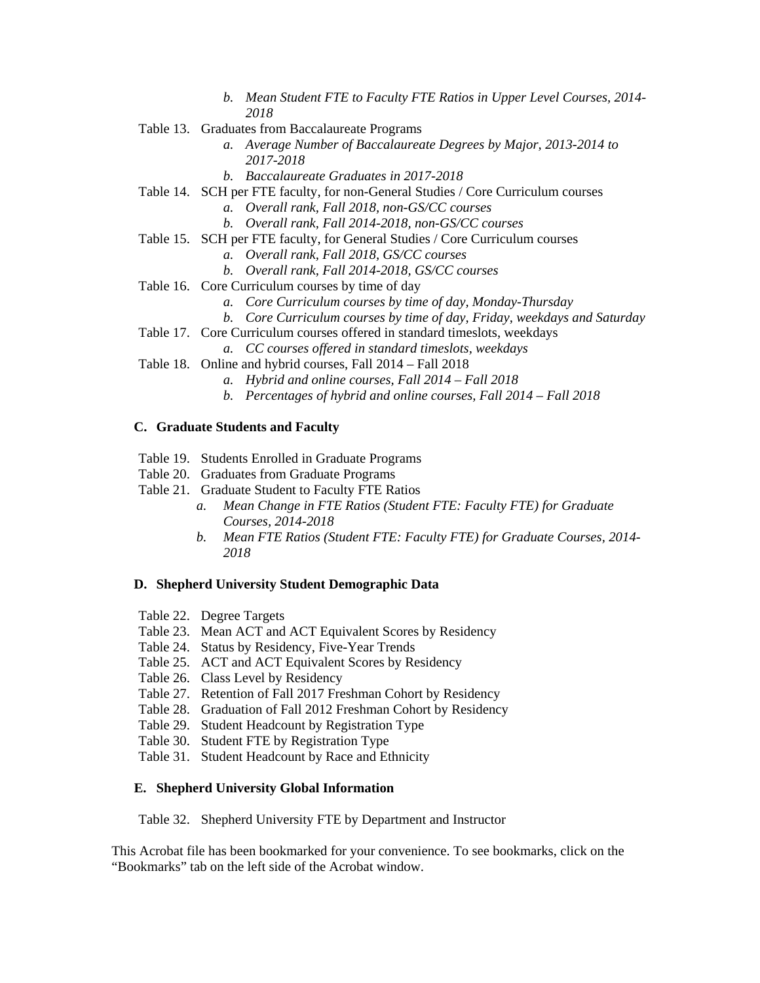- *b. Mean Student FTE to Faculty FTE Ratios in Upper Level Courses, 2014- 2018*
- Table 13. Graduates from Baccalaureate Programs
	- *a. Average Number of Baccalaureate Degrees by Major, 2013-2014 to 2017-2018*
	- *b. Baccalaureate Graduates in 2017-2018*
- Table 14. SCH per FTE faculty, for non-General Studies / Core Curriculum courses
	- *a. Overall rank, Fall 2018, non-GS/CC courses*
	- *b. Overall rank, Fall 2014-2018, non-GS/CC courses*
- Table 15. SCH per FTE faculty, for General Studies / Core Curriculum courses
	- *a. Overall rank, Fall 2018, GS/CC courses*
	- *b. Overall rank, Fall 2014-2018, GS/CC courses*
- Table 16. Core Curriculum courses by time of day
	- *a. Core Curriculum courses by time of day, Monday-Thursday*
	- *b. Core Curriculum courses by time of day, Friday, weekdays and Saturday*
- Table 17. Core Curriculum courses offered in standard timeslots, weekdays
	- *a. CC courses offered in standard timeslots, weekdays*
- Table 18. Online and hybrid courses, Fall 2014 Fall 2018
	- *a. Hybrid and online courses, Fall 2014 Fall 2018*
	- *b. Percentages of hybrid and online courses, Fall 2014 Fall 2018*

### **C. Graduate Students and Faculty**

- Table 19. Students Enrolled in Graduate Programs
- Table 20. Graduates from Graduate Programs
- Table 21. Graduate Student to Faculty FTE Ratios
	- *a. Mean Change in FTE Ratios (Student FTE: Faculty FTE) for Graduate Courses, 2014-2018*
	- *b. Mean FTE Ratios (Student FTE: Faculty FTE) for Graduate Courses, 2014- 2018*

### **D. Shepherd University Student Demographic Data**

- Table 22. Degree Targets
- Table 23. Mean ACT and ACT Equivalent Scores by Residency
- Table 24. Status by Residency, Five-Year Trends
- Table 25. ACT and ACT Equivalent Scores by Residency
- Table 26. Class Level by Residency
- Table 27. Retention of Fall 2017 Freshman Cohort by Residency
- Table 28. Graduation of Fall 2012 Freshman Cohort by Residency
- Table 29. Student Headcount by Registration Type
- Table 30. Student FTE by Registration Type
- Table 31. Student Headcount by Race and Ethnicity

### **E. Shepherd University Global Information**

Table 32. Shepherd University FTE by Department and Instructor

This Acrobat file has been bookmarked for your convenience. To see bookmarks, click on the "Bookmarks" tab on the left side of the Acrobat window.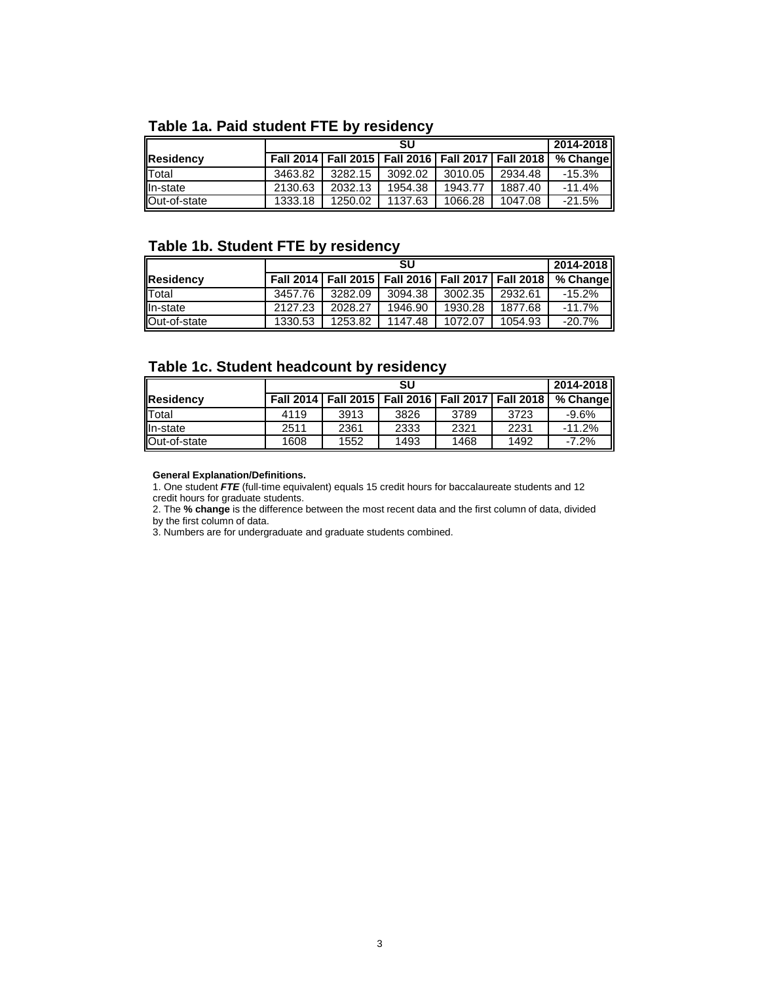# **Table 1a. Paid student FTE by residency**

|              |         |         | SU                                                        |         |         | 2014-2018 |
|--------------|---------|---------|-----------------------------------------------------------|---------|---------|-----------|
| Residency    |         |         | Fall 2014   Fall 2015   Fall 2016   Fall 2017   Fall 2018 |         |         | % Change  |
| Total        | 3463.82 | 3282.15 | 3092.02                                                   | 3010.05 | 2934.48 | -15.3%    |
| In-state     | 2130.63 | 2032.13 | 1954.38                                                   | 1943.77 | 1887.40 | $-11.4%$  |
| Out-of-state | 1333.18 | 1250.02 | 1137.63                                                   | 1066.28 | 1047.08 | $-21.5%$  |

## **Table 1b. Student FTE by residency**

|              |         |         | SU                                                        |         |         | 2014-2018 |
|--------------|---------|---------|-----------------------------------------------------------|---------|---------|-----------|
| Residency    |         |         | Fall 2014   Fall 2015   Fall 2016   Fall 2017   Fall 2018 |         |         | % Change  |
| Total        | 3457.76 | 3282.09 | 3094.38                                                   | 3002.35 | 2932.61 | -15.2%    |
| In-state     | 2127.23 | 2028.27 | 1946.90                                                   | 1930.28 | 1877.68 | $-11.7%$  |
| Out-of-state | 1330.53 | 1253.82 | 1147.48                                                   | 1072.07 | 1054.93 | $-20.7%$  |

## **Table 1c. Student headcount by residency**

|              |      |      | SU                                                        |      |      | 2014-2018 |
|--------------|------|------|-----------------------------------------------------------|------|------|-----------|
| Residency    |      |      | Fall 2014   Fall 2015   Fall 2016   Fall 2017   Fall 2018 |      |      | % Change  |
| Total        | 4119 | 3913 | 3826                                                      | 3789 | 3723 | $-9.6%$   |
| In-state     | 2511 | 2361 | 2333                                                      | 2321 | 2231 | $-11.2\%$ |
| Out-of-state | 1608 | 1552 | 1493                                                      | 1468 | 1492 | $-7.2%$   |

#### **General Explanation/Definitions.**

1. One student *FTE* (full-time equivalent) equals 15 credit hours for baccalaureate students and 12 credit hours for graduate students.

2. The **% change** is the difference between the most recent data and the first column of data, divided by the first column of data.

3. Numbers are for undergraduate and graduate students combined.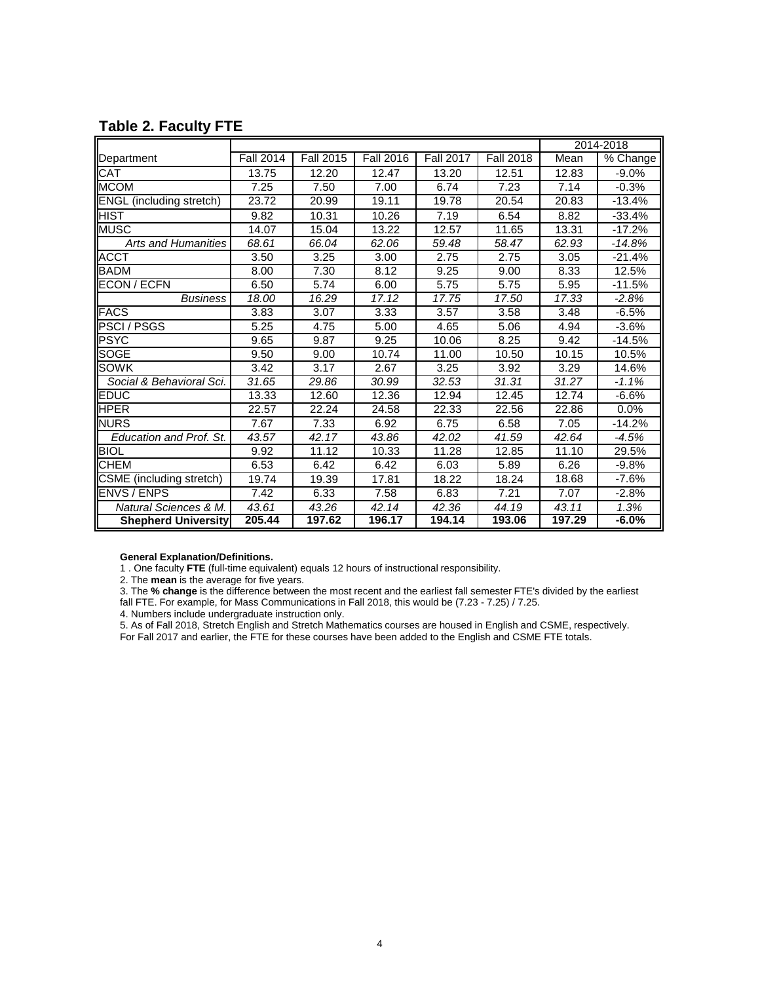|                                 |                  |                  |                  |                  | 2014-2018        |        |          |
|---------------------------------|------------------|------------------|------------------|------------------|------------------|--------|----------|
| Department                      | <b>Fall 2014</b> | <b>Fall 2015</b> | <b>Fall 2016</b> | <b>Fall 2017</b> | <b>Fall 2018</b> | Mean   | % Change |
| <b>CAT</b>                      | 13.75            | 12.20            | 12.47            | 13.20            | 12.51            | 12.83  | $-9.0%$  |
| <b>MCOM</b>                     | 7.25             | 7.50             | 7.00             | 6.74             | 7.23             | 7.14   | $-0.3%$  |
| <b>ENGL</b> (including stretch) | 23.72            | 20.99            | 19.11            | 19.78            | 20.54            | 20.83  | $-13.4%$ |
| <b>HIST</b>                     | 9.82             | 10.31            | 10.26            | 7.19             | 6.54             | 8.82   | $-33.4%$ |
| <b>MUSC</b>                     | 14.07            | 15.04            | 13.22            | 12.57            | 11.65            | 13.31  | $-17.2%$ |
| <b>Arts and Humanities</b>      | 68.61            | 66.04            | 62.06            | 59.48            | 58.47            | 62.93  | $-14.8%$ |
| <b>ACCT</b>                     | 3.50             | 3.25             | 3.00             | 2.75             | 2.75             | 3.05   | $-21.4%$ |
| <b>BADM</b>                     | 8.00             | 7.30             | 8.12             | 9.25             | 9.00             | 8.33   | 12.5%    |
| <b>ECON / ECFN</b>              | 6.50             | 5.74             | 6.00             | 5.75             | 5.75             | 5.95   | $-11.5%$ |
| <b>Business</b>                 | 18.00            | 16.29            | 17.12            | 17.75            | 17.50            | 17.33  | $-2.8%$  |
| <b>FACS</b>                     | 3.83             | 3.07             | 3.33             | 3.57             | 3.58             | 3.48   | $-6.5%$  |
| <b>PSCI/PSGS</b>                | 5.25             | 4.75             | 5.00             | 4.65             | 5.06             | 4.94   | $-3.6%$  |
| <b>PSYC</b>                     | 9.65             | 9.87             | 9.25             | 10.06            | 8.25             | 9.42   | $-14.5%$ |
| <b>SOGE</b>                     | 9.50             | 9.00             | 10.74            | 11.00            | 10.50            | 10.15  | 10.5%    |
| <b>SOWK</b>                     | 3.42             | 3.17             | 2.67             | 3.25             | 3.92             | 3.29   | 14.6%    |
| Social & Behavioral Sci.        | 31.65            | 29.86            | 30.99            | 32.53            | 31.31            | 31.27  | $-1.1%$  |
| <b>EDUC</b>                     | 13.33            | 12.60            | 12.36            | 12.94            | 12.45            | 12.74  | $-6.6%$  |
| <b>HPER</b>                     | 22.57            | 22.24            | 24.58            | 22.33            | 22.56            | 22.86  | 0.0%     |
| <b>NURS</b>                     | 7.67             | 7.33             | 6.92             | 6.75             | 6.58             | 7.05   | $-14.2%$ |
| Education and Prof. St.         | 43.57            | 42.17            | 43.86            | 42.02            | 41.59            | 42.64  | $-4.5%$  |
| <b>BIOL</b>                     | 9.92             | 11.12            | 10.33            | 11.28            | 12.85            | 11.10  | 29.5%    |
| <b>CHEM</b>                     | 6.53             | 6.42             | 6.42             | 6.03             | 5.89             | 6.26   | $-9.8%$  |
| CSME (including stretch)        | 19.74            | 19.39            | 17.81            | 18.22            | 18.24            | 18.68  | $-7.6%$  |
| <b>ENVS / ENPS</b>              | 7.42             | 6.33             | 7.58             | 6.83             | 7.21             | 7.07   | $-2.8%$  |
| Natural Sciences & M.           | 43.61            | 43.26            | 42.14            | 42.36            | 44.19            | 43.11  | 1.3%     |
| <b>Shepherd University</b>      | 205.44           | 197.62           | 196.17           | 194.14           | 193.06           | 197.29 | $-6.0%$  |

# **Table 2. Faculty FTE**

#### **General Explanation/Definitions.**

1 . One faculty **FTE** (full-time equivalent) equals 12 hours of instructional responsibility.

2. The **mean** is the average for five years.

3. The **% change** is the difference between the most recent and the earliest fall semester FTE's divided by the earliest fall FTE. For example, for Mass Communications in Fall 2018, this would be (7.23 - 7.25) / 7.25.

4. Numbers include undergraduate instruction only.

5. As of Fall 2018, Stretch English and Stretch Mathematics courses are housed in English and CSME, respectively.

For Fall 2017 and earlier, the FTE for these courses have been added to the English and CSME FTE totals.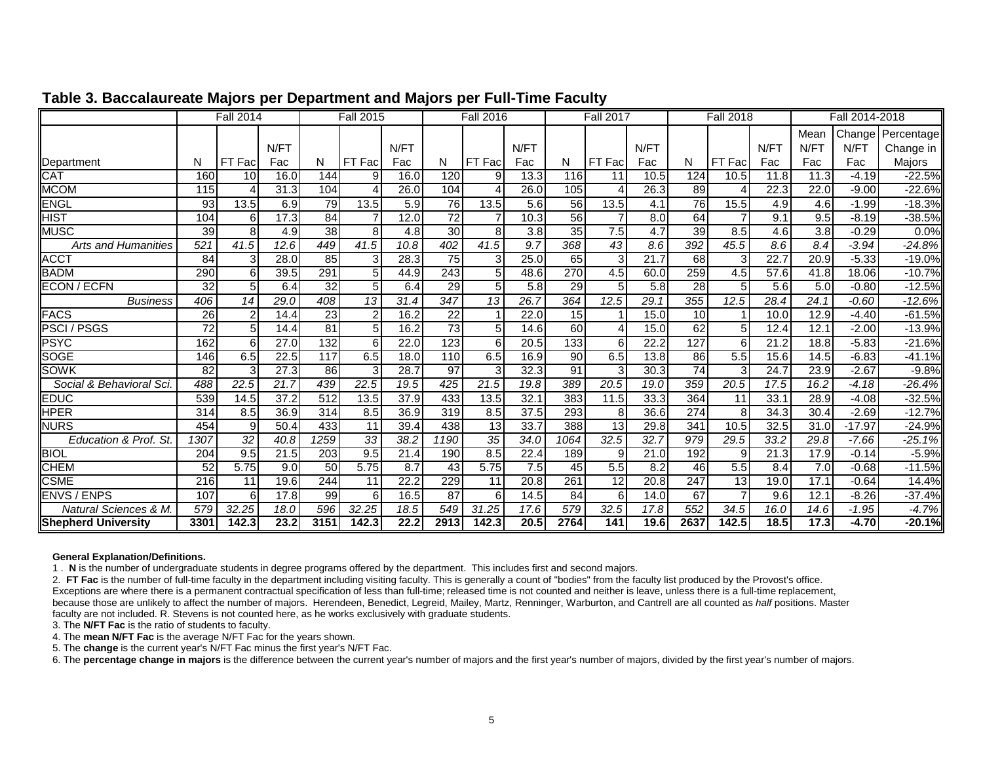|                                 | <b>Fall 2014</b> |                  |      | <b>Fall 2015</b> |                 |      | <b>Fall 2016</b> |                 |      | <b>Fall 2017</b> |                 |                  | <b>Fall 2018</b> |                |      | Fall 2014-2018   |          |            |
|---------------------------------|------------------|------------------|------|------------------|-----------------|------|------------------|-----------------|------|------------------|-----------------|------------------|------------------|----------------|------|------------------|----------|------------|
|                                 |                  |                  |      |                  |                 |      |                  |                 |      |                  |                 |                  |                  |                |      | Mean             | Change   | Percentage |
|                                 |                  |                  | N/FT |                  |                 | N/FT |                  |                 | N/FT |                  |                 | N/FT             |                  |                | N/FT | N/FT             | N/FT     | Change in  |
| Department                      | N                | Fac<br><b>FT</b> | Fac  | N                | FT Fac          | Fac  | N                | FT Fac          | Fac  | N                | FT Fac          | Fac              | N                | FT Fac         | Fac  | Fac              | Fac      | Majors     |
| CAT                             | 160              | 10               | 16.0 | 144              | q               | 16.0 | 120              | 9               | 13.3 | 116              | 11              | 10.5             | 124              | 10.5           | 11.8 | 11.3             | $-4.19$  | $-22.5%$   |
| <b>MCOM</b>                     | 115              |                  | 31.3 | 104              |                 | 26.0 | 104              |                 | 26.0 | 105              |                 | 26.3             | 89               |                | 22.3 | 22.0             | $-9.00$  | $-22.6%$   |
| <b>ENGL</b>                     | 93               | 13.5             | 6.9  | 79               | 13.5            | 5.9  | $\overline{76}$  | 13.5            | 5.6  | 56               | 13.5            | 4.1              | 76               | 15.5           | 4.9  | 4.6              | $-1.99$  | $-18.3%$   |
| $\overline{\text{HST}}$         | 104              | 6                | 17.3 | 84               |                 | 12.0 | 72               |                 | 10.3 | 56               | $\overline{7}$  | 8.0 <sub>l</sub> | 64               |                | 9.1  | 9.5              | $-8.19$  | $-38.5%$   |
| MUSC                            | 39               | 8                | 4.9  | 38               | 8               | 4.8  | 30               | 8               | 3.8  | 35               | 7.5             | 4.7              | 39               | 8.5            | 4.6  | $\overline{3.8}$ | $-0.29$  | 0.0%       |
| <b>Arts and Humanities</b>      | 521              | 41.5             | 12.6 | 449              | 41.5            | 10.8 | 402              | 41.5            | 9.7  | 368              | 43              | 8.6              | 392              | 45.5           | 8.6  | 8.4              | $-3.94$  | $-24.8%$   |
| ACC <sub>1</sub>                | 84               | 3                | 28.0 | 85               | 3               | 28.3 | 75               | 3               | 25.0 | 65               | 3               | 21.7             | 68               | 3              | 22.7 | 20.9             | $-5.33$  | $-19.0%$   |
| <b>BADM</b>                     | 290              | 6                | 39.5 | 291              |                 | 44.9 | 243              | 5               | 48.6 | 270              | 4.5             | 60.0             | 259              | 4.5            | 57.6 | 41.8             | 18.06    | $-10.7%$   |
| ECON / ECFN                     | $\overline{32}$  | 5                | 6.4  | 32               |                 | 6.4  | 29               | $5 \,$          | 5.8  | 29               | 5               | 5.8              | $\overline{28}$  | 5              | 5.6  | 5.0              | $-0.80$  | $-12.5%$   |
| <b>Business</b>                 | 406              | 14               | 29.0 | 408              | 13              | 31.4 | $\overline{347}$ | 13              | 26.7 | 364              | 12.5            | 29.1             | 355              | 12.5           | 28.4 | 24.1             | $-0.60$  | $-12.6%$   |
| <b>FACS</b>                     | $\overline{26}$  | $\overline{2}$   | 14.4 | 23               | $\mathfrak{p}$  | 16.2 | $\overline{22}$  |                 | 22.0 | 15               |                 | 15.0             | 10 <sup>1</sup>  |                | 10.0 | 12.9             | $-4.40$  | $-61.5%$   |
| <b>PSCI/PSGS</b>                | $\overline{72}$  | 5                | 14.4 | 81               | 5               | 16.2 | 73               | 5 <sub>l</sub>  | 14.6 | 60               | 4               | 15.0             | 62               | 5              | 12.4 | 12.1             | $-2.00$  | $-13.9%$   |
| PSYC                            | 162              | 6                | 27.0 | 132              |                 | 22.0 | 123              | 6               | 20.5 | 133              | 6               | 22.2             | 127              | 6              | 21.2 | 18.8             | $-5.83$  | $-21.6%$   |
| <b>SOGE</b>                     | 146              | 6.5              | 22.5 | 117              | 6.5             | 18.0 | 110              | 6.5             | 16.9 | 90               | 6.5             | 13.8             | 86               | 5.5            | 15.6 | 14.5             | $-6.83$  | $-41.1%$   |
| SOWK                            | 82               | 3                | 27.3 | 86               |                 | 28.7 | 97               | 3               | 32.3 | 91               | 3               | 30.3             | 74               | 3              | 24.7 | 23.9             | $-2.67$  | $-9.8%$    |
| Social & Behavioral Sci         | 488              | 22.5             | 21.7 | 439              | 22.5            | 19.5 | 425              | 21.5            | 19.8 | 389              | 20.5            | 19.0             | 359              | 20.5           | 17.5 | 16.2             | $-4.18$  | $-26.4%$   |
| EDUC                            | 539              | 14.5             | 37.2 | 512              | 13.5            | 37.9 | 433              | 13.5            | 32.1 | 383              | 11.5            | 33.3             | 364              | 11             | 33.1 | 28.9             | $-4.08$  | $-32.5%$   |
| HPER                            | 314              | 8.5              | 36.9 | 314              | 8.5             | 36.9 | 319              | 8.5             | 37.5 | 293              | 8               | 36.6             | 274              | 8              | 34.3 | 30.4             | $-2.69$  | $-12.7%$   |
| <b>NURS</b>                     | 454              | 9                | 50.4 | 433              | 11              | 39.4 | 438              | 13              | 33.7 | 388              | 13              | 29.8             | 341              | 10.5           | 32.5 | 31.0             | $-17.97$ | $-24.9%$   |
| Education & Prof. St            | 1307             | $\overline{32}$  | 40.8 | 1259             | $\overline{33}$ | 38.2 | 1190             | $\overline{35}$ | 34.0 | 1064             | 32.5            | 32.7             | 979              | 29.5           | 33.2 | 29.8             | $-7.66$  | $-25.1%$   |
| <b>BIOL</b>                     | 204              | 9.5              | 21.5 | 203              | 9.5             | 21.4 | 190              | 8.5             | 22.4 | 189              | 9               | 21.0             | 192              | 9              | 21.3 | 17.9             | $-0.14$  | $-5.9%$    |
| CHEM                            | 52               | 5.75             | 9.0  | 50               | 5.75            | 8.7  | 43               | 5.75            | 7.5  | 45               | 5.5             | 8.2              | 46               | 5.5            | 8.4  | 7.0              | $-0.68$  | $-11.5%$   |
| <b>CSME</b>                     | 216              | 11               | 19.6 | 244              | 11              | 22.2 | 229              | 11              | 20.8 | 261              | $\overline{12}$ | 20.8             | 247              | 13             | 19.0 | 17.1             | $-0.64$  | 14.4%      |
| <b>ENVS / ENPS</b>              | 107              | 6                | 17.8 | 99               | 6               | 16.5 | 87               | 6               | 14.5 | $\overline{84}$  | 6               | 14.0             | 67               | $\overline{7}$ | 9.6  | 12.1             | $-8.26$  | $-37.4%$   |
| <b>Natural Sciences &amp; M</b> | 579              | 32.25            | 18.0 | 596              | 32.25           | 18.5 | 549              | 31.25           | 17.6 | 579              | 32.5            | 17.8             | 552              | 34.5           | 16.0 | 14.6             | $-1.95$  | $-4.7%$    |
| <b>Shepherd University</b>      | 3301             | 142.3            | 23.2 | 3151             | 142.3           | 22.2 | 2913             | 142.3           | 20.5 | 2764             | 141             | 19.6             | 2637             | 142.5          | 18.5 | 17.3             | $-4.70$  | $-20.1%$   |

## **Table 3. Baccalaureate Majors per Department and Majors per Full-Time Facult y**

#### **General Explanation/Definitions.**

1 . **N** is the number of undergraduate students in degree programs offered by the department. This includes first and second majors.

2. **FT Fac** is the number of full-time faculty in the department including visiting faculty. This is generally a count of "bodies" from the faculty list produced by the Provost's office. Exceptions are where there is a permanent contractual specification of less than full-time; released time is not counted and neither is leave, unless there is a full-time replacement, because those are unlikely to affect the number of majors. Herendeen, Benedict, Legreid, Mailey, Martz, Renninger, Warburton, and Cantrell are all counted as *half* positions. Master faculty are not included. R. Stevens is not counted here, as he works exclusively with graduate students.

3. The **N/FT Fac** is the ratio of students to faculty.

4. The **mean N/FT Fac** is the average N/FT Fac for the years shown.

5. The **change** is the current year's N/FT Fac minus the first year's N/FT Fac.

6. The **percentage change in majors** is the difference between the current year's number of majors and the first year's number of majors, divided by the first year's number of majors.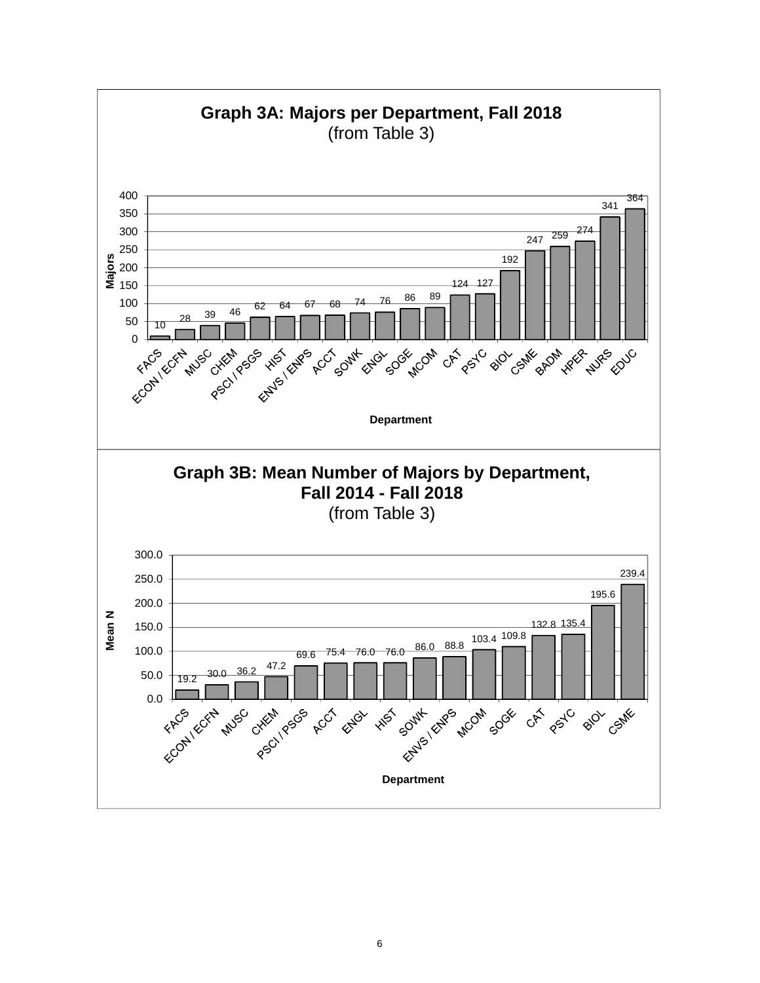

6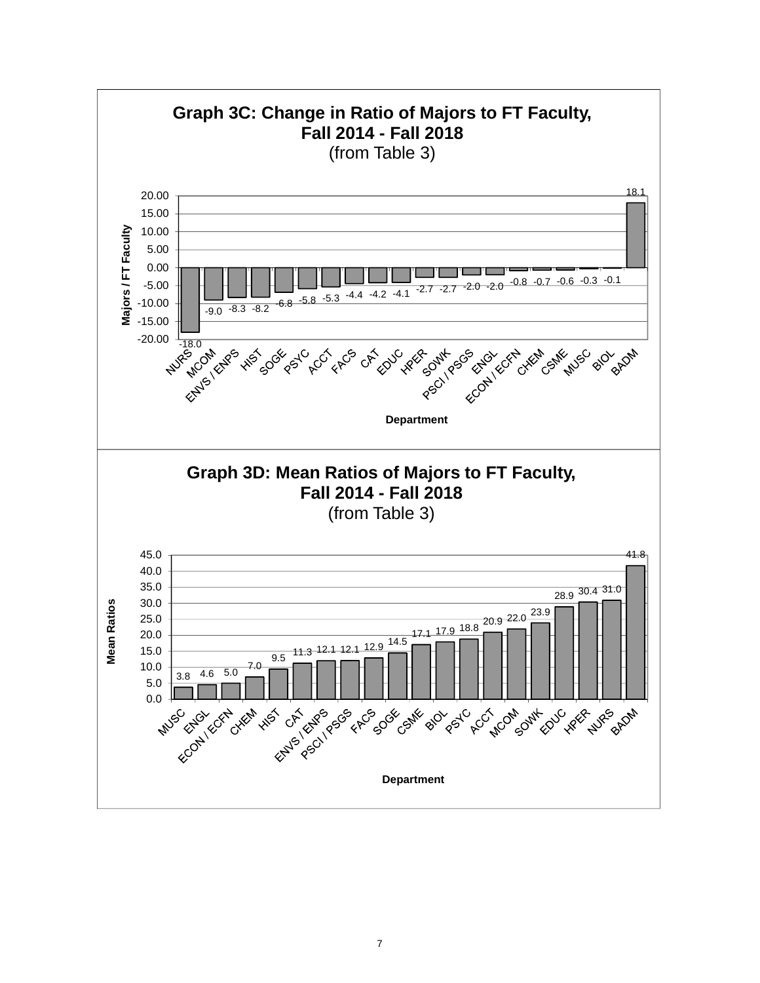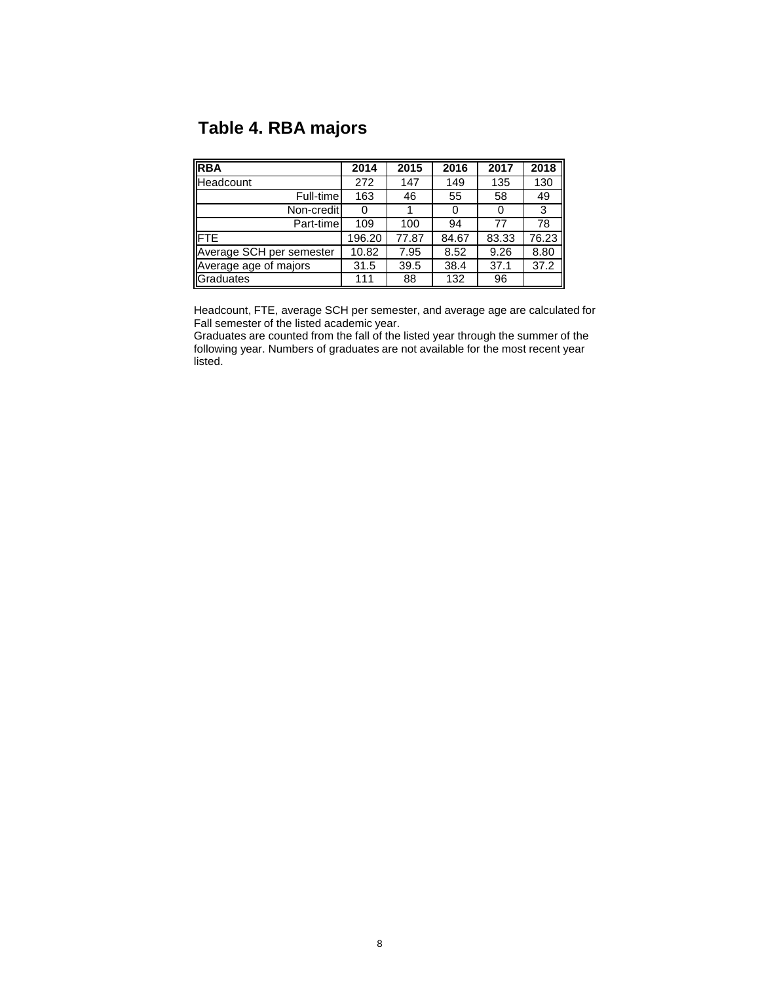# **Table 4. RBA majors**

| <b>RBA</b>               | 2014   | 2015  | 2016  | 2017  | 2018  |
|--------------------------|--------|-------|-------|-------|-------|
| Headcount                | 272    | 147   | 149   | 135   | 130   |
| Full-time                | 163    | 46    | 55    | 58    | 49    |
| Non-credit               | 0      |       | 0     |       | 3     |
| Part-time                | 109    | 100   | 94    | 77    | 78    |
| <b>IFTE</b>              | 196.20 | 77.87 | 84.67 | 83.33 | 76.23 |
| Average SCH per semester | 10.82  | 7.95  | 8.52  | 9.26  | 8.80  |
| Average age of majors    | 31.5   | 39.5  | 38.4  | 37.1  | 37.2  |
| Graduates                | 111    | 88    | 132   | 96    |       |

Headcount, FTE, average SCH per semester, and average age are calculated for Fall semester of the listed academic year.

Graduates are counted from the fall of the listed year through the summer of the following year. Numbers of graduates are not available for the most recent year listed.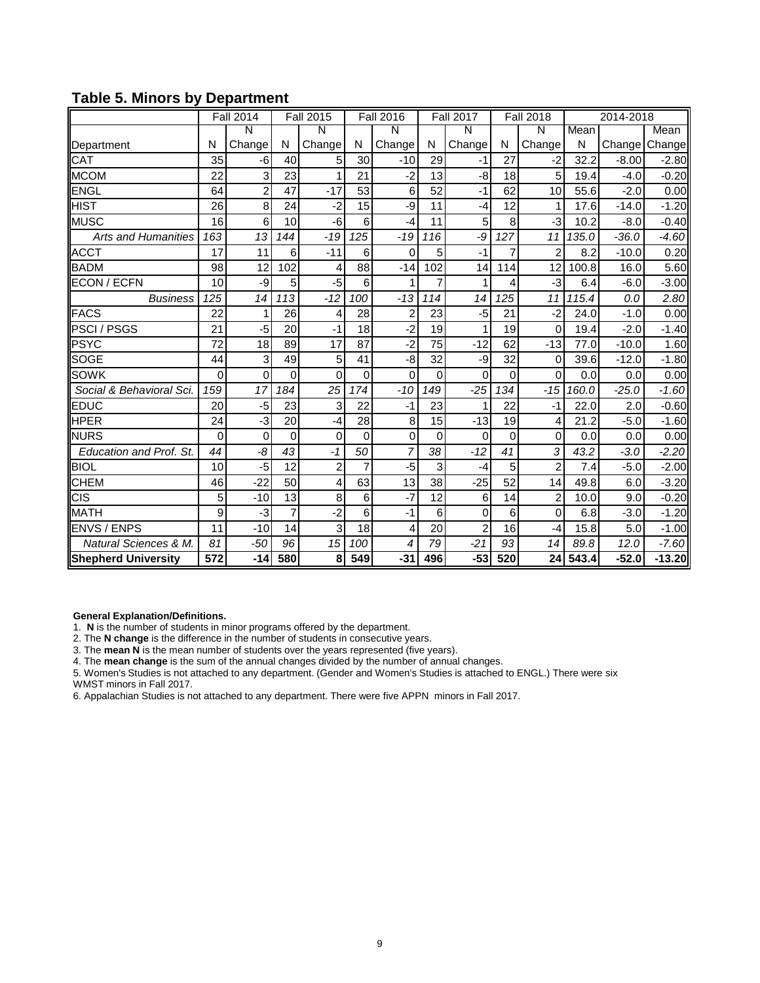|                            |                  | Fall 2014      |                | <b>Fall 2015</b> |          | <b>Fall 2016</b> |                | <b>Fall 2017</b> |          | <b>Fall 2018</b> |       | 2014-2018 |          |
|----------------------------|------------------|----------------|----------------|------------------|----------|------------------|----------------|------------------|----------|------------------|-------|-----------|----------|
|                            |                  | N              |                | N                |          | N                |                | Ñ                |          | Ñ                | Mean  |           | Mean     |
| Department                 | N                | Change         | N              | Change           | N        | Change           | N              | Change           | N        | Change           | N     | Change    | Change   |
| CAT                        | 35               | -6             | 40             | 5                | 30       | $-10$            | 29             | $-1$             | 27       | $-2$             | 32.2  | $-8.00$   | $-2.80$  |
| <b>MCOM</b>                | 22               | 3              | 23             | 1                | 21       | $-2$             | 13             | -8               | 18       | 5                | 19.4  | $-4.0$    | $-0.20$  |
| <b>ENGL</b>                | 64               | $\overline{2}$ | 47             | $-17$            | 53       | 6                | 52             | $-1$             | 62       | 10               | 55.6  | $-2.0$    | 0.00     |
| <b>HIST</b>                | 26               | 8              | 24             | $-2$             | 15       | -9               | 11             | $-4$             | 12       | 1                | 17.6  | $-14.0$   | $-1.20$  |
| <b>MUSC</b>                | 16               | 6              | 10             | -6               | 6        | $-4$             | 11             | 5                | 8        | $-3$             | 10.2  | $-8.0$    | $-0.40$  |
| <b>Arts and Humanities</b> | 163              | 13             | 144            | $-19$            | 125      | $-19$            | 116            | -9               | 127      | 11               | 135.0 | $-36.0$   | $-4.60$  |
| <b>ACCT</b>                | 17               | 11             | 6              | $-11$            | 6        | 0                | 5              | $-1$             | 7        | $\overline{2}$   | 8.2   | $-10.0$   | 0.20     |
| <b>BADM</b>                | 98               | 12             | 102            | 4                | 88       | $-14$            | 102            | 14               | 114      | 12               | 100.8 | 16.0      | 5.60     |
| <b>ECON / ECFN</b>         | 10               | -9             | 5              | $-5$             | 6        | 1                | $\overline{7}$ | 1                | 4        | $-3$             | 6.4   | $-6.0$    | $-3.00$  |
| <b>Business</b>            | 125              | 14             | 113            | $-12$            | 100      | $-13$            | 114            | 14               | 125      | 11               | 115.4 | 0.0       | 2.80     |
| <b>FACS</b>                | 22               | 1              | 26             | 4                | 28       | $\overline{2}$   | 23             | $-5$             | 21       | $-2$             | 24.0  | $-1.0$    | 0.00     |
| <b>PSCI/PSGS</b>           | 21               | -5             | 20             | $-1$             | 18       | $-2$             | 19             | 1                | 19       | 0                | 19.4  | $-2.0$    | $-1.40$  |
| <b>PSYC</b>                | 72               | 18             | 89             | 17               | 87       | $-2$             | 75             | $-12$            | 62       | $-13$            | 77.0  | $-10.0$   | 1.60     |
| <b>SOGE</b>                | 44               | 3              | 49             | 5                | 41       | -8               | 32             | -9               | 32       | 0                | 39.6  | $-12.0$   | $-1.80$  |
| <b>SOWK</b>                | $\Omega$         | $\Omega$       | $\Omega$       | $\mathbf{0}$     | $\Omega$ | $\Omega$         | $\mathbf{0}$   | $\Omega$         | $\Omega$ | $\Omega$         | 0.0   | 0.0       | 0.00     |
| Social & Behavioral Sci.   | 159              | 17             | 184            | 25               | 174      | $-10$            | 149            | $-25$            | 134      | $-15$            | 160.0 | $-25.0$   | $-1.60$  |
| <b>EDUC</b>                | 20               | -5             | 23             | 3                | 22       | $-1$             | 23             | 1                | 22       | $-1$             | 22.0  | 2.0       | $-0.60$  |
| <b>HPER</b>                | 24               | -3             | 20             | $-4$             | 28       | 8                | 15             | $-13$            | 19       | 4                | 21.2  | $-5.0$    | $-1.60$  |
| <b>NURS</b>                | 0                | 0              | $\Omega$       | $\mathbf 0$      | $\Omega$ | 0                | 0              | 0                | $\Omega$ | 0                | 0.0   | 0.0       | 0.00     |
| Education and Prof. St.    | 44               | -8             | 43             | $-1$             | 50       | 7                | 38             | $-12$            | 41       | 3                | 43.2  | $-3.0$    | $-2.20$  |
| <b>BIOL</b>                | 10               | -5             | 12             | $\mathbf 2$      | 7        | $-5$             | 3              | $-4$             | 5        | $\overline{2}$   | 7.4   | $-5.0$    | $-2.00$  |
| <b>CHEM</b>                | 46               | $-22$          | 50             | 4                | 63       | 13               | 38             | $-25$            | 52       | 14               | 49.8  | 6.0       | $-3.20$  |
| <b>CIS</b>                 | 5                | $-10$          | 13             | 8                | 6        | $-7$             | 12             | 6                | 14       | $\overline{2}$   | 10.0  | 9.0       | $-0.20$  |
| <b>MATH</b>                | 9                | $-3$           | $\overline{7}$ | $-2$             | 6        | $-1$             | 6              | 0                | 6        | $\mathbf{0}$     | 6.8   | $-3.0$    | $-1.20$  |
| <b>ENVS / ENPS</b>         | 11               | $-10$          | 14             | 3                | 18       | 4                | 20             | $\overline{2}$   | 16       | $-4$             | 15.8  | 5.0       | $-1.00$  |
| Natural Sciences & M.      | 81               | $-50$          | 96             | 15               | 100      | 4                | 79             | $-21$            | 93       | 14               | 89.8  | 12.0      | $-7.60$  |
| <b>Shepherd University</b> | $\overline{572}$ | $-14$          | 580            | 8                | 549      | $-31$            | 496            | $-53$            | 520      | 24               | 543.4 | $-52.0$   | $-13.20$ |

## **Table 5. Minors by Department**

**General Explanation/Definitions.**

1. **N** is the number of students in minor programs offered by the department.

2. The **N change** is the difference in the number of students in consecutive years.

3. The **mean N** is the mean number of students over the years represented (five years).

4. The **mean change** is the sum of the annual changes divided by the number of annual changes.

5. Women's Studies is not attached to any department. (Gender and Women's Studies is attached to ENGL.) There were six WMST minors in Fall 2017.

6. Appalachian Studies is not attached to any department. There were five APPN minors in Fall 2017.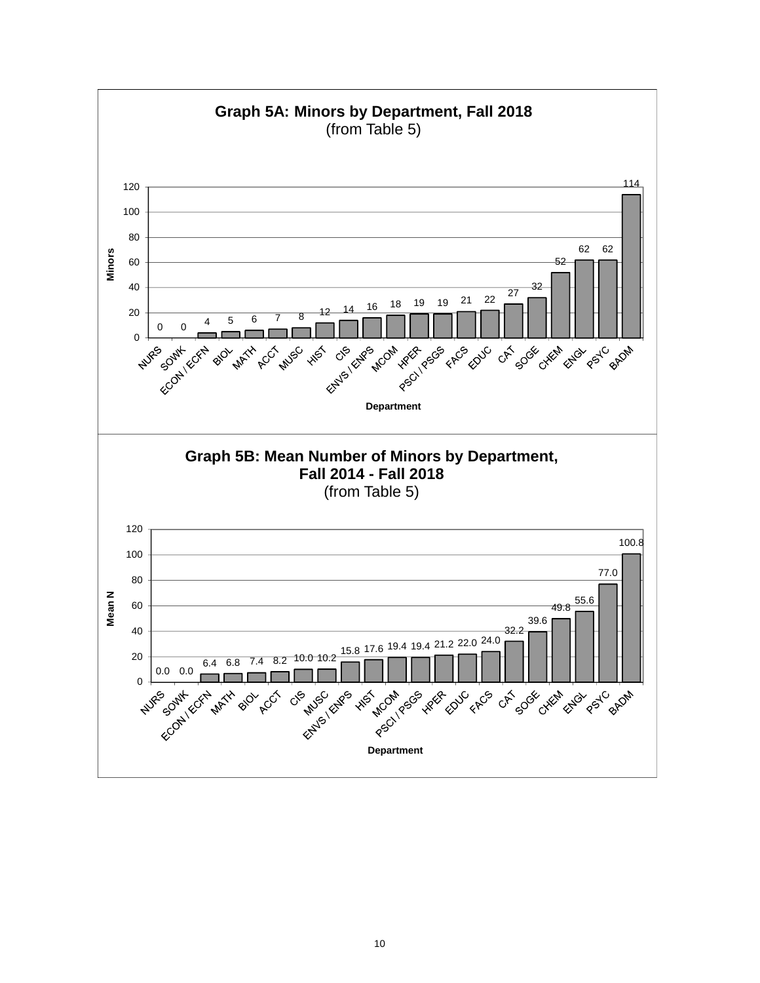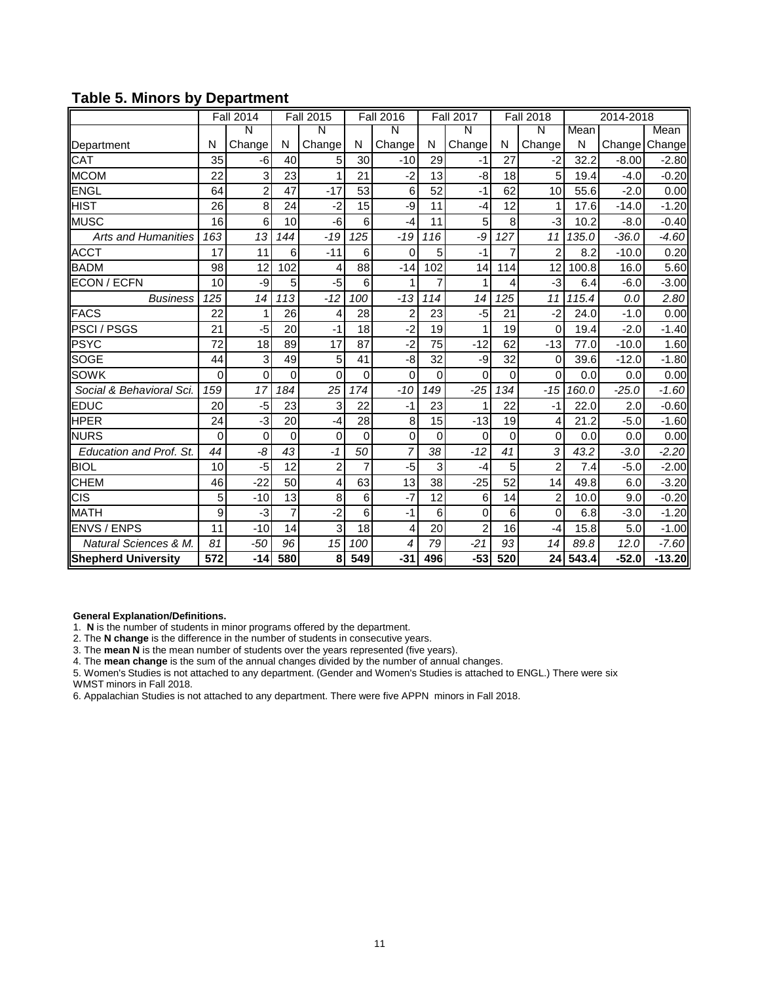|                            |                  | Fall 2014      |                | <b>Fall 2015</b> |          | <b>Fall 2016</b> |                | <b>Fall 2017</b> |          | <b>Fall 2018</b> |       | 2014-2018 |          |
|----------------------------|------------------|----------------|----------------|------------------|----------|------------------|----------------|------------------|----------|------------------|-------|-----------|----------|
|                            |                  | N              |                | N                |          | N                |                | N                |          | N                | Mean  |           | Mean     |
| Department                 | N                | Change         | N              | Change           | N        | Change           | N              | Change           | N        | Change           | N     | Change    | Change   |
| CAT                        | 35               | -6             | 40             | 5                | 30       | $-10$            | 29             | $-1$             | 27       | $-2$             | 32.2  | $-8.00$   | $-2.80$  |
| <b>MCOM</b>                | 22               | 3              | 23             | 1                | 21       | $-2$             | 13             | -8               | 18       | 5                | 19.4  | $-4.0$    | $-0.20$  |
| <b>ENGL</b>                | 64               | $\overline{2}$ | 47             | $-17$            | 53       | 6                | 52             | $-1$             | 62       | 10               | 55.6  | $-2.0$    | 0.00     |
| <b>HIST</b>                | 26               | 8              | 24             | $-2$             | 15       | -9               | 11             | $-4$             | 12       | 1                | 17.6  | $-14.0$   | $-1.20$  |
| <b>MUSC</b>                | 16               | 6              | 10             | -6               | 6        | $-4$             | 11             | 5                | 8        | $-3$             | 10.2  | $-8.0$    | $-0.40$  |
| <b>Arts and Humanities</b> | 163              | 13             | 144            | $-19$            | 125      | $-19$            | 116            | -9               | 127      | 11               | 135.0 | $-36.0$   | $-4.60$  |
| <b>ACCT</b>                | 17               | 11             | 6              | $-11$            | 6        | 0                | 5              | $-1$             | 7        | $\overline{2}$   | 8.2   | $-10.0$   | 0.20     |
| <b>BADM</b>                | 98               | 12             | 102            | 4                | 88       | $-14$            | 102            | 14               | 114      | 12               | 100.8 | 16.0      | 5.60     |
| <b>ECON / ECFN</b>         | 10               | -9             | 5              | $-5$             | 6        | 1                | $\overline{7}$ | 1                | 4        | $-3$             | 6.4   | $-6.0$    | $-3.00$  |
| <b>Business</b>            | 125              | 14             | 113            | $-12$            | 100      | $-13$            | 114            | 14               | 125      | 11               | 115.4 | 0.0       | 2.80     |
| <b>FACS</b>                | 22               | 1              | 26             | 4                | 28       | $\overline{2}$   | 23             | $-5$             | 21       | $-2$             | 24.0  | $-1.0$    | 0.00     |
| <b>PSCI/PSGS</b>           | 21               | -5             | 20             | $-1$             | 18       | $-2$             | 19             | 1                | 19       | 0                | 19.4  | $-2.0$    | $-1.40$  |
| <b>PSYC</b>                | 72               | 18             | 89             | 17               | 87       | $-2$             | 75             | $-12$            | 62       | $-13$            | 77.0  | $-10.0$   | 1.60     |
| <b>SOGE</b>                | 44               | 3              | 49             | 5                | 41       | -8               | 32             | -9               | 32       | 0                | 39.6  | $-12.0$   | $-1.80$  |
| <b>SOWK</b>                | $\Omega$         | $\Omega$       | $\Omega$       | $\mathbf{0}$     | $\Omega$ | $\Omega$         | $\mathbf{0}$   | $\Omega$         | $\Omega$ | $\Omega$         | 0.0   | 0.0       | 0.00     |
| Social & Behavioral Sci.   | 159              | 17             | 184            | 25               | 174      | $-10$            | 149            | $-25$            | 134      | $-15$            | 160.0 | $-25.0$   | $-1.60$  |
| <b>EDUC</b>                | 20               | -5             | 23             | 3                | 22       | $-1$             | 23             | 1                | 22       | $-1$             | 22.0  | 2.0       | $-0.60$  |
| <b>HPER</b>                | 24               | -3             | 20             | $-4$             | 28       | 8                | 15             | $-13$            | 19       | 4                | 21.2  | $-5.0$    | $-1.60$  |
| <b>NURS</b>                | 0                | 0              | $\Omega$       | $\mathbf 0$      | $\Omega$ | 0                | 0              | 0                | $\Omega$ | 0                | 0.0   | 0.0       | 0.00     |
| Education and Prof. St.    | 44               | -8             | 43             | $-1$             | 50       | 7                | 38             | $-12$            | 41       | 3                | 43.2  | $-3.0$    | $-2.20$  |
| <b>BIOL</b>                | 10               | -5             | 12             | $\mathbf 2$      | 7        | $-5$             | 3              | $-4$             | 5        | $\overline{2}$   | 7.4   | $-5.0$    | $-2.00$  |
| <b>CHEM</b>                | 46               | $-22$          | 50             | 4                | 63       | 13               | 38             | $-25$            | 52       | 14               | 49.8  | 6.0       | $-3.20$  |
| <b>CIS</b>                 | 5                | $-10$          | 13             | 8                | 6        | $-7$             | 12             | 6                | 14       | $\overline{2}$   | 10.0  | 9.0       | $-0.20$  |
| <b>MATH</b>                | 9                | $-3$           | $\overline{7}$ | $-2$             | 6        | $-1$             | 6              | 0                | 6        | $\mathbf{0}$     | 6.8   | $-3.0$    | $-1.20$  |
| <b>ENVS / ENPS</b>         | 11               | $-10$          | 14             | 3                | 18       | 4                | 20             | $\overline{2}$   | 16       | $-4$             | 15.8  | 5.0       | $-1.00$  |
| Natural Sciences & M.      | 81               | $-50$          | 96             | 15               | 100      | 4                | 79             | $-21$            | 93       | 14               | 89.8  | 12.0      | $-7.60$  |
| <b>Shepherd University</b> | $\overline{572}$ | $-14$          | 580            | 8                | 549      | $-31$            | 496            | $-53$            | 520      | 24               | 543.4 | $-52.0$   | $-13.20$ |

## **Table 5. Minors by Department**

**General Explanation/Definitions.**

1. **N** is the number of students in minor programs offered by the department.

2. The **N change** is the difference in the number of students in consecutive years.

3. The **mean N** is the mean number of students over the years represented (five years).

4. The **mean change** is the sum of the annual changes divided by the number of annual changes.

5. Women's Studies is not attached to any department. (Gender and Women's Studies is attached to ENGL.) There were six WMST minors in Fall 2018.

6. Appalachian Studies is not attached to any department. There were five APPN minors in Fall 2018.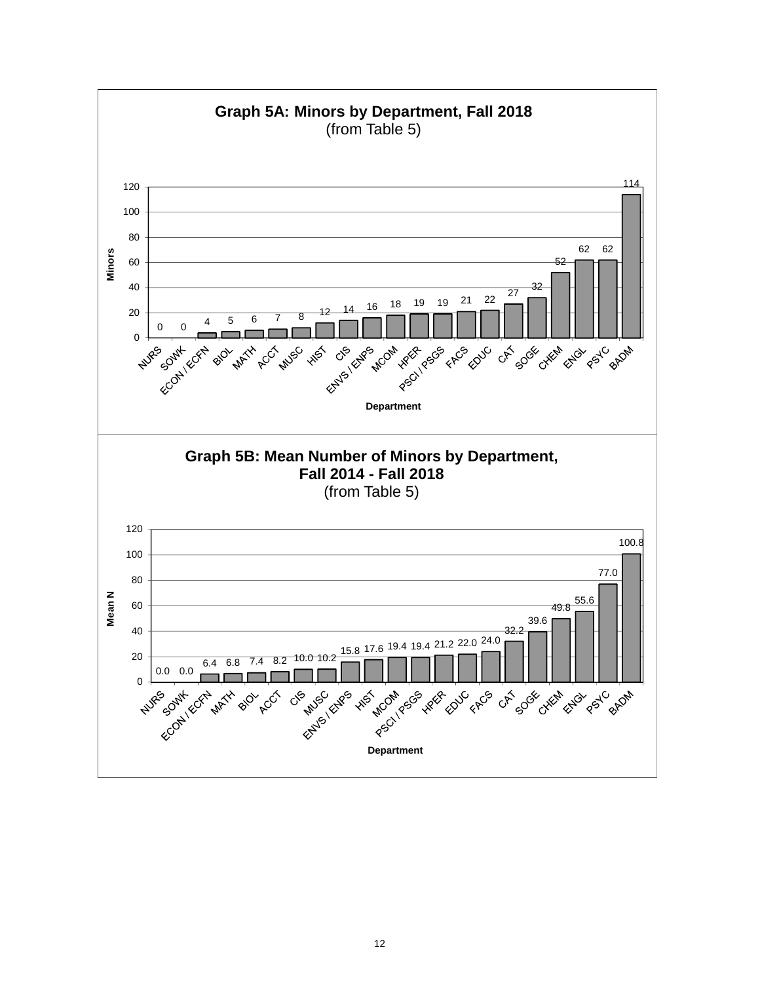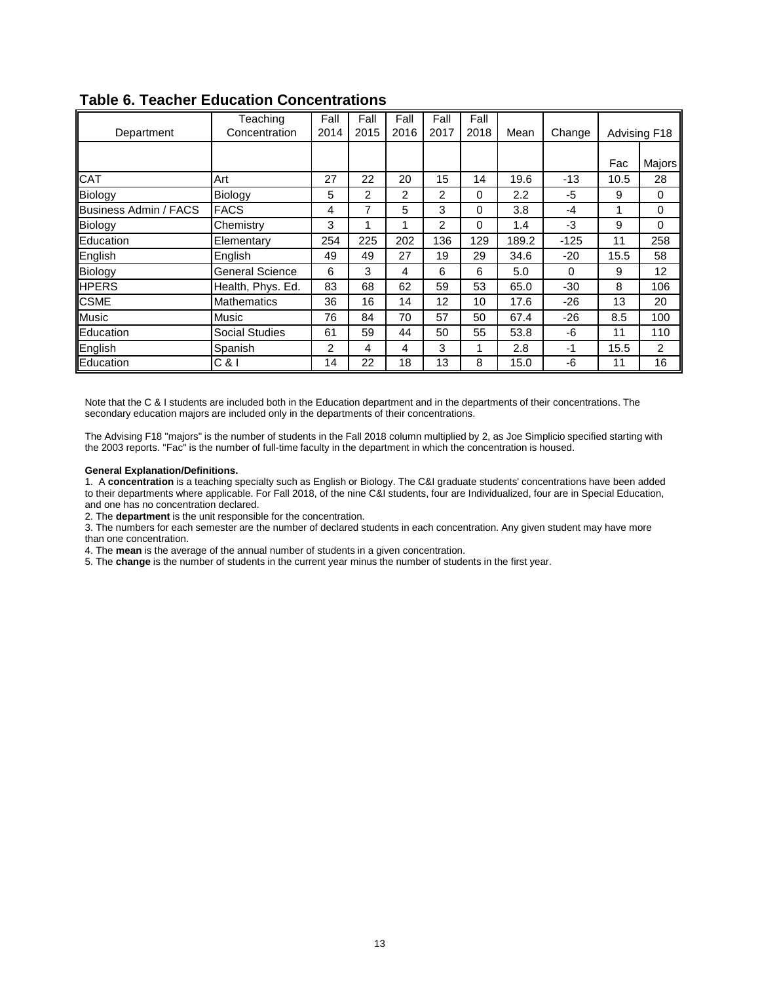|                       | Teaching               | Fall | Fall | Fall           | Fall           | Fall     |       |          |      |              |
|-----------------------|------------------------|------|------|----------------|----------------|----------|-------|----------|------|--------------|
| Department            | Concentration          | 2014 | 2015 | 2016           | 2017           | 2018     | Mean  | Change   |      | Advising F18 |
|                       |                        |      |      |                |                |          |       |          |      |              |
|                       |                        |      |      |                |                |          |       |          | Fac  | Majors       |
| <b>CAT</b>            | Art                    | 27   | 22   | 20             | 15             | 14       | 19.6  | $-13$    | 10.5 | 28           |
| Biology               | Biology                | 5    | 2    | $\overline{2}$ | $\mathfrak{p}$ | 0        | 2.2   | -5       | 9    | 0            |
| Business Admin / FACS | <b>FACS</b>            | 4    | 7    | 5              | 3              | 0        | 3.8   | -4       |      | 0            |
| Biology               | Chemistry              | 3    | 1    | 1              | 2              | $\Omega$ | 1.4   | -3       | 9    | $\Omega$     |
| Education             | Elementary             | 254  | 225  | 202            | 136            | 129      | 189.2 | $-125$   | 11   | 258          |
| English               | English                | 49   | 49   | 27             | 19             | 29       | 34.6  | $-20$    | 15.5 | 58           |
| Biology               | <b>General Science</b> | 6    | 3    | 4              | 6              | 6        | 5.0   | $\Omega$ | 9    | 12           |
| <b>HPERS</b>          | Health, Phys. Ed.      | 83   | 68   | 62             | 59             | 53       | 65.0  | $-30$    | 8    | 106          |
| <b>CSME</b>           | <b>Mathematics</b>     | 36   | 16   | 14             | 12             | 10       | 17.6  | $-26$    | 13   | 20           |
| <b>Music</b>          | Music                  | 76   | 84   | 70             | 57             | 50       | 67.4  | $-26$    | 8.5  | 100          |
| Education             | <b>Social Studies</b>  | 61   | 59   | 44             | 50             | 55       | 53.8  | -6       | 11   | 110          |
| English               | Spanish                | 2    | 4    | 4              | 3              |          | 2.8   | $-1$     | 15.5 | 2            |
| Education             | $C$ &l                 | 14   | 22   | 18             | 13             | 8        | 15.0  | -6       | 11   | 16           |

## **Table 6. Teacher Education Concentrations**

Note that the C & I students are included both in the Education department and in the departments of their concentrations. The secondary education majors are included only in the departments of their concentrations.

The Advising F18 "majors" is the number of students in the Fall 2018 column multiplied by 2, as Joe Simplicio specified starting with the 2003 reports. "Fac" is the number of full-time faculty in the department in which the concentration is housed.

#### **General Explanation/Definitions.**

1. A **concentration** is a teaching specialty such as English or Biology. The C&I graduate students' concentrations have been added to their departments where applicable. For Fall 2018, of the nine C&I students, four are Individualized, four are in Special Education, and one has no concentration declared.

2. The **department** is the unit responsible for the concentration.

3. The numbers for each semester are the number of declared students in each concentration. Any given student may have more than one concentration.

4. The **mean** is the average of the annual number of students in a given concentration.

5. The **change** is the number of students in the current year minus the number of students in the first year.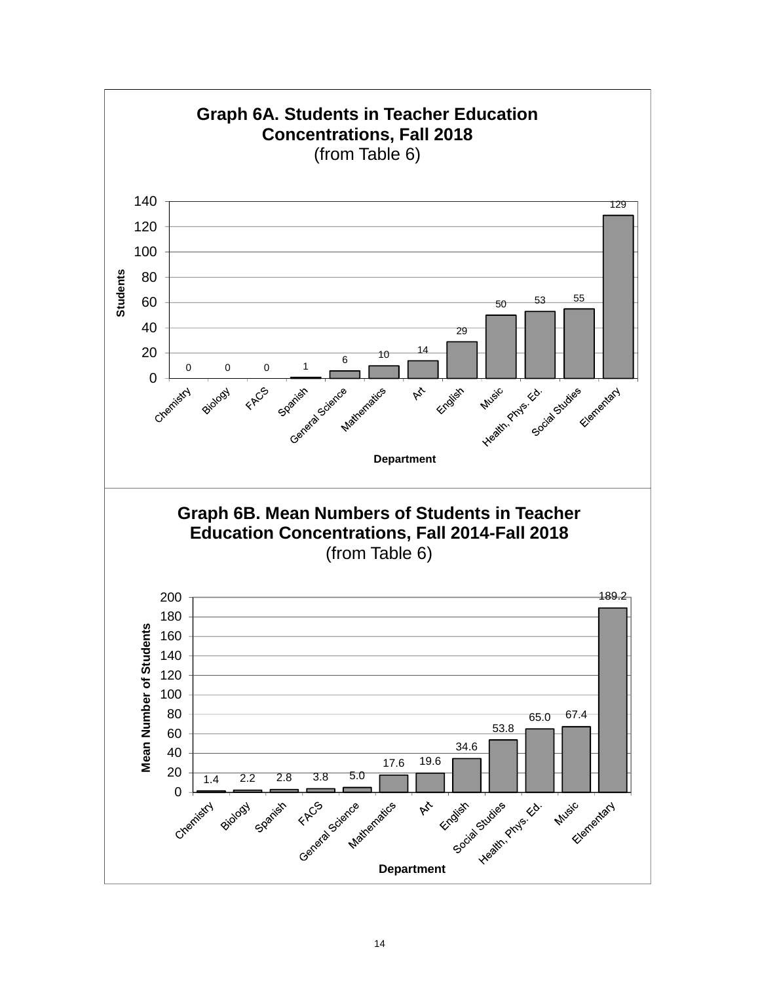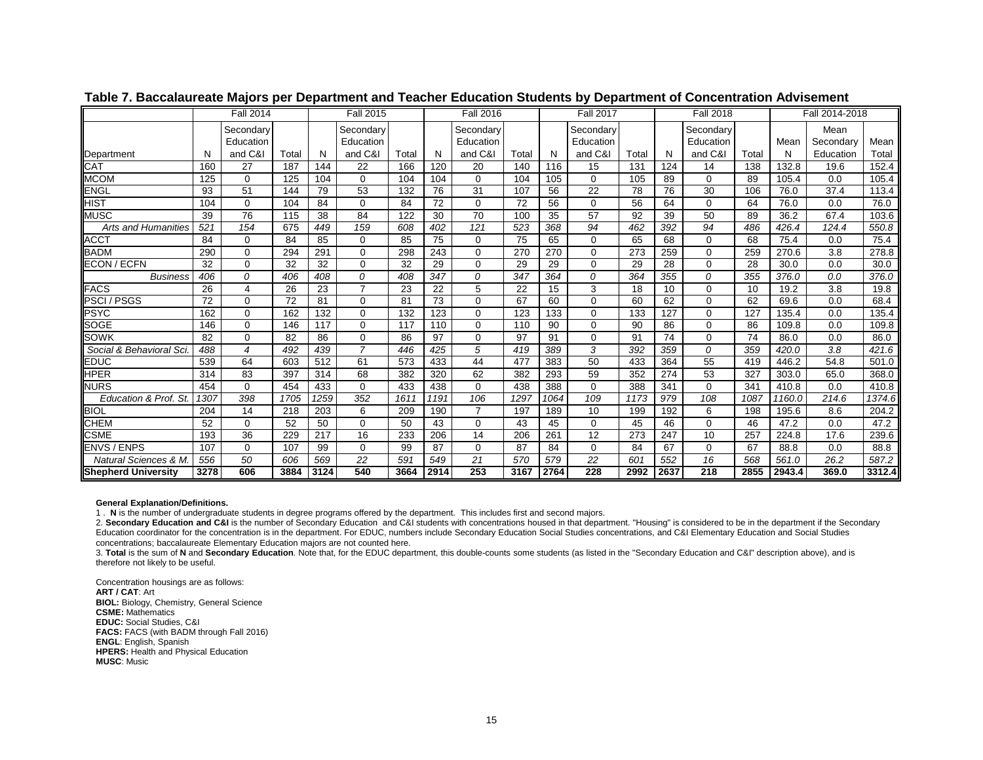|                            |                 | <b>Fall 2014</b>       |       |      | <b>Fall 2015</b>       |       |                 | <b>Fall 2016</b>       |                 |      | <b>Fall 2017</b>       |       |      | <b>Fall 2018</b>       |       |        | Fall 2014-2018    |        |
|----------------------------|-----------------|------------------------|-------|------|------------------------|-------|-----------------|------------------------|-----------------|------|------------------------|-------|------|------------------------|-------|--------|-------------------|--------|
|                            |                 | Secondary<br>Education |       |      | Secondary<br>Education |       |                 | Secondary<br>Education |                 |      | Secondary<br>Education |       |      | Secondary<br>Education |       | Mean   | Mean<br>Secondary | Mean   |
| Department                 | N               | and C&I                | Total | N    | and C&I                | Total | N               | and C&I                | Total           | N    | and C&I                | Total | N    | and C&I                | Total | N      | Education         | Total  |
| CAT                        | 160             | 27                     | 187   | 144  | 22                     | 166   | 120             | 20                     | 140             | 116  | 15                     | 131   | 124  | 14                     | 138   | 132.8  | 19.6              | 152.4  |
| <b>MCOM</b>                | 125             | $\Omega$               | 125   | 104  | 0                      | 104   | 104             | 0                      | 104             | 105  | $\Omega$               | 105   | 89   | $\Omega$               | 89    | 105.4  | 0.0               | 105.4  |
| ENGL                       | 93              | 51                     | 144   | 79   | 53                     | 132   | 76              | 31                     | 107             | 56   | 22                     | 78    | 76   | 30                     | 106   | 76.0   | 37.4              | 113.4  |
| HIST                       | 104             | $\Omega$               | 104   | 84   | $\Omega$               | 84    | $\overline{72}$ | 0                      | $\overline{72}$ | 56   | $\Omega$               | 56    | 64   | $\Omega$               | 64    | 76.0   | 0.0               | 76.0   |
| MUSC                       | 39              | 76                     | 115   | 38   | 84                     | 122   | 30              | $\overline{70}$        | 100             | 35   | 57                     | 92    | 39   | 50                     | 89    | 36.2   | 67.4              | 103.6  |
| <b>Arts and Humanities</b> | 52 <sub>1</sub> | 154                    | 675   | 449  | 159                    | 608   | 402             | 121                    | 523             | 368  | 94                     | 462   | 392  | 94                     | 486   | 426.4  | 124.4             | 550.8  |
| ACCT                       | 84              | $\Omega$               | 84    | 85   | $\Omega$               | 85    | 75              | $\Omega$               | 75              | 65   | $\Omega$               | 65    | 68   | $\Omega$               | 68    | 75.4   | 0.0               | 75.4   |
| <b>BADM</b>                | 290             | $\Omega$               | 294   | 291  | $\Omega$               | 298   | 243             | $\Omega$               | 270             | 270  | $\Omega$               | 273   | 259  | $\Omega$               | 259   | 270.6  | 3.8               | 278.8  |
| ECON / ECFN                | 32              | $\Omega$               | 32    | 32   | $\Omega$               | 32    | 29              | 0                      | 29              | 29   | $\Omega$               | 29    | 28   | $\Omega$               | 28    | 30.0   | 0.0               | 30.0   |
| <b>Business</b>            | 406             | $\Omega$               | 406   | 408  | $\Omega$               | 408   | 347             | 0                      | 347             | 364  | $\Omega$               | 364   | 355  | $\Omega$               | 355   | 376.0  | 0.0               | 376.0  |
| <b>FACS</b>                | 26              | 4                      | 26    | 23   | $\overline{7}$         | 23    | 22              | 5                      | 22              | 15   | 3                      | 18    | 10   | $\Omega$               | 10    | 19.2   | 3.8               | 19.8   |
| <b>PSCI / PSGS</b>         | 72              | $\Omega$               | 72    | 81   | $\Omega$               | 81    | $\overline{73}$ | $\Omega$               | 67              | 60   | $\Omega$               | 60    | 62   | $\Omega$               | 62    | 69.6   | 0.0               | 68.4   |
| PSYC                       | 162             | $\Omega$               | 162   | 132  | $\Omega$               | 132   | 123             | 0                      | 123             | 133  | 0                      | 133   | 127  | $\Omega$               | 127   | 135.4  | 0.0               | 135.4  |
| SOGE                       | 146             | $\Omega$               | 146   | 117  | $\Omega$               | 117   | 110             | 0                      | 110             | 90   | $\Omega$               | 90    | 86   | $\Omega$               | 86    | 109.8  | 0.0               | 109.8  |
| SOWK                       | 82              | $\Omega$               | 82    | 86   | $\Omega$               | 86    | 97              | 0                      | 97              | 91   | 0                      | 91    | 74   | $\Omega$               | 74    | 86.0   | 0.0               | 86.0   |
| Social & Behavioral Sci.   | 488             | 4                      | 492   | 439  | $\overline{7}$         | 446   | 425             | 5                      | 419             | 389  | 3                      | 392   | 359  | 0                      | 359   | 420.0  | 3.8               | 421.6  |
| EDUC                       | 539             | 64                     | 603   | 512  | 61                     | 573   | 433             | 44                     | 477             | 383  | 50                     | 433   | 364  | 55                     | 419   | 446.2  | 54.8              | 501.0  |
| HPER                       | 314             | 83                     | 397   | 314  | 68                     | 382   | 320             | 62                     | 382             | 293  | 59                     | 352   | 274  | 53                     | 327   | 303.0  | 65.0              | 368.0  |
| <b>NURS</b>                | 454             | $\mathbf 0$            | 454   | 433  | 0                      | 433   | 438             | 0                      | 438             | 388  | $\mathbf 0$            | 388   | 341  | $\Omega$               | 341   | 410.8  | 0.0               | 410.8  |
| Education & Prof. St.      | 1307            | 398                    | 1705  | 1259 | 352                    | 1611  | 1191            | 106                    | 1297            | 1064 | 109                    | 1173  | 979  | 108                    | 1087  | 1160.0 | 214.6             | 1374.6 |
| <b>BIOL</b>                | 204             | 14                     | 218   | 203  | 6                      | 209   | 190             | $\overline{7}$         | 197             | 189  | 10                     | 199   | 192  | 6                      | 198   | 195.6  | 8.6               | 204.2  |
| CHEM                       | 52              | $\Omega$               | 52    | 50   | $\Omega$               | 50    | 43              | 0                      | 43              | 45   | 0                      | 45    | 46   | $\Omega$               | 46    | 47.2   | 0.0               | 47.2   |
| CSME                       | 193             | 36                     | 229   | 217  | 16                     | 233   | 206             | 14                     | 206             | 261  | 12                     | 273   | 247  | 10                     | 257   | 224.8  | 17.6              | 239.6  |
| ENVS / ENPS                | 107             | $\Omega$               | 107   | 99   | $\Omega$               | 99    | 87              | 0                      | 87              | 84   | 0                      | 84    | 67   | $\Omega$               | 67    | 88.8   | 0.0               | 88.8   |
| Natural Sciences & M.      | 556             | 50                     | 606   | 569  | 22                     | 591   | 549             | 21                     | 570             | 579  | 22                     | 601   | 552  | 16                     | 568   | 561.0  | 26.2              | 587.2  |
| <b>Shepherd University</b> | 3278            | 606                    | 3884  | 3124 | 540                    | 3664  | 2914            | 253                    | 3167            | 2764 | 228                    | 2992  | 2637 | $\overline{218}$       | 2855  | 2943.4 | 369.0             | 3312.4 |

### **Table 7. Baccalaureate Majors per Department and Teacher Education Students by Department of Concentration Advisement**

**General Explanation/Definitions.**

1 . **N** is the number of undergraduate students in degree programs offered by the department. This includes first and second majors.

2. **Secondary Education and C&I** is the number of Secondary Education and C&I students with concentrations housed in that department. "Housing" is considered to be in the department if the Secondary Education coordinator for the concentration is in the department. For EDUC, numbers include Secondary Education Social Studies concentrations, and C&I Elementary Education and Social Studies concentrations; baccalaureate Elementary Education majors are not counted here.

3. Total is the sum of N and Secondary Education. Note that, for the EDUC department, this double-counts some students (as listed in the "Secondary Education and C&I" description above), and is therefore not likely to be useful.

Concentration housings are as follows: **ART / CAT**: Art **BIOL:** Biology, Chemistry, General Science **CSME:** Mathematics **EDUC:** Social Studies, C&I **FACS:** FACS (with BADM through Fall 2016) **ENGL**: English, Spanish **HPERS:** Health and Physical Education **MUSC**: Music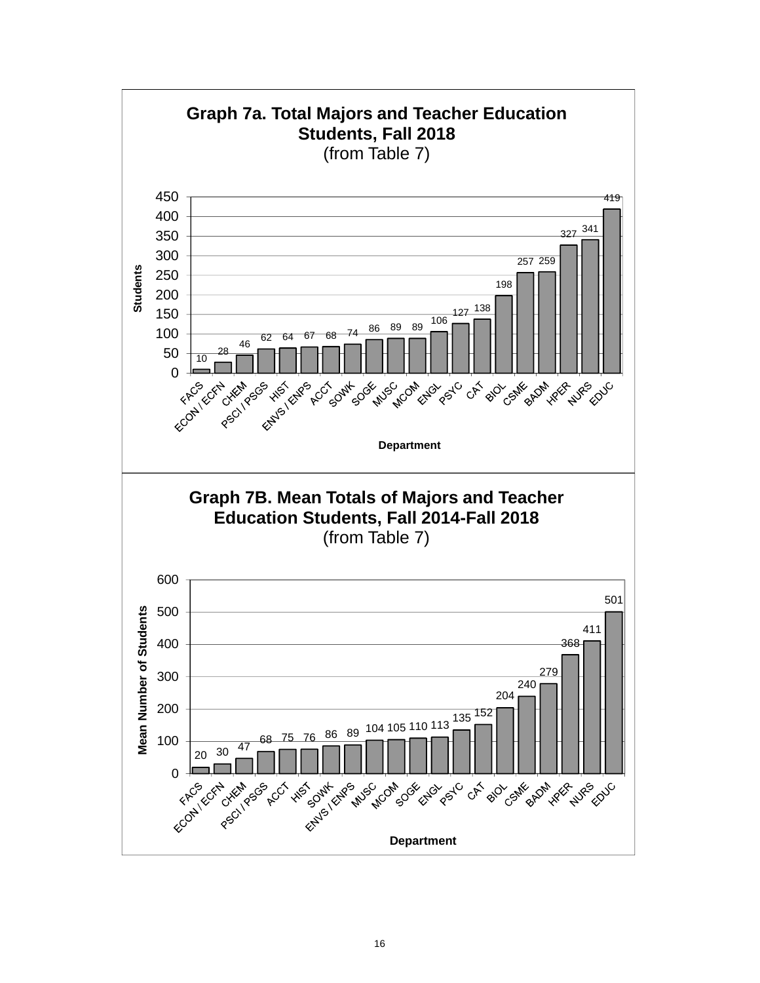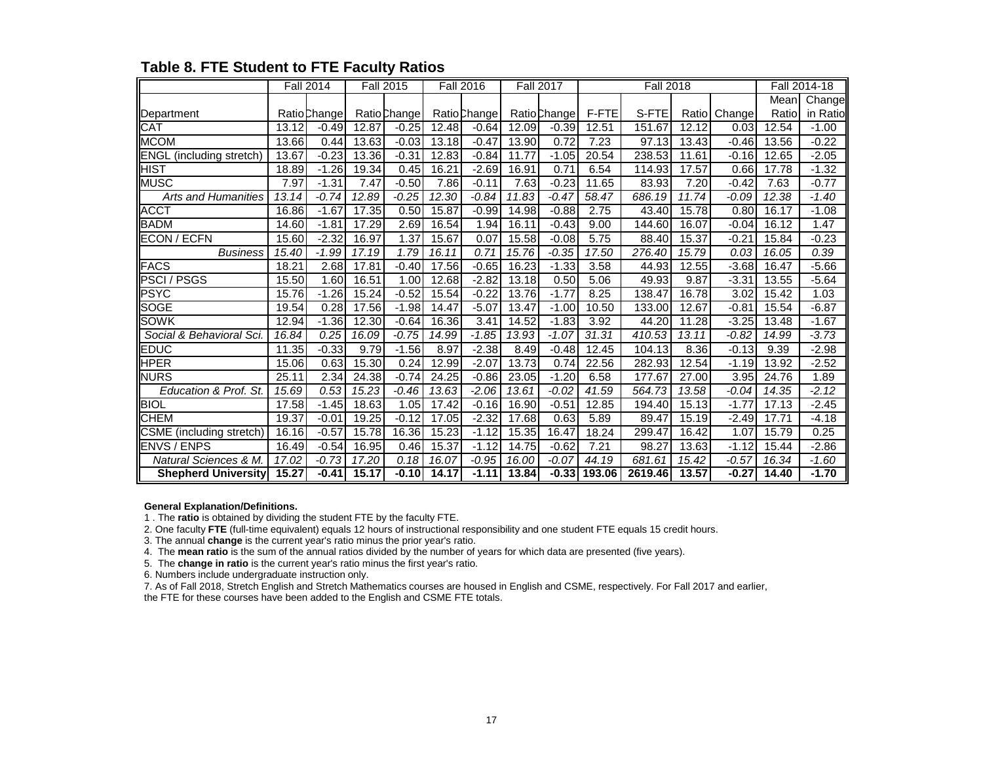|                                  |       | <b>Fall 2014</b> |       | <b>Fall 2015</b>    |       | <b>Fall 2016</b> |       | <b>Fall 2017</b> |        | <b>Fall 2018</b> |        |         |       | Fall 2014-18 |
|----------------------------------|-------|------------------|-------|---------------------|-------|------------------|-------|------------------|--------|------------------|--------|---------|-------|--------------|
|                                  |       |                  |       |                     |       |                  |       |                  |        |                  |        |         | Mean  | Change       |
| Department                       |       | Ratio Change     |       | <b>Ratio</b> Change |       | Ratio Change     |       | Ratio Change     | F-FTE  | S-FTE            | Ratiol | Change  | Ratio | in Ratio     |
| <b>CAT</b>                       | 13.12 | $-0.49$          | 12.87 | $-0.25$             | 12.48 | $-0.64$          | 12.09 | $-0.39$          | 12.51  | 151.67           | 12.12  | 0.03    | 12.54 | $-1.00$      |
| <b>IMCOM</b>                     | 13.66 | 0.44             | 13.63 | $-0.03$             | 13.18 | $-0.47$          | 13.90 | 0.72             | 7.23   | 97.13            | 13.43  | $-0.46$ | 13.56 | $-0.22$      |
| <b>ENGL</b> (including stretch)  | 13.67 | $-0.23$          | 13.36 | $-0.31$             | 12.83 | $-0.84$          | 11.77 | $-1.05$          | 20.54  | 238.53           | 11.61  | $-0.16$ | 12.65 | $-2.05$      |
| <b>HIST</b>                      | 18.89 | $-1.26$          | 19.34 | 0.45                | 16.21 | $-2.69$          | 16.91 | 0.71             | 6.54   | 114.93           | 17.57  | 0.66    | 17.78 | $-1.32$      |
| <b>MUSC</b>                      | 7.97  | $-1.31$          | 7.47  | $-0.50$             | 7.86  | $-0.11$          | 7.63  | $-0.23$          | 11.65  | 83.93            | 7.20   | $-0.42$ | 7.63  | $-0.77$      |
| <b>Arts and Humanities</b>       | 13.14 | $-0.74$          | 12.89 | $-0.25$             | 12.30 | $-0.84$          | 11.83 | $-0.47$          | 58.47  | 686.19           | 11.74  | -0.09   | 12.38 | $-1.40$      |
| <b>ACCT</b>                      | 16.86 | $-1.67$          | 17.35 | 0.50                | 15.87 | $-0.99$          | 14.98 | $-0.88$          | 2.75   | 43.40            | 15.78  | 0.80    | 16.17 | $-1.08$      |
| <b>BADM</b>                      | 14.60 | $-1.81$          | 17.29 | 2.69                | 16.54 | 1.94             | 16.11 | $-0.43$          | 9.00   | 144.60           | 16.07  | $-0.04$ | 16.12 | 1.47         |
| <b>ECON / ECFN</b>               | 15.60 | $-2.32$          | 16.97 | 1.37                | 15.67 | 0.07             | 15.58 | $-0.08$          | 5.75   | 88.40            | 15.37  | $-0.21$ | 15.84 | $-0.23$      |
| <b>Business</b>                  | 15.40 | $-1.99$          | 17.19 | 1.79                | 16.11 | 0.71             | 15.76 | $-0.35$          | 17.50  | 276.40           | 15.79  | 0.03    | 16.05 | 0.39         |
| <b>FACS</b>                      | 18.21 | 2.68             | 17.81 | $-0.40$             | 17.56 | $-0.65$          | 16.23 | $-1.33$          | 3.58   | 44.93            | 12.55  | $-3.68$ | 16.47 | $-5.66$      |
| <b>PSCI / PSGS</b>               | 15.50 | 1.60             | 16.51 | 1.00                | 12.68 | $-2.82$          | 13.18 | 0.50             | 5.06   | 49.93            | 9.87   | $-3.31$ | 13.55 | $-5.64$      |
| <b>PSYC</b>                      | 15.76 | $-1.26$          | 15.24 | $-0.52$             | 15.54 | $-0.22$          | 13.76 | $-1.77$          | 8.25   | 138.47           | 16.78  | 3.02    | 15.42 | 1.03         |
| <b>SOGE</b>                      | 19.54 | 0.28             | 17.56 | $-1.98$             | 14.47 | $-5.07$          | 13.47 | $-1.00$          | 10.50  | 133.00           | 12.67  | $-0.81$ | 15.54 | $-6.87$      |
| SOWK                             | 12.94 | $-1.36$          | 12.30 | $-0.64$             | 16.36 | 3.41             | 14.52 | $-1.83$          | 3.92   | 44.20            | 11.28  | $-3.25$ | 13.48 | $-1.67$      |
| Social & Behavioral Sci.         | 16.84 | 0.25             | 16.09 | $-0.75$             | 14.99 | $-1.85$          | 13.93 | $-1.07$          | 31.31  | 410.53           | 13.11  | $-0.82$ | 14.99 | $-3.73$      |
| <b>EDUC</b>                      | 11.35 | $-0.33$          | 9.79  | $-1.56$             | 8.97  | $-2.38$          | 8.49  | $-0.48$          | 12.45  | 104.13           | 8.36   | $-0.13$ | 9.39  | $-2.98$      |
| <b>HPER</b>                      | 15.06 | 0.63             | 15.30 | 0.24                | 12.99 | $-2.07$          | 13.73 | 0.74             | 22.56  | 282.93           | 12.54  | $-1.19$ | 13.92 | $-2.52$      |
| <b>NURS</b>                      | 25.11 | 2.34             | 24.38 | $-0.74$             | 24.25 | $-0.86$          | 23.05 | $-1.20$          | 6.58   | 177.67           | 27.00  | 3.95    | 24.76 | 1.89         |
| Education & Prof. St.            | 15.69 | 0.53             | 15.23 | $-0.46$             | 13.63 | $-2.06$          | 13.61 | $-0.02$          | 41.59  | 564.73           | 13.58  | $-0.04$ | 14.35 | $-2.12$      |
| <b>BIOL</b>                      | 17.58 | $-1.45$          | 18.63 | 1.05                | 17.42 | $-0.16$          | 16.90 | $-0.51$          | 12.85  | 194.40           | 15.13  | $-1.77$ | 17.13 | $-2.45$      |
| <b>CHEM</b>                      | 19.37 | $-0.01$          | 19.25 | $-0.12$             | 17.05 | $-2.32$          | 17.68 | 0.63             | 5.89   | 89.47            | 15.19  | $-2.49$ | 17.71 | $-4.18$      |
| CSME (including stretch)         | 16.16 | $-0.57$          | 15.78 | 16.36               | 15.23 | $-1.12$          | 15.35 | 16.47            | 18.24  | 299.47           | 16.42  | 1.07    | 15.79 | 0.25         |
| <b>ENVS / ENPS</b>               | 16.49 | $-0.54$          | 16.95 | 0.46                | 15.37 | $-1.12$          | 14.75 | $-0.62$          | 7.21   | 98.27            | 13.63  | $-1.12$ | 15.44 | $-2.86$      |
| <b>Natural Sciences &amp; M.</b> | 17.02 | $-0.73$          | 17.20 | 0.18                | 16.07 | $-0.95$          | 16.00 | $-0.07$          | 44.19  | 681.61           | 15.42  | $-0.57$ | 16.34 | $-1.60$      |
| <b>Shepherd University</b>       | 15.27 | $-0.41$          | 15.17 | $-0.10$             | 14.17 | $-1.11$          | 13.84 | $-0.33$          | 193.06 | 2619.46          | 13.57  | $-0.27$ | 14.40 | $-1.70$      |

# **Table 8. FTE Student to FTE Faculty Ratios**

#### **General Explanation/Definitions.**

1 . The **ratio** is obtained by dividing the student FTE by the faculty FTE.

2. One faculty **FTE** (full-time equivalent) equals 12 hours of instructional responsibility and one student FTE equals 15 credit hours.

3. The annual **change** is the current year's ratio minus the prior year's ratio.

4. The **mean ratio** is the sum of the annual ratios divided by the number of years for which data are presented (five years).

5. The **change in ratio** is the current year's ratio minus the first year's ratio.

6. Numbers include undergraduate instruction only.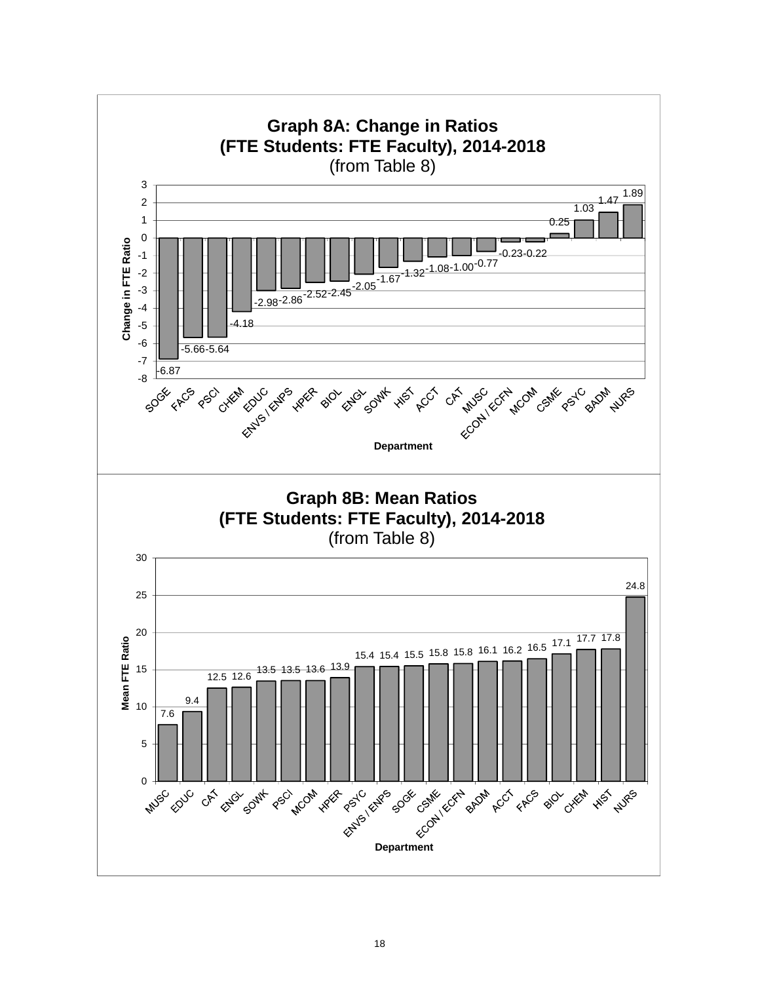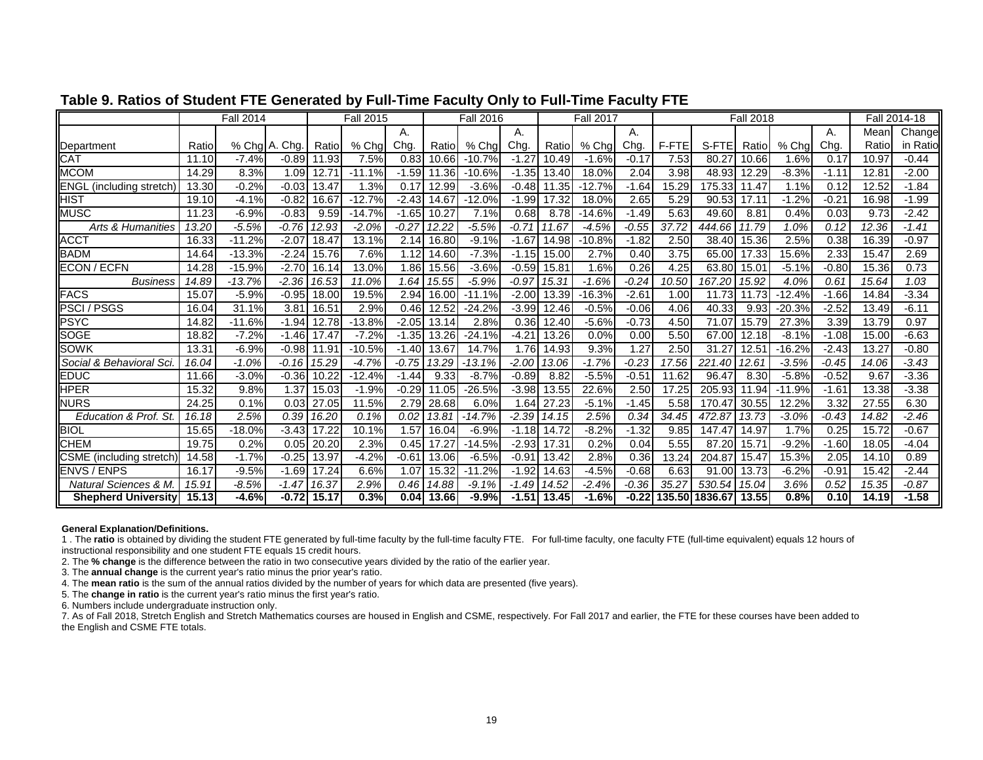|                              |       | <b>Fall 2014</b> |               |       | <b>Fall 2015</b> |         |       | <b>Fall 2016</b> |         |       | <b>Fall 2017</b> |         |       |                | <b>Fall 2018</b> |          |         |       | Fall 2014-18 |
|------------------------------|-------|------------------|---------------|-------|------------------|---------|-------|------------------|---------|-------|------------------|---------|-------|----------------|------------------|----------|---------|-------|--------------|
|                              |       |                  |               |       |                  | А.      |       |                  | А.      |       |                  | А.      |       |                |                  |          | А.      | Mean  | Change       |
| Department                   | Ratio |                  | % Cha A. Cha. | Ratio | $%$ Cha          | Cha     | Ratio | $%$ Cha          | Chg.    | Ratio | % Chg            | Chq.    | F-FTE | S-FTEI         | Ratio            | $%$ Cha  | Chq.    | Ratio | in Ratio     |
| <b>CAT</b>                   | 11.10 | $-7.4%$          | $-0.89$       | 11.93 | 7.5%             | 0.83    | 10.66 | $-10.7%$         | $-1.27$ | 10.49 | $-1.6%$          | $-0.17$ | 7.53  | 80.27          | 10.66            | 1.6%     | 0.17    | 10.97 | $-0.44$      |
| <b>MCOM</b>                  | 14.29 | 8.3%             | 1.09          | 12.71 | $-11.1%$         | $-1.59$ | 11.36 | $-10.6%$         | $-1.35$ | 13.40 | 18.0%            | 2.04    | 3.98  | 48.93          | 12.29            | $-8.3%$  | $-1.11$ | 12.81 | $-2.00$      |
| ENGL<br>(including stretch)  | 13.30 | $-0.2%$          | $-0.03$       | 13.47 | .3%              | 0.17    | 12.99 | $-3.6%$          | $-0.48$ | 11.35 | $-12.7%$         | $-1.64$ | 15.29 | 175.33         | 11.47            | 1.1%     | 0.12    | 12.52 | $-1.84$      |
| <b>HIST</b>                  | 19.10 | $-4.1%$          | $-0.82$       | 16.67 | $-12.7%$         | $-2.43$ | 14.67 | $-12.0%$         | $-1.99$ | 17.32 | 18.0%            | 2.65    | 5.29  | 90.53          | 17.11            | $-1.2%$  | $-0.21$ | 16.98 | $-1.99$      |
| <b>MUSC</b>                  | 11.23 | $-6.9%$          | $-0.83$       | 9.59  | $-14.7%$         | $-1.65$ | 10.27 | 7.1%             | 0.68    | 8.78  | $-14.6%$         | $-1.49$ | 5.63  | 49.60          | 8.81             | 0.4%     | 0.03    | 9.73  | $-2.42$      |
| <b>Arts &amp; Humanities</b> | 13.20 | $-5.5%$          | $-0.76$       | 12.93 | $-2.0%$          | $-0.27$ | 12.22 | $-5.5%$          | $-0.71$ | 11.67 | $-4.5%$          | $-0.55$ | 37.72 | 444.66         | 11.79            | 1.0%     | 0.12    | 12.36 | $-1.41$      |
| <b>ACCT</b>                  | 16.33 | $-11.2%$         | -2.07         | 18.47 | 13.1%            | 2.14    | 16.80 | $-9.1%$          | $-1.67$ | 14.98 | $-10.8%$         | $-1.82$ | 2.50  | 38.40          | 15.36            | 2.5%     | 0.38    | 16.39 | $-0.97$      |
| <b>BADM</b>                  | 14.64 | $-13.3%$         | $-2.24$       | 15.76 | 7.6%             | 1.12    | 14.60 | $-7.3%$          | $-1.15$ | 15.00 | 2.7%             | 0.40    | 3.75  | 65.00          | 17.33            | 15.6%    | 2.33    | 15.47 | 2.69         |
| <b>ECON / ECFN</b>           | 14.28 | $-15.9%$         | $-2.70$       | 16.14 | 13.0%            | 1.86    | 15.56 | $-3.6%$          | $-0.59$ | 15.81 | 1.6%             | 0.26    | 4.25  | 63.80          | 15.01            | $-5.1%$  | $-0.80$ | 15.36 | 0.73         |
| <b>Business</b>              | 14.89 | $-13.7%$         | $-2.36$       | 16.53 | 11.0%            | 1.64    | 15.55 | $-5.9%$          | $-0.97$ | 15.31 | $-1.6%$          | $-0.24$ | 10.50 | 167.20         | 15.92            | 4.0%     | 0.61    | 15.64 | 1.03         |
| <b>FACS</b>                  | 15.07 | $-5.9%$          | $-0.95$       | 18.00 | 19.5%            | 2.94    | 16.00 | $-11.1%$         | $-2.00$ | 13.39 | $-16.3%$         | $-2.61$ | 1.00  | 11.73          | 11.73            | $-12.4%$ | $-1.66$ | 14.84 | $-3.34$      |
| <b>PSCI/PSGS</b>             | 16.04 | 31.1%            | 3.81          | 16.51 | 2.9%             | 0.46    | 12.52 | $-24.2%$         | $-3.99$ | 12.46 | $-0.5%$          | $-0.06$ | 4.06  | 40.33          | 9.93             | $-20.3%$ | $-2.52$ | 13.49 | $-6.11$      |
| <b>PSYC</b>                  | 14.82 | $-11.6%$         | $-1.94$       | 12.78 | $-13.8%$         | $-2.05$ | 13.14 | 2.8%             | 0.36    | 12.40 | $-5.6%$          | $-0.73$ | 4.50  | 71.07          | 15.79            | 27.3%    | 3.39    | 13.79 | 0.97         |
| <b>SOGE</b>                  | 18.82 | $-7.2%$          | $-1.46$       | 17.47 | $-7.2%$          | $-1.35$ | 13.26 | $-24.1%$         | $-4.21$ | 13.26 | 0.0%             | 0.00    | 5.50  | 67.00          | 12.18            | $-8.1%$  | $-1.08$ | 15.00 | $-6.63$      |
| <b>SOWK</b>                  | 13.31 | $-6.9%$          | $-0.98$       | 11.91 | $-10.5%$         | $-1.40$ | 13.67 | 14.7%            | 1.76    | 14.93 | 9.3%             | 1.27    | 2.50  | 31.27          | 12.51            | $-16.2%$ | $-2.43$ | 13.27 | $-0.80$      |
| Social & Behavioral Sci      | 16.04 | $-1.0%$          | $-0.16$       | 15.29 | $-4.7%$          | $-0.75$ | 13.29 | $-13.1%$         | $-2.00$ | 13.06 | $-1.7%$          | $-0.23$ | 17.56 | 221.40         | 12.61            | $-3.5%$  | $-0.45$ | 14.06 | $-3.43$      |
| <b>EDUC</b>                  | 11.66 | $-3.0%$          | $-0.36$       | 10.22 | $-12.4%$         | $-1.44$ | 9.33  | $-8.7%$          | $-0.89$ | 8.82  | $-5.5%$          | $-0.51$ | 11.62 | 96.47          | 8.30             | $-5.8%$  | $-0.52$ | 9.67  | $-3.36$      |
| <b>HPER</b>                  | 15.32 | 9.8%             | .37           | 15.03 | $-1.9%$          | $-0.29$ | 11.05 | $-26.5%$         | $-3.98$ | 13.55 | 22.6%            | 2.50    | 17.25 | 205.93         | 11.94            | $-11.9%$ | $-1.61$ | 13.38 | $-3.38$      |
| <b>NURS</b>                  | 24.25 | 0.1%             | 0.03          | 27.05 | 11.5%            | 2.79    | 28.68 | 6.0%             | 1.64    | 27.23 | $-5.1%$          | $-1.45$ | 5.58  | 170.47         | 30.55            | 12.2%    | 3.32    | 27.55 | 6.30         |
| Education & Prof. St.        | 16.18 | 2.5%             | 0.39          | 16.20 | 0.1%             | 0.02    | 13.81 | $-14.7%$         | $-2.39$ | 14.15 | 2.5%             | 0.34    | 34.45 | 472.87         | 13.73            | $-3.0%$  | $-0.43$ | 14.82 | $-2.46$      |
| <b>BIOL</b>                  | 15.65 | $-18.0%$         | $-3.43$       | 17.22 | 10.1%            | .57     | 16.04 | $-6.9%$          | $-1.18$ | 14.72 | $-8.2%$          | $-1.32$ | 9.85  | 147.47         | 14.97            | 1.7%     | 0.25    | 15.72 | $-0.67$      |
| <b>CHEM</b>                  | 19.75 | 0.2%             | 0.05          | 20.20 | 2.3%             | 0.45    | 17.27 | $-14.5%$         | $-2.93$ | 17.31 | 0.2%             | 0.04    | 5.55  | 87.20          | 15.7'            | $-9.2%$  | $-1.60$ | 18.05 | $-4.04$      |
| CSME (including stretch)     | 14.58 | $-1.7%$          | $-0.25$       | 13.97 | $-4.2%$          | $-0.61$ | 13.06 | $-6.5%$          | $-0.91$ | 13.42 | 2.8%             | 0.36    | 3.24  | 204.87         | 15.47            | 15.3%    | 2.05    | 14.10 | 0.89         |
| <b>ENVS / ENPS</b>           | 16.17 | $-9.5%$          | $-1.69$       | 17.24 | 6.6%             | 1.07    | 15.32 | $-11.2%$         | $-1.92$ | 14.63 | $-4.5%$          | $-0.68$ | 6.63  | 91.00          | 13.73            | $-6.2%$  | $-0.91$ | 15.42 | $-2.44$      |
| Natural Sciences & M.        | 15.91 | $-8.5%$          | $-1.47$       | 16.37 | 2.9%             | 0.46    | 14.88 | $-9.1%$          | $-1.49$ | 14.52 | $-2.4%$          | $-0.36$ | 35.27 | 530.54         | 15.04            | 3.6%     | 0.52    | 15.35 | $-0.87$      |
| <b>Shepherd University</b>   | 15.13 | $-4.6%$          | $-0.72$       | 15.17 | 0.3%             | 0.04    | 13.66 | $-9.9%$          | $-1.51$ | 13.45 | $-1.6%$          | $-0.22$ |       | 135.50 1836.67 | 13.55            | 0.8%     | 0.10    | 14.19 | $-1.58$      |

## **Table 9. Ratios of Student FTE Generated by Full-Time Faculty Only to Full-Time Faculty FTE**

#### **General Explanation/Definitions.**

1 . The **ratio** is obtained by dividing the student FTE generated by full-time faculty by the full-time faculty FTE. For full-time faculty, one faculty FTE (full-time equivalent) equals 12 hours of instructional responsibility and one student FTE equals 15 credit hours.

2. The **% change** is the difference between the ratio in two consecutive years divided by the ratio of the earlier year.

3. The **annual change** is the current year's ratio minus the prior year's ratio.

4. The **mean ratio** is the sum of the annual ratios divided by the number of years for which data are presented (five years).

5. The **change in ratio** is the current year's ratio minus the first year's ratio.

6. Numbers include undergraduate instruction only.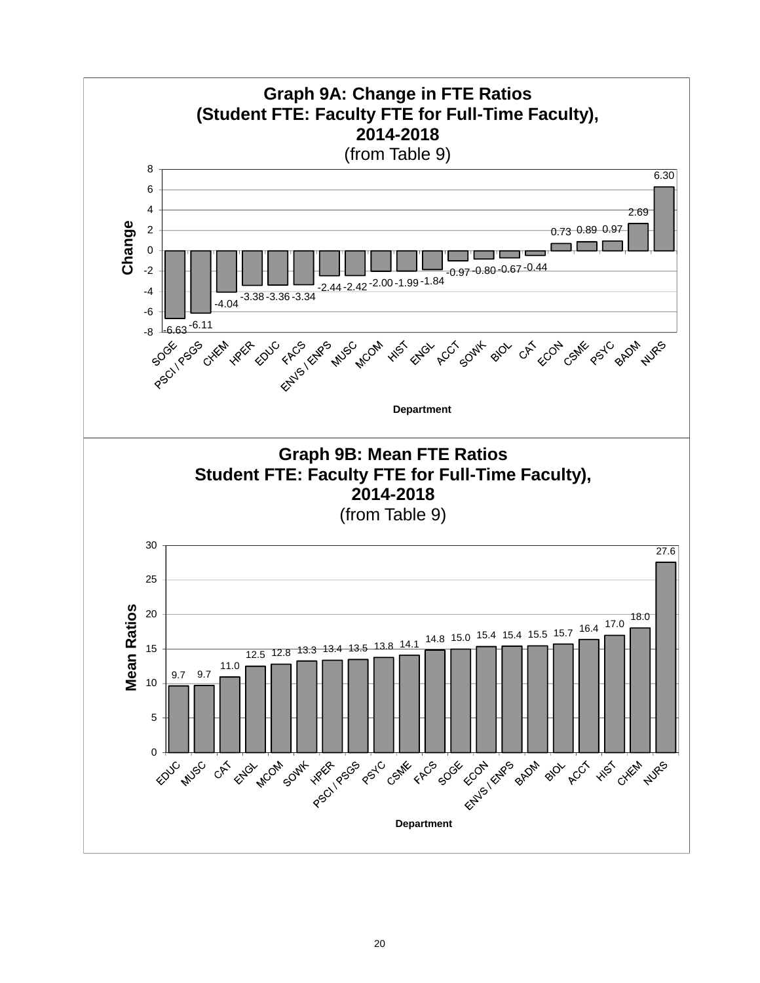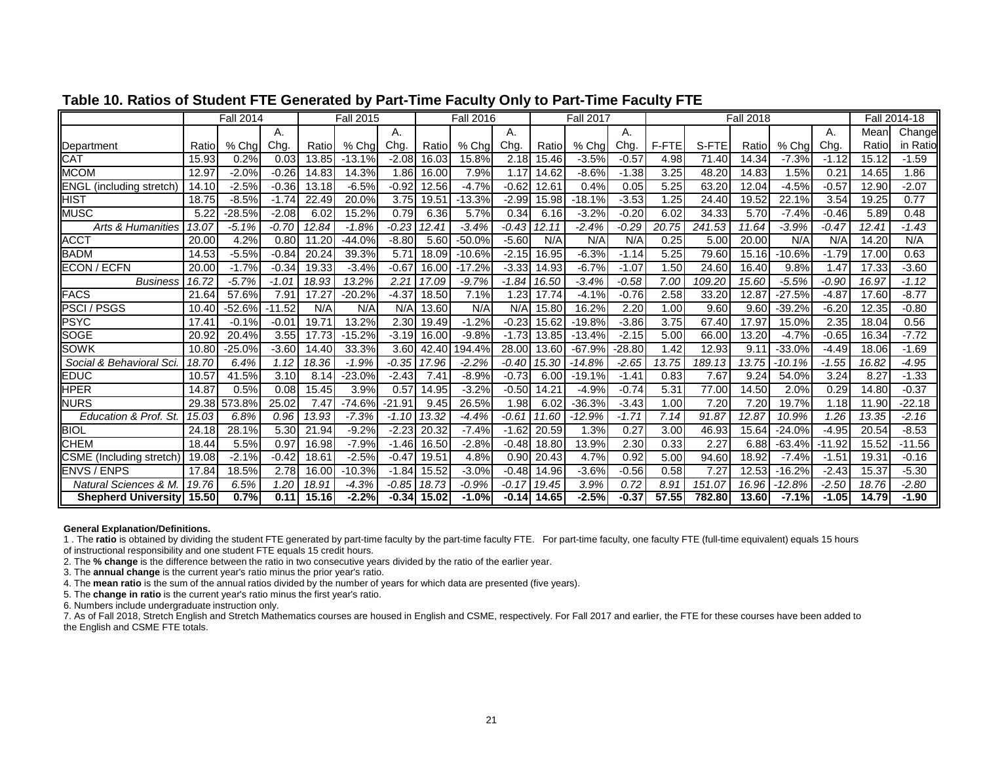|                                 |                | <b>Fall 2014</b> |          |                   | <b>Fall 2015</b> |          |       | <b>Fall 2016</b> |         |       | <b>Fall 2017</b> |         |       |        | <b>Fall 2018</b> |          |          |       | Fall 2014-18 |
|---------------------------------|----------------|------------------|----------|-------------------|------------------|----------|-------|------------------|---------|-------|------------------|---------|-------|--------|------------------|----------|----------|-------|--------------|
|                                 |                |                  | А.       |                   |                  | А.       |       |                  | А.      |       |                  | А.      |       |        |                  |          | А.       | Mean  | Change       |
| Department                      | Ratio          | % Cha            | Chg.     | Ratio             | % Cha            | Chg.     | Ratio | $%$ Cha          | Chg.    | Ratio | % Chg            | Chq     | F-FTE | S-FTE  | Ratio            | % Chg    | Chg.     | Ratio | in Ratio     |
| <b>CAT</b>                      | 15.93          | 0.2%             | 0.03     | 13.85             | $-13.1%$         | $-2.08$  | 16.03 | 15.8%            | 2.18    | 15.46 | $-3.5%$          | $-0.57$ | 4.98  | 71.40  | 14.34            | $-7.3%$  | $-1.12$  | 15.12 | $-1.59$      |
| <b>MCOM</b>                     | 12.97          | $-2.0%$          | $-0.26$  | 14.83             | 14.3%            | 1.86     | 16.00 | 7.9%             | 1.17    | 14.62 | $-8.6%$          | $-1.38$ | 3.25  | 48.20  | 14.83            | 1.5%     | 0.21     | 14.65 | 1.86         |
| <b>ENGL</b> (including stretch) | 14.10          | $-2.5%$          | $-0.36$  | 13.18             | $-6.5%$          | $-0.92$  | 12.56 | $-4.7%$          | $-0.62$ | 12.61 | 0.4%             | 0.05    | 5.25  | 63.20  | 12.04            | $-4.5%$  | $-0.57$  | 12.90 | $-2.07$      |
| <b>HIST</b>                     | 18.75          | $-8.5%$          | $-1.74$  | 22.49             | 20.0%            | 3.75     | 19.51 | $-13.3%$         | $-2.99$ | 15.98 | $-18.1%$         | $-3.53$ | .25   | 24.40  | 19.52            | 22.1%    | 3.54     | 19.25 | 0.77         |
| <b>MUSC</b>                     | 5.22           | $-28.5%$         | $-2.08$  | 6.02              | 15.2%            | 0.79     | 6.36  | 5.7%             | 0.34    | 6.16  | $-3.2%$          | $-0.20$ | 6.02  | 34.33  | 5.70             | $-7.4%$  | $-0.46$  | 5.89  | 0.48         |
| <b>Arts &amp; Humanities</b>    | 13.07          | $-5.1%$          | $-0.70$  | 12.84             | $-1.8%$          | $-0.23$  | 12.41 | $-3.4%$          | $-0.43$ | 12.11 | $-2.4%$          | $-0.29$ | 20.75 | 241.53 | 11.64            | $-3.9%$  | $-0.47$  | 12.41 | $-1.43$      |
| <b>ACCT</b>                     | 20.00          | 4.2%             | 0.80     | 11.20             | $-44.0%$         | $-8.80$  | 5.60  | $-50.0%$         | $-5.60$ | N/A   | N/A              | N/A     | 0.25  | 5.00   | 20.00            | N/A      | N/A      | 14.20 | N/A          |
| <b>BADM</b>                     | 14.53          | $-5.5%$          | $-0.84$  | 20.24             | 39.3%            | 5.71     | 18.09 | $-10.6%$         | $-2.15$ | 16.95 | $-6.3%$          | $-1.14$ | 5.25  | 79.60  | 15.16            | $-10.6%$ | $-1.79$  | 17.00 | 0.63         |
| ECON / ECFN                     | 20.00          | $-1.7%$          | $-0.34$  | 19.33             | $-3.4%$          | $-0.67$  | 16.00 | $-17.2%$         | $-3.33$ | 14.93 | $-6.7%$          | $-1.07$ | 1.50  | 24.60  | 16.40            | 9.8%     | 1.47     | 17.33 | $-3.60$      |
| <b>Business</b>                 | 16.72          | $-5.7%$          | $-1.01$  | 18.93             | 13.2%            | 2.21     | 17.09 | $-9.7%$          | $-1.84$ | 16.50 | $-3.4%$          | $-0.58$ | 7.00  | 109.20 | 15.60            | $-5.5%$  | $-0.90$  | 16.97 | $-1.12$      |
| <b>FACS</b>                     | 21.64          | 57.6%            | 7.91     | 17.27             | $-20.2%$         | $-4.37$  | 18.50 | 7.1%             | 1.23    | 17.74 | $-4.1%$          | $-0.76$ | 2.58  | 33.20  | 12.87            | $-27.5%$ | $-4.87$  | 17.60 | $-8.77$      |
| <b>PSCI/PSGS</b>                | 10.40          | $-52.6%$         | $-11.52$ | N/A               | N/A              | N/A      | 13.60 | N/A              | N/A     | 15.80 | 16.2%            | 2.20    | 1.00  | 9.60   | 9.60             | $-39.2%$ | $-6.20$  | 12.35 | $-0.80$      |
| <b>PSYC</b>                     | $17.4^{\circ}$ | $-0.1%$          | $-0.02$  | 19.71             | 13.2%            | 2.30     | 19.49 | $-1.2%$          | $-0.23$ | 15.62 | $-19.8%$         | $-3.86$ | 3.75  | 67.40  | 17.97            | 15.0%    | 2.35     | 18.04 | 0.56         |
| <b>SOGE</b>                     | 20.92          | 20.4%            | 3.55     | 17.73             | $-15.2%$         | $-3.19$  | 16.00 | $-9.8%$          | $-1.73$ | 13.85 | $-13.4%$         | $-2.15$ | 5.00  | 66.00  | 13.20            | $-4.7\%$ | $-0.65$  | 16.34 | $-7.72$      |
| <b>SOWK</b>                     | 10.80          | $-25.0%$         | $-3.60$  | 14.40             | 33.3%            | 3.60     | 42.40 | 94.4%            | 28.00   | 13.60 | $-67.9%$         | 28.80   | 1.42  | 12.93  | 9.1'             | $-33.0%$ | $-4.49$  | 18.06 | $-1.69$      |
| Social & Behavioral Sci         | 18.70          | 6.4%             | 1.12     | 18.36             | $-1.9%$          | $-0.35$  | 17.96 | $-2.2%$          | -0.40   | 15.30 | $-14.8%$         | $-2.65$ | 13.75 | 189.13 | 13.75            | $-10.1%$ | $-1.55$  | 16.82 | $-4.95$      |
| <b>EDUC</b>                     | 10.57          | 41.5%            | 3.10     | 8.14              | $-23.0%$         | $-2.43$  | 7.41  | $-8.9%$          | $-0.73$ | 6.00  | $-19.1%$         | $-1.41$ | 0.83  | 7.67   | 9.24             | 54.0%    | 3.24     | 8.27  | $-1.33$      |
| <b>HPER</b>                     | 14.87          | 0.5%             | 0.08     | 15.45             | 3.9%             | 0.57     | 14.95 | $-3.2%$          | $-0.50$ | 14.21 | $-4.9%$          | $-0.74$ | 5.31  | 77.00  | 14.50            | 2.0%     | 0.29     | 14.80 | $-0.37$      |
| <b>NURS</b>                     | 29.38          | 573.8%           | 25.02    | 7.47              | $-74.6%$         | $-21.9'$ | 9.45  | 26.5%            | 1.98    | 6.02  | $-36.3%$         | $-3.43$ | 1.00  | 7.20   | 7.20             | 19.7%    | 1.18     | 11.90 | $-22.18$     |
| Education & Prof. St            | 15.03          | 6.8%             | 0.96     | 13.93             | $-7.3%$          | $-1.10$  | 13.32 | $-4.4%$          | $-0.61$ | 11.60 | $-12.9%$         | $-1.71$ | 7.14  | 91.87  | 12.87            | 10.9%    | 1.26     | 13.35 | $-2.16$      |
| <b>BIOL</b>                     | 24.18          | 28.1%            | 5.30     | 21.94             | $-9.2%$          | $-2.23$  | 20.32 | $-7.4%$          | $-1.62$ | 20.59 | 1.3%             | 0.27    | 3.00  | 46.93  | 15.64            | $-24.0%$ | $-4.95$  | 20.54 | $-8.53$      |
| <b>CHEM</b>                     | 18.44          | 5.5%             | 0.97     | 16.98             | $-7.9%$          | $-1.46$  | 16.50 | $-2.8%$          | $-0.48$ | 18.80 | 13.9%            | 2.30    | 0.33  | 2.27   | 6.88             | $-63.4%$ | $-11.92$ | 15.52 | $-11.56$     |
| <b>CSME</b> (Including stretch) | 19.08          | $-2.1%$          | $-0.42$  | 18.6 <sup>′</sup> | $-2.5%$          | $-0.47$  | 19.51 | 4.8%             | 0.90    | 20.43 | 4.7%             | 0.92    | 5.00  | 94.60  | 18.92            | $-7.4%$  | $-1.51$  | 19.31 | $-0.16$      |
| <b>ENVS / ENPS</b>              | 17.84          | 18.5%            | 2.78     | 16.00             | $-10.3%$         | $-1.84$  | 15.52 | $-3.0%$          | $-0.48$ | 14.96 | $-3.6%$          | $-0.56$ | 0.58  | 7.27   | 12.53            | $-16.2%$ | $-2.43$  | 15.37 | $-5.30$      |
| <b>Natural Sciences &amp; M</b> | 19.76          | 6.5%             | 1.20     | 18.91             | $-4.3%$          | $-0.85$  | 18.73 | $-0.9%$          | -0.17   | 19.45 | 3.9%             | 0.72    | 8.91  | 151.07 | 16.96            | $-12.8%$ | $-2.50$  | 18.76 | $-2.80$      |
| <b>Shepherd Universityl</b>     | 15.50          | 0.7%             | 0.11     | 15.16             | $-2.2%$          | $-0.34$  | 15.02 | $-1.0%$          | $-0.14$ | 14.65 | $-2.5%$          | $-0.37$ | 57.55 | 782.80 | 13.60            | $-7.1%$  | $-1.05$  | 14.79 | $-1.90$      |

## **Table 10. Ratios of Student FTE Generated by Part-Time Faculty Only to Part-Time Faculty FTE**

#### **General Explanation/Definitions.**

1 . The **ratio** is obtained by dividing the student FTE generated by part-time faculty by the part-time faculty FTE. For part-time faculty, one faculty FTE (full-time equivalent) equals 15 hours

of instructional responsibility and one student FTE equals 15 credit hours.

2. The **% change** is the difference between the ratio in two consecutive years divided by the ratio of the earlier year.

3. The **annual change** is the current year's ratio minus the prior year's ratio.

4. The **mean ratio** is the sum of the annual ratios divided by the number of years for which data are presented (five years).

5. The **change in ratio** is the current year's ratio minus the first year's ratio.

6. Numbers include undergraduate instruction only.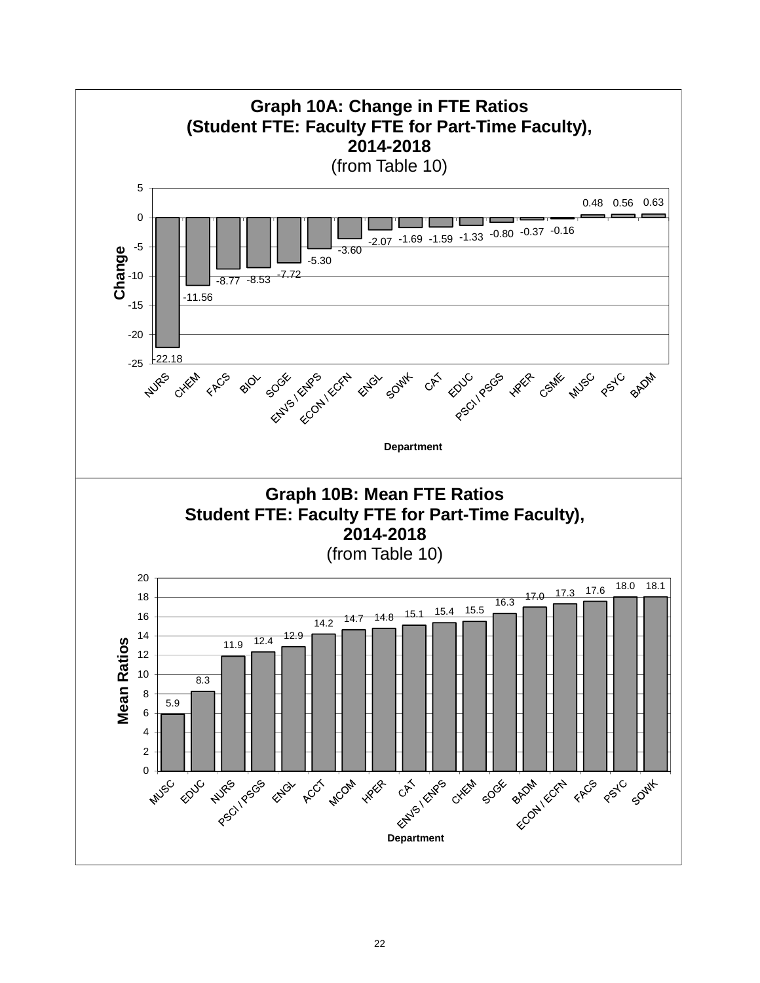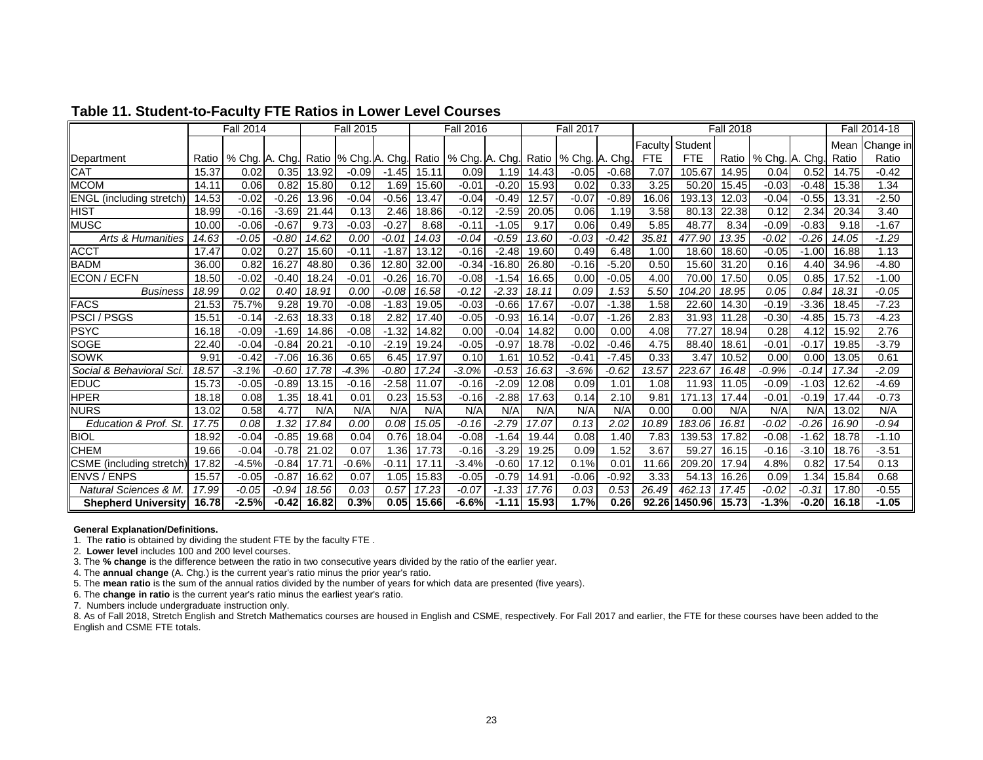|                                 |       | <b>Fall 2014</b> |         |       | <b>Fall 2015</b> |         |       | <b>Fall 2016</b>                      |          |       | <b>Fall 2017</b> |         |            |            | <b>Fall 2018</b> |                |         |       | Fall 2014-18 |
|---------------------------------|-------|------------------|---------|-------|------------------|---------|-------|---------------------------------------|----------|-------|------------------|---------|------------|------------|------------------|----------------|---------|-------|--------------|
|                                 |       |                  |         |       |                  |         |       |                                       |          |       |                  |         | Facultv    | Student    |                  |                |         | Mean  | Change in    |
| Department                      | Ratio | % Chg. A. Chg.   |         | Ratio |                  |         |       | % Chg. A. Chg. Ratio   % Chg. A. Chg. |          | Ratio | % Chg. A. Chg.   |         | <b>FTE</b> | <b>FTE</b> | Ratio            | % Chg. A. Chg. |         | Ratio | Ratio        |
| <b>CAT</b>                      | 15.37 | 0.02             | 0.35    | 13.92 | $-0.09$          | $-1.45$ | 15.11 | 0.09                                  | 1.19     | 14.43 | $-0.05$          | $-0.68$ | 7.07       | 105.67     | 14.95            | 0.04           | 0.52    | 14.75 | $-0.42$      |
| <b>MCOM</b>                     | 14.11 | 0.06             | 0.82    | 15.80 | 0.12             | 1.69    | 15.60 | $-0.01$                               | $-0.20$  | 15.93 | 0.02             | 0.33    | 3.25       | 50.20      | 15.45            | $-0.03$        | $-0.48$ | 15.38 | 1.34         |
| <b>ENGL</b> (including stretch) | 14.53 | $-0.02$          | $-0.26$ | 13.96 | $-0.04$          | $-0.56$ | 13.47 | $-0.04$                               | $-0.49$  | 12.57 | $-0.07$          | $-0.89$ | 16.06      | 193.13     | 12.03            | $-0.04$        | $-0.55$ | 13.31 | $-2.50$      |
| <b>HIST</b>                     | 18.99 | $-0.16$          | $-3.69$ | 21.44 | 0.13             | 2.46    | 18.86 | $-0.12$                               | $-2.59$  | 20.05 | 0.06             | 1.19    | 3.58       | 80.13      | 22.38            | 0.12           | 2.34    | 20.34 | 3.40         |
| <b>MUSC</b>                     | 10.00 | $-0.06$          | $-0.67$ | 9.73  | $-0.03$          | $-0.27$ | 8.68  | $-0.11$                               | $-1.05$  | 9.17  | 0.06             | 0.49    | 5.85       | 48.77      | 8.34             | $-0.09$        | $-0.83$ | 9.18  | $-1.67$      |
| Arts & Humanities               | 14.63 | -0.05            | $-0.80$ | 14.62 | 0.00             | $-0.01$ | 14.03 | -0.04                                 | $-0.59$  | 13.60 | -0.03            | -0.42   | 35.81      | 477.90     | 13.35            | -0.02          | $-0.26$ | 14.05 | $-1.29$      |
| <b>ACCT</b>                     | 17.47 | 0.02             | 0.27    | 15.60 | $-0.11$          | $-1.87$ | 13.12 | $-0.16$                               | $-2.48$  | 19.60 | 0.49             | 6.48    | 1.00       | 18.60      | 18.60            | $-0.05$        | $-1.00$ | 16.88 | 1.13         |
| <b>BADM</b>                     | 36.00 | 0.82             | 16.27   | 48.80 | 0.36             | 12.80   | 32.00 | $-0.34$                               | $-16.80$ | 26.80 | $-0.16$          | $-5.20$ | 0.50       | 15.60      | 31.20            | 0.16           | 4.40    | 34.96 | $-4.80$      |
| <b>ECON / ECFN</b>              | 18.50 | $-0.02$          | $-0.40$ | 18.24 | $-0.01$          | $-0.26$ | 16.70 | $-0.08$                               | $-1.54$  | 16.65 | 0.00             | $-0.05$ | 4.00       | 70.00      | 17.50            | 0.05           | 0.85    | 17.52 | $-1.00$      |
| <b>Business</b>                 | 18.99 | 0.02             | 0.40    | 18.91 | 0.00             | $-0.08$ | 16.58 | $-0.12$                               | $-2.33$  | 18.11 | 0.09             | 1.53    | 5.50       | 104.20     | 18.95            | 0.05           | 0.84    | 18.31 | -0.05        |
| <b>FACS</b>                     | 21.53 | 75.7%            | 9.28    | 19.70 | $-0.08$          | $-1.83$ | 19.05 | $-0.03$                               | $-0.66$  | 17.67 | $-0.07$          | $-1.38$ | .58        | 22.60      | 14.30            | $-0.19$        | $-3.36$ | 18.45 | $-7.23$      |
| <b>PSCI/PSGS</b>                | 15.51 | $-0.14$          | $-2.63$ | 18.33 | 0.18             | 2.82    | 17.40 | $-0.05$                               | $-0.93$  | 16.14 | $-0.07$          | $-1.26$ | 2.83       | 31.93      | 11.28            | $-0.30$        | $-4.85$ | 15.73 | $-4.23$      |
| <b>PSYC</b>                     | 16.18 | $-0.09$          | $-1.69$ | 14.86 | $-0.08$          | $-1.32$ | 14.82 | 0.00                                  | $-0.04$  | 14.82 | 0.00             | 0.00    | 4.08       | 77.27      | 18.94            | 0.28           | 4.12    | 15.92 | 2.76         |
| <b>SOGE</b>                     | 22.40 | $-0.04$          | $-0.84$ | 20.21 | $-0.10$          | $-2.19$ | 19.24 | $-0.05$                               | $-0.97$  | 18.78 | $-0.02$          | $-0.46$ | 4.75       | 88.40      | 18.61            | $-0.01$        | $-0.17$ | 19.85 | $-3.79$      |
| SOWK                            | 9.91  | $-0.42$          | $-7.06$ | 16.36 | 0.65             | 6.45    | 17.97 | 0.10                                  | .61      | 10.52 | $-0.41$          | $-7.45$ | 0.33       | 3.47       | 10.52            | 0.00           | 0.00    | 13.05 | 0.61         |
| Social & Behavioral Sci         | 18.57 | $-3.1%$          | $-0.60$ | 17.78 | $-4.3%$          | $-0.80$ | 17.24 | $-3.0%$                               | $-0.53$  | 16.63 | $-3.6%$          | $-0.62$ | 13.57      | 223.67     | 16.48            | $-0.9%$        | $-0.14$ | 17.34 | $-2.09$      |
| <b>EDUC</b>                     | 15.73 | $-0.05$          | $-0.89$ | 13.15 | $-0.16$          | $-2.58$ | 11.07 | $-0.16$                               | $-2.09$  | 12.08 | 0.09             | 1.01    | 1.08       | 11.93      | 11.05            | $-0.09$        | $-1.03$ | 12.62 | $-4.69$      |
| <b>HPER</b>                     | 18.18 | 0.08             | 1.35    | 18.41 | 0.01             | 0.23    | 15.53 | $-0.16$                               | $-2.88$  | 17.63 | 0.14             | 2.10    | 9.81       | 171.13     | 17.44            | $-0.01$        | $-0.19$ | 17.44 | $-0.73$      |
| <b>NURS</b>                     | 13.02 | 0.58             | 4.77    | N/A   | N/A              | N/A     | N/A   | N/A                                   | N/A      | N/A   | N/A              | N/A     | 0.00       | 0.00       | N/A              | N/A            | N/A     | 13.02 | N/A          |
| Education & Prof. St.           | 17.75 | 0.08             | 1.32    | 17.84 | 0.00             | 0.08    | 15.05 | $-0.16$                               | $-2.79$  | 17.07 | 0.13             | 2.02    | 10.89      | 183.06     | 16.81            | $-0.02$        | $-0.26$ | 16.90 | $-0.94$      |
| <b>BIOL</b>                     | 18.92 | $-0.04$          | $-0.85$ | 19.68 | 0.04             | 0.76    | 18.04 | $-0.08$                               | $-1.64$  | 19.44 | 0.08             | 1.40    | 7.83       | 139.53     | 17.82            | $-0.08$        | $-1.62$ | 18.78 | $-1.10$      |
| <b>CHEM</b>                     | 19.66 | $-0.04$          | $-0.78$ | 21.02 | 0.07             | .36     | 17.73 | $-0.16$                               | $-3.29$  | 19.25 | 0.09             | 1.52    | 3.67       | 59.27      | 16.15            | $-0.16$        | $-3.10$ | 18.76 | $-3.51$      |
| CSME (including stretch         | 17.82 | $-4.5%$          | $-0.84$ | 17.7' | $-0.6%$          | $-0.11$ | 17.11 | $-3.4%$                               | $-0.60$  | 17.12 | 0.1%             | 0.01    | 11.66      | 209.20     | 17.94            | 4.8%           | 0.82    | 17.54 | 0.13         |
| <b>ENVS / ENPS</b>              | 15.57 | $-0.05$          | $-0.87$ | 16.62 | 0.07             | 1.05    | 15.83 | $-0.05$                               | $-0.79$  | 14.91 | $-0.06$          | $-0.92$ | 3.33       | 54.13      | 16.26            | 0.09           | 1.34    | 15.84 | 0.68         |
| <b>Natural Sciences &amp; M</b> | 17.99 | $-0.05$          | $-0.94$ | 18.56 | 0.03             | 0.57    | 17.23 | $-0.07$                               | $-1.33$  | 17.76 | 0.03             | 0.53    | 26.49      | 462.13     | 17.45            | $-0.02$        | $-0.31$ | 17.80 | $-0.55$      |
| <b>Shepherd University</b>      | 16.78 | $-2.5%$          | $-0.42$ | 16.82 | 0.3%             | 0.05    | 15.66 | $-6.6%$                               | $-1.11$  | 15.93 | 1.7%             | 0.26    | 92.26      | 1450.96    | 15.73            | $-1.3%$        | $-0.20$ | 16.18 | $-1.05$      |

### **Table 11. Student-to-Faculty FTE Ratios in Lower Level Courses**

#### **General Explanation/Definitions.**

1. The **ratio** is obtained by dividing the student FTE by the faculty FTE .

2. **Lower level** includes 100 and 200 level courses.

3. The **% change** is the difference between the ratio in two consecutive years divided by the ratio of the earlier year.

4. The **annual change** (A. Chg.) is the current year's ratio minus the prior year's ratio.

5. The **mean ratio** is the sum of the annual ratios divided by the number of years for which data are presented (five years).

6. The **change in ratio** is the current year's ratio minus the earliest year's ratio.

7. Numbers include undergraduate instruction only.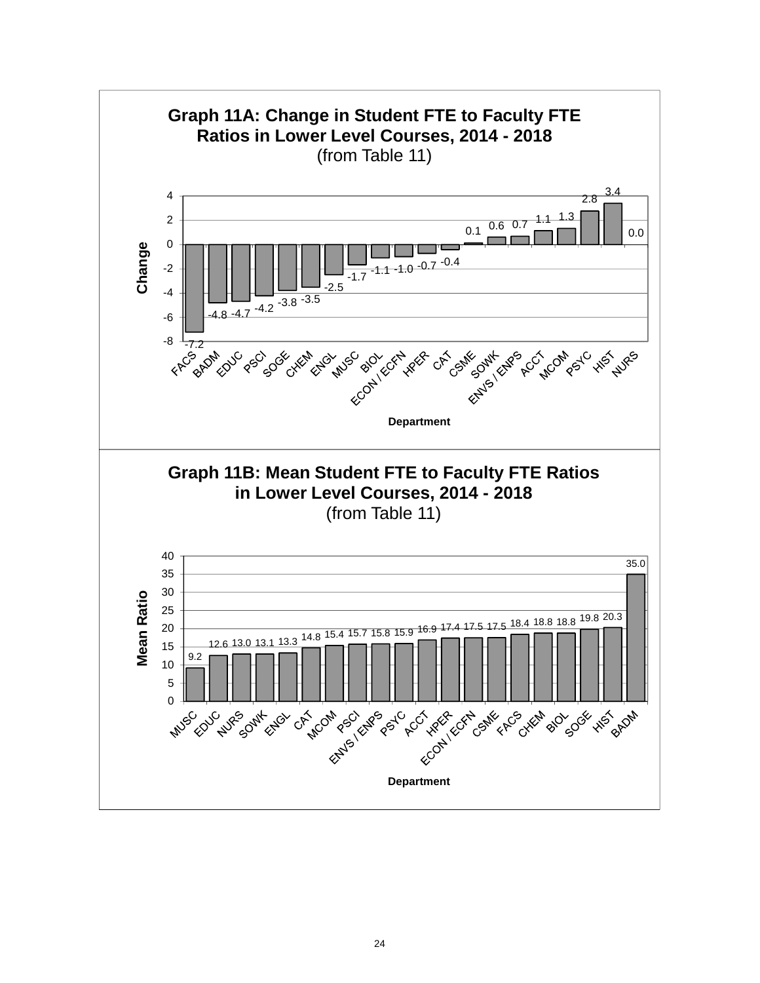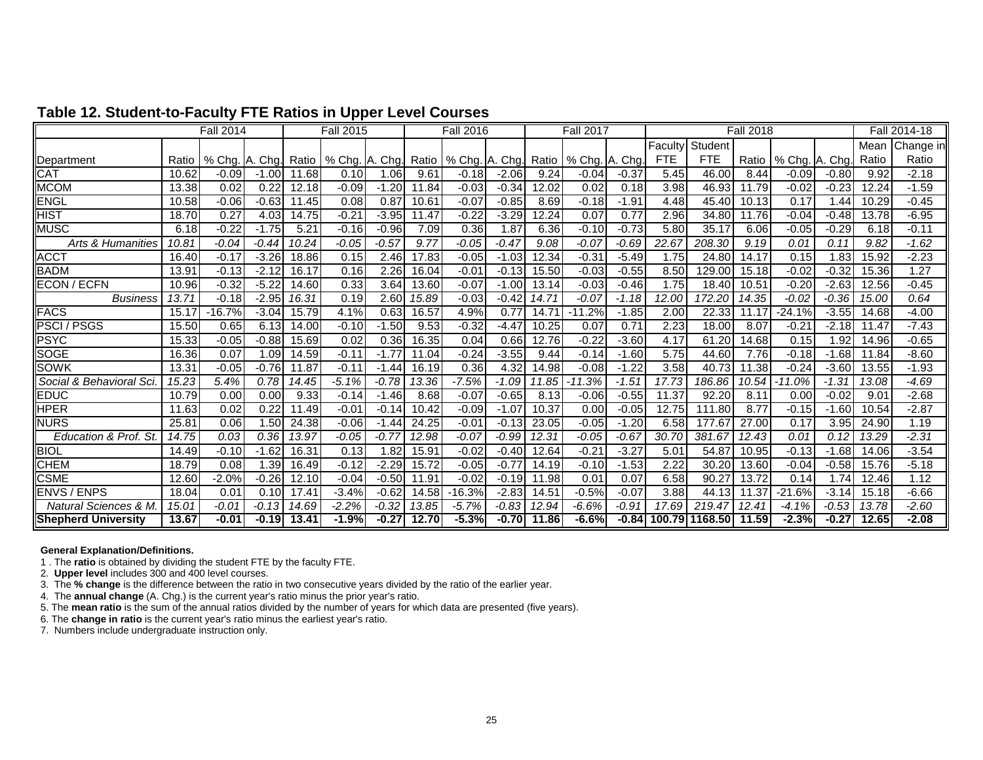|                                  |       | <b>Fall 2014</b> |         |       | <b>Fall 2015</b> |         |       | <b>Fall 2016</b>       |         |       | <b>Fall 2017</b> |         |            |                | <b>Fall 2018</b> |                |         |       | Fall 2014-18 |
|----------------------------------|-------|------------------|---------|-------|------------------|---------|-------|------------------------|---------|-------|------------------|---------|------------|----------------|------------------|----------------|---------|-------|--------------|
|                                  |       |                  |         |       |                  |         |       |                        |         |       |                  |         | Faculty    | Student        |                  |                |         | Mean  | Change in    |
| Department                       | Ratio | % Chg.           | A. Chg. | Ratio | % Chg. A. Chg.   |         |       | Ratio   % Chg. A. Chg. |         | Ratio | % Cha. A. Cha.   |         | <b>FTE</b> | FTE.           | Ratio            | % Chg. A. Chg. |         | Ratio | Ratio        |
| <b>CAT</b>                       | 10.62 | $-0.09$          | $-1.00$ | 11.68 | 0.10             | 1.06    | 9.61  | $-0.18$                | $-2.06$ | 9.24  | $-0.04$          | $-0.37$ | 5.45       | 46.00          | 8.44             | $-0.09$        | $-0.80$ | 9.92  | $-2.18$      |
| <b>MCOM</b>                      | 13.38 | 0.02             | 0.22    | 12.18 | $-0.09$          | $-1.20$ | 11.84 | $-0.03$                | $-0.34$ | 12.02 | 0.02             | 0.18    | 3.98       | 46.93          | 11.79            | $-0.02$        | $-0.23$ | 12.24 | $-1.59$      |
| ENGL                             | 10.58 | $-0.06$          | $-0.63$ | 11.45 | 0.08             | 0.87    | 10.61 | $-0.07$                | $-0.85$ | 8.69  | $-0.18$          | $-1.91$ | 4.48       | 45.40          | 10.13            | 0.17           | .44     | 10.29 | $-0.45$      |
| <b>HIST</b>                      | 18.70 | 0.27             | 4.03    | 14.75 | $-0.21$          | $-3.95$ | 11.47 | $-0.22$                | $-3.29$ | 12.24 | 0.07             | 0.77    | 2.96       | 34.80          | 11.76            | $-0.04$        | $-0.48$ | 13.78 | $-6.95$      |
| <b>MUSC</b>                      | 6.18  | $-0.22$          | $-1.75$ | 5.21  | $-0.16$          | $-0.96$ | 7.09  | 0.36                   | 1.87    | 6.36  | $-0.10$          | $-0.73$ | 5.80       | 35.17          | 6.06             | $-0.05$        | $-0.29$ | 6.18  | $-0.11$      |
| Arts & Humanities                | 10.81 | $-0.04$          | $-0.44$ | 10.24 | $-0.05$          | $-0.57$ | 9.77  | $-0.05$                | $-0.47$ | 9.08  | $-0.07$          | $-0.69$ | 22.67      | 208.30         | 9.19             | 0.01           | 0.11    | 9.82  | $-1.62$      |
| <b>ACCT</b>                      | 16.40 | $-0.17$          | $-3.26$ | 18.86 | 0.15             | 2.46    | 17.83 | $-0.05$                | $-1.03$ | 12.34 | $-0.31$          | $-5.49$ | 1.75       | 24.80          | 14.17            | 0.15           | 1.83    | 15.92 | $-2.23$      |
| <b>BADM</b>                      | 13.91 | $-0.13$          | $-2.12$ | 16.17 | 0.16             | 2.26    | 16.04 | $-0.01$                | $-0.13$ | 15.50 | $-0.03$          | $-0.55$ | 8.50       | 129.00         | 15.18            | $-0.02$        | $-0.32$ | 15.36 | 1.27         |
| <b>ECON / ECFN</b>               | 10.96 | $-0.32$          | $-5.22$ | 14.60 | 0.33             | 3.64    | 13.60 | $-0.07$                | $-1.00$ | 13.14 | $-0.03$          | $-0.46$ | 1.75       | 18.40          | 10.51            | $-0.20$        | $-2.63$ | 12.56 | $-0.45$      |
| <b>Business</b>                  | 13.71 | $-0.18$          | $-2.95$ | 16.31 | 0.19             | 2.60    | 15.89 | $-0.03$                | $-0.42$ | 14.71 | $-0.07$          | $-1.18$ | 12.00      | 172.20         | 14.35            | -0.02          | $-0.36$ | 15.00 | 0.64         |
| <b>FACS</b>                      | 15.17 | 16.7%            | $-3.04$ | 15.79 | 4.1%             | 0.63    | 16.57 | 4.9%                   | 0.77    | 14.71 | $-11.2%$         | $-1.85$ | 2.00       | 22.33          | 11.17            | $-24.1%$       | $-3.55$ | 14.68 | $-4.00$      |
| <b>PSCI/PSGS</b>                 | 15.50 | 0.65             | 6.13    | 14.00 | $-0.10$          | $-1.50$ | 9.53  | $-0.32$                | $-4.47$ | 10.25 | 0.07             | 0.71    | 2.23       | 18.00          | 8.07             | $-0.21$        | $-2.18$ | 11.47 | $-7.43$      |
| <b>PSYC</b>                      | 15.33 | $-0.05$          | $-0.88$ | 15.69 | 0.02             | 0.36    | 16.35 | 0.04                   | 0.66    | 12.76 | $-0.22$          | $-3.60$ | 4.17       | 61.20          | 14.68            | 0.15           | 1.92    | 14.96 | $-0.65$      |
| <b>SOGE</b>                      | 16.36 | 0.07             | 1.09    | 14.59 | $-0.11$          | $-1.77$ | 11.04 | $-0.24$                | $-3.55$ | 9.44  | $-0.14$          | $-1.60$ | 5.75       | 44.60          | 7.76             | $-0.18$        | $-1.68$ | 11.84 | $-8.60$      |
| <b>SOWK</b>                      | 13.31 | $-0.05$          | $-0.76$ | 11.87 | $-0.11$          | $-1.44$ | 16.19 | 0.36                   | 4.32    | 14.98 | $-0.08$          | $-1.22$ | 3.58       | 40.73          | 11.38            | $-0.24$        | $-3.60$ | 13.55 | $-1.93$      |
| Social & Behavioral Sci          | 15.23 | 5.4%             | 0.78    | 14.45 | $-5.1%$          | $-0.78$ | 13.36 | $-7.5%$                | $-1.09$ | 11.85 | $-11.3%$         | $-1.51$ | 17.73      | 186.86         | 10.54            | $-11.0%$       | $-1.31$ | 13.08 | $-4.69$      |
| <b>EDUC</b>                      | 10.79 | 0.00             | 0.00    | 9.33  | $-0.14$          | $-1.46$ | 8.68  | $-0.07$                | $-0.65$ | 8.13  | $-0.06$          | $-0.55$ | 11.37      | 92.20          | 8.11             | 0.00           | $-0.02$ | 9.01  | $-2.68$      |
| <b>HPER</b>                      | 11.63 | 0.02             | 0.22    | 11.49 | $-0.01$          | $-0.14$ | 10.42 | $-0.09$                | $-1.07$ | 10.37 | 0.00             | $-0.05$ | 12.75      | 111.80         | 8.77             | $-0.15$        | $-1.60$ | 10.54 | $-2.87$      |
| <b>NURS</b>                      | 25.81 | 0.06             | 1.50    | 24.38 | $-0.06$          | $-1.44$ | 24.25 | $-0.01$                | $-0.13$ | 23.05 | $-0.05$          | $-1.20$ | 6.58       | 177.67         | 27.00            | 0.17           | 3.95    | 24.90 | 1.19         |
| Education & Prof. St.            | 14.75 | 0.03             | 0.36    | 13.97 | -0.05            | $-0.77$ | 12.98 | $-0.07$                | $-0.99$ | 12.31 | $-0.05$          | $-0.67$ | 30.70      | 381.67         | 12.43            | 0.01           | 0.12    | 13.29 | $-2.31$      |
| <b>BIOL</b>                      | 14.49 | $-0.10$          | $-1.62$ | 16.31 | 0.13             | 1.82    | 15.91 | $-0.02$                | $-0.40$ | 12.64 | $-0.21$          | $-3.27$ | 5.01       | 54.87          | 10.95            | $-0.13$        | $-1.68$ | 14.06 | $-3.54$      |
| <b>CHEM</b>                      | 18.79 | 0.08             | 1.39    | 16.49 | $-0.12$          | $-2.29$ | 15.72 | $-0.05$                | $-0.77$ | 14.19 | $-0.10$          | $-1.53$ | 2.22       | 30.20          | 13.60            | $-0.04$        | $-0.58$ | 15.76 | $-5.18$      |
| <b>CSME</b>                      | 12.60 | $-2.0%$          | $-0.26$ | 12.10 | $-0.04$          | $-0.50$ | 11.91 | $-0.02$                | $-0.19$ | 11.98 | 0.01             | 0.07    | 6.58       | 90.27          | 13.72            | 0.14           | 1.74    | 12.46 | 1.12         |
| <b>ENVS / ENPS</b>               | 18.04 | 0.01             | 0.10    | 17.41 | $-3.4%$          | $-0.62$ | 14.58 | $-16.3%$               | $-2.83$ | 14.51 | $-0.5%$          | $-0.07$ | 3.88       | 44.13          | 11.37            | $-21.6%$       | $-3.14$ | 15.18 | $-6.66$      |
| <b>Natural Sciences &amp; M.</b> | 15.01 | $-0.01$          | $-0.13$ | 14.69 | $-2.2%$          | $-0.32$ | 13.85 | $-5.7%$                | $-0.83$ | 12.94 | $-6.6%$          | $-0.91$ | 17.69      | 219.47         | 12.41            | $-4.1%$        | $-0.53$ | 13.78 | $-2.60$      |
| <b>Shepherd University</b>       | 13.67 | $-0.01$          | $-0.19$ | 13.41 | $-1.9%$          | $-0.27$ | 12.70 | $-5.3%$                | $-0.70$ | 11.86 | $-6.6%$          | $-0.84$ |            | 100.79 1168.50 | 11.59            | $-2.3%$        | $-0.27$ | 12.65 | -2.08        |

## **Table 12. Student-to-Faculty FTE Ratios in Upper Level Courses**

#### **General Explanation/Definitions.**

1 . The **ratio** is obtained by dividing the student FTE by the faculty FTE.

2. **Upper level** includes 300 and 400 level courses.

3. The **% change** is the difference between the ratio in two consecutive years divided by the ratio of the earlier year.

4. The **annual change** (A. Chg.) is the current year's ratio minus the prior year's ratio.

5. The **mean ratio** is the sum of the annual ratios divided by the number of years for which data are presented (five years).

6. The **change in ratio** is the current year's ratio minus the earliest year's ratio.

7. Numbers include undergraduate instruction only.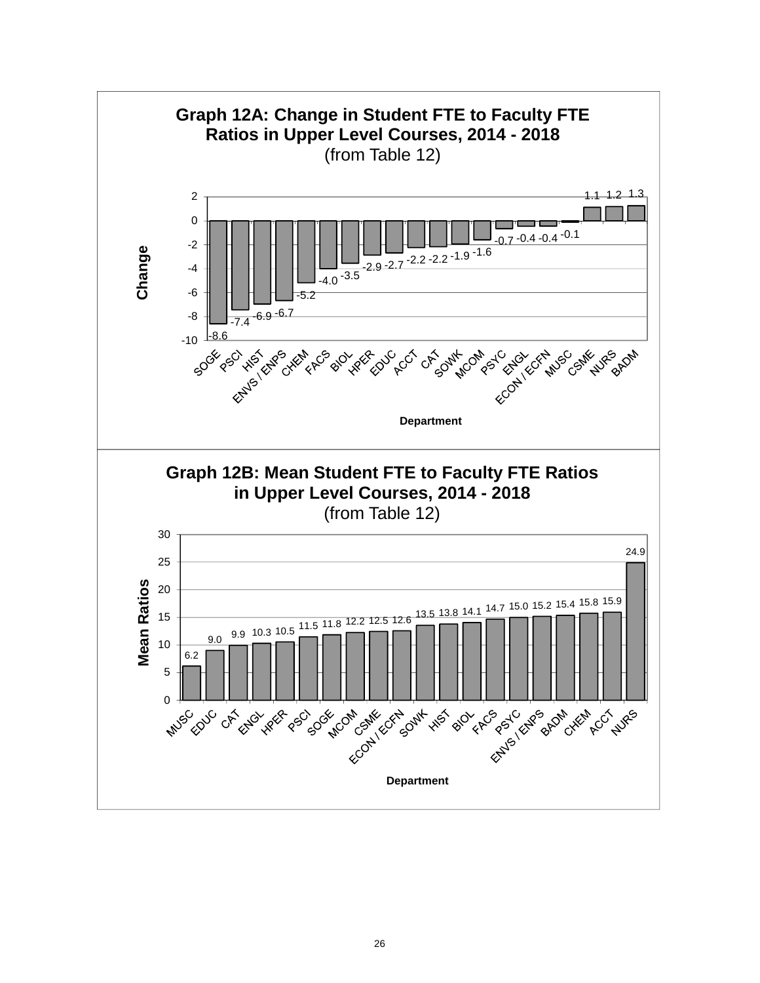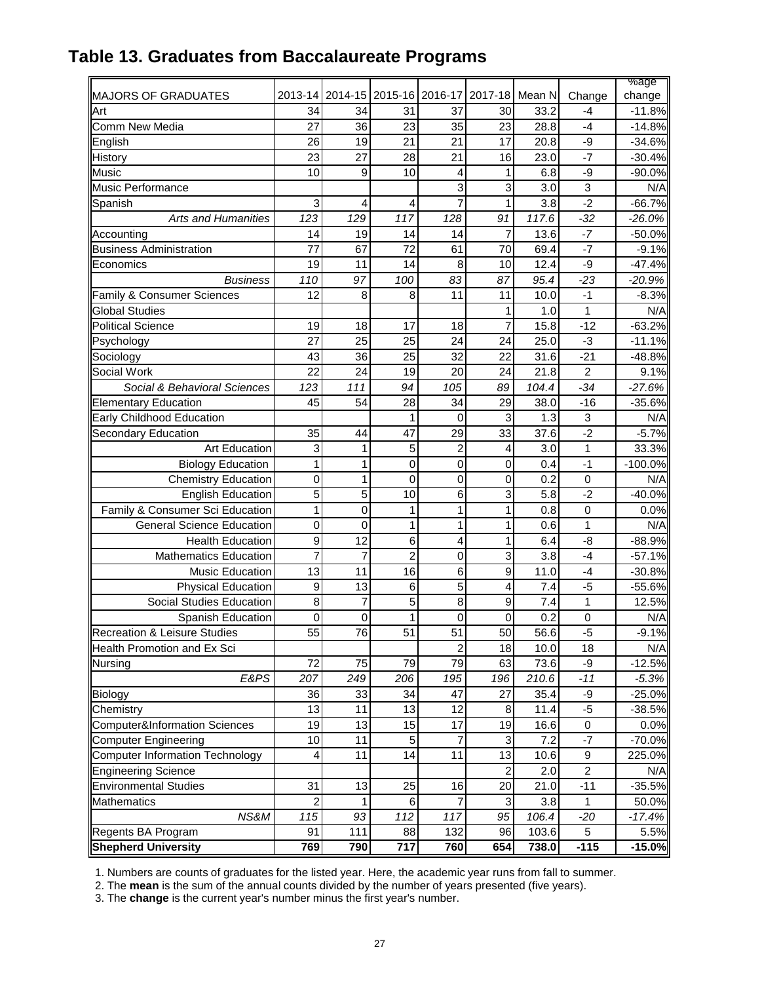|                                          |                         |                 |                                        |                 |                  |       |                | %age      |
|------------------------------------------|-------------------------|-----------------|----------------------------------------|-----------------|------------------|-------|----------------|-----------|
| MAJORS OF GRADUATES                      | 2013-14                 |                 | 2014-15 2015-16 2016-17 2017-18 Mean N |                 |                  |       | Change         | change    |
| Art                                      | 34                      | 34              | 31                                     | 37              | 30               | 33.2  | -4             | $-11.8%$  |
| Comm New Media                           | 27                      | 36              | 23                                     | 35              | 23               | 28.8  | -4             | $-14.8%$  |
| English                                  | 26                      | 19              | 21                                     | 21              | 17               | 20.8  | -9             | $-34.6%$  |
| <b>History</b>                           | 23                      | 27              | 28                                     | 21              | 16               | 23.0  | $-7$           | $-30.4%$  |
| <b>Music</b>                             | 10                      | 9               | 10                                     | 4               | 1                | 6.8   | -9             | $-90.0%$  |
| <b>Music Performance</b>                 |                         |                 |                                        | 3               | 3                | 3.0   | 3              | N/A       |
| Spanish                                  | 3                       | $\overline{4}$  | 4                                      | 7               | 1                | 3.8   | $-2$           | $-66.7%$  |
| <b>Arts and Humanities</b>               | 123                     | 129             | 117                                    | 128             | 91               | 117.6 | $-32$          | $-26.0%$  |
| Accounting                               | 14                      | 19              | 14                                     | 14              | $\overline{7}$   | 13.6  | $-7$           | $-50.0%$  |
| <b>Business Administration</b>           | 77                      | 67              | 72                                     | 61              | 70               | 69.4  | $-7$           | $-9.1%$   |
| Economics                                | 19                      | 11              | 14                                     | 8               | 10               | 12.4  | -9             | $-47.4%$  |
| <b>Business</b>                          | 110                     | 97              | 100                                    | 83              | 87               | 95.4  | -23            | $-20.9%$  |
| Family & Consumer Sciences               | 12                      | 8               | 8                                      | 11              | 11               | 10.0  | $-1$           | $-8.3%$   |
| <b>Global Studies</b>                    |                         |                 |                                        |                 | 1                | 1.0   | 1              | N/A       |
| <b>Political Science</b>                 | 19                      | 18              | 17                                     | 18              | 7                | 15.8  | $-12$          | $-63.2%$  |
|                                          | 27                      | 25              |                                        | 24              | 24               |       | $-3$           | $-11.1%$  |
| Psychology                               |                         |                 | 25                                     |                 |                  | 25.0  |                |           |
| Sociology                                | 43                      | 36              | 25                                     | 32              | 22               | 31.6  | $-21$          | $-48.8%$  |
| Social Work                              | 22                      | 24              | 19                                     | 20              | 24               | 21.8  | 2              | 9.1%      |
| Social & Behavioral Sciences             | 123                     | 111             | 94                                     | 105             | 89               | 104.4 | $-34$          | $-27.6%$  |
| <b>Elementary Education</b>              | 45                      | 54              | 28                                     | 34              | 29               | 38.0  | $-16$          | $-35.6%$  |
| <b>Early Childhood Education</b>         |                         |                 | 1                                      | $\mathbf 0$     | 3                | 1.3   | 3              | N/A       |
| <b>Secondary Education</b>               | 35                      | 44              | 47                                     | 29              | 33               | 37.6  | $-2$           | $-5.7%$   |
| <b>Art Education</b>                     | 3                       | 1               | 5                                      | $\overline{2}$  | 4                | 3.0   | $\mathbf{1}$   | 33.3%     |
| <b>Biology Education</b>                 | 1                       | 1               | 0                                      | $\mathbf 0$     | 0                | 0.4   | $-1$           | $-100.0%$ |
| <b>Chemistry Education</b>               | $\mathbf 0$             | 1               | 0                                      | $\mathbf 0$     | 0                | 0.2   | 0              | N/A       |
| <b>English Education</b>                 | 5                       | 5               | 10                                     | 6               | 3                | 5.8   | $-2$           | $-40.0%$  |
| Family & Consumer Sci Education          | 1                       | $\mathbf 0$     | 1                                      | 1               | 1                | 0.8   | 0              | 0.0%      |
| <b>General Science Education</b>         | 0                       | 0               | 1                                      | 1               | 1                | 0.6   | $\mathbf{1}$   | N/A       |
| <b>Health Education</b>                  | 9                       | 12              | 6                                      | 4               | 1                | 6.4   | -8             | $-88.9%$  |
| <b>Mathematics Education</b>             | 7                       | 7               | $\overline{2}$                         | 0               | 3                | 3.8   | -4             | $-57.1%$  |
| <b>Music Education</b>                   | 13                      | 11              | 16                                     | $\,6$           | $\boldsymbol{9}$ | 11.0  | -4             | $-30.8%$  |
| <b>Physical Education</b>                | $\boldsymbol{9}$        | 13              | $\,6$                                  | 5               | 4                | 7.4   | $-5$           | $-55.6%$  |
| Social Studies Education                 | 8                       | $\overline{7}$  | 5                                      | 8               | 9                | 7.4   | $\mathbf{1}$   | 12.5%     |
| Spanish Education                        | 0                       | $\mathbf 0$     | 1                                      | $\mathbf 0$     | 0                | 0.2   | 0              | N/A       |
| Recreation & Leisure Studies             | 55                      | $\overline{76}$ | 51                                     | $\overline{51}$ | 50               | 56.6  | $-5$           | $-9.1%$   |
| Health Promotion and Ex Sci              |                         |                 |                                        | $\overline{2}$  | 18               | 10.0  | 18             | N/A       |
| Nursing                                  | 72                      | 75              | 79                                     | 79              | 63               | 73.6  | -9             | $-12.5%$  |
| E&PS                                     | 207                     | 249             | 206                                    | 195             | 196              | 210.6 | $-11$          | $-5.3%$   |
|                                          |                         |                 |                                        |                 |                  |       |                |           |
| <b>Biology</b>                           | 36                      | 33              | 34                                     | 47              | 27               | 35.4  | -9             | $-25.0%$  |
| Chemistry                                | 13                      | 11              | 13                                     | 12              | 8                | 11.4  | $-5$           | $-38.5%$  |
| <b>Computer&amp;Information Sciences</b> | 19                      | 13              | 15                                     | 17              | 19               | 16.6  | 0              | 0.0%      |
| <b>Computer Engineering</b>              | 10                      | 11              | 5                                      | 7               | 3                | 7.2   | $-7$           | $-70.0%$  |
| <b>Computer Information Technology</b>   | 4                       | 11              | 14                                     | 11              | 13               | 10.6  | 9              | 225.0%    |
| <b>Engineering Science</b>               |                         |                 |                                        |                 | $\overline{c}$   | 2.0   | $\overline{c}$ | N/A       |
| <b>Environmental Studies</b>             | 31                      | 13              | 25                                     | 16              | 20               | 21.0  | $-11$          | $-35.5%$  |
| <b>Mathematics</b>                       | $\overline{\mathbf{c}}$ | 1               | 6                                      | 7               | 3                | 3.8   | 1              | 50.0%     |
| NS&M                                     | 115                     | 93              | 112                                    | 117             | 95               | 106.4 | $-20$          | $-17.4%$  |
| Regents BA Program                       | 91                      | 111             | 88                                     | 132             | 96               | 103.6 | 5              | 5.5%      |
| <b>Shepherd University</b>               | 769                     | 790             | 717                                    | 760             | 654              | 738.0 | $-115$         | $-15.0%$  |

# **Table 13. Graduates from Baccalaureate Programs**

1. Numbers are counts of graduates for the listed year. Here, the academic year runs from fall to summer.

2. The **mean** is the sum of the annual counts divided by the number of years presented (five years).

3. The **change** is the current year's number minus the first year's number.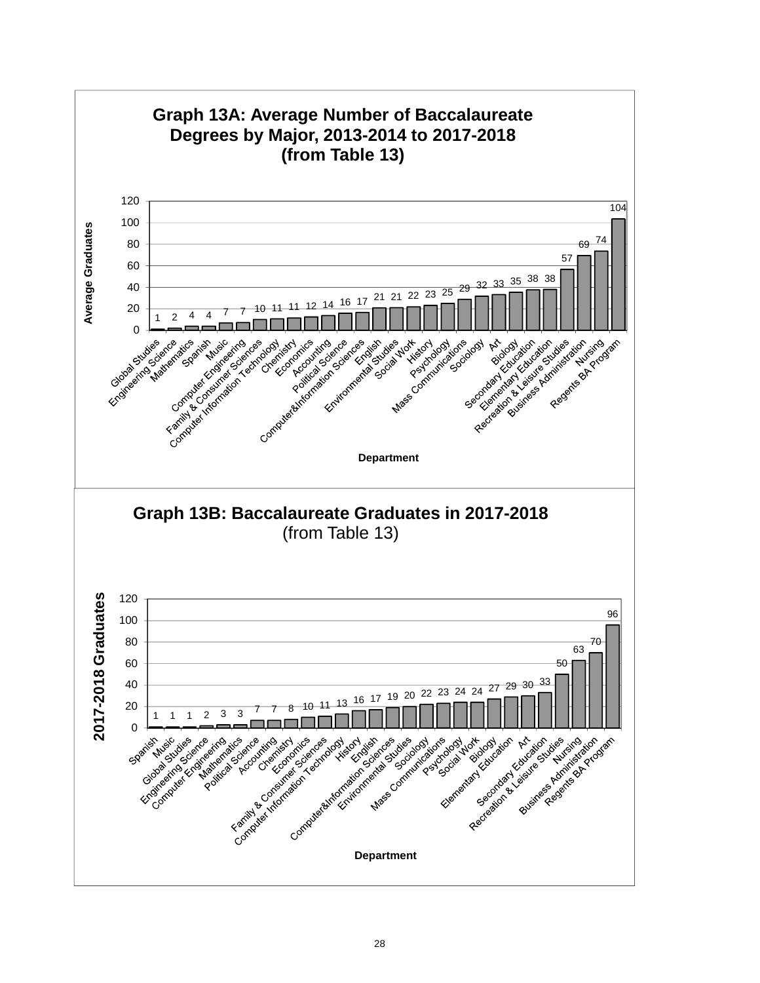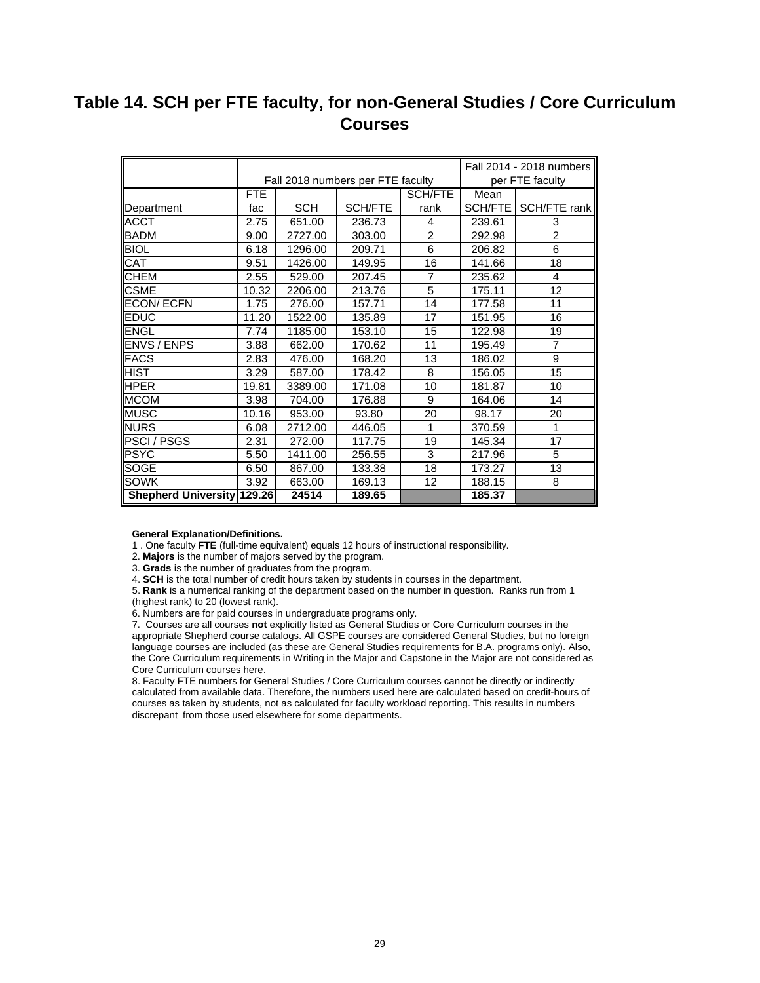# **Table 14. SCH per FTE faculty, for non-General Studies / Core Curriculum Courses**

|                                   |            |            |                                   |                |           | Fall 2014 - 2018 numbers |
|-----------------------------------|------------|------------|-----------------------------------|----------------|-----------|--------------------------|
|                                   |            |            | Fall 2018 numbers per FTE faculty |                |           | per FTE faculty          |
|                                   | <b>FTE</b> |            |                                   | SCH/FTE        | Mean      |                          |
| Department                        | fac        | <b>SCH</b> | <b>SCH/FTE</b>                    | rank           | SCH/FTE I | SCH/FTE rank             |
| <b>ACCT</b>                       | 2.75       | 651.00     | 236.73                            | 4              | 239.61    | 3                        |
| BADM                              | 9.00       | 2727.00    | 303.00                            | $\overline{2}$ | 292.98    | $\overline{2}$           |
| <b>BIOL</b>                       | 6.18       | 1296.00    | 209.71                            | 6              | 206.82    | 6                        |
| CAT                               | 9.51       | 1426.00    | 149.95                            | 16             | 141.66    | 18                       |
| <b>CHEM</b>                       | 2.55       | 529.00     | 207.45                            | $\overline{7}$ | 235.62    | 4                        |
| <b>CSME</b>                       | 10.32      | 2206.00    | 213.76                            | 5              | 175.11    | 12                       |
| <b>ECON/ECFN</b>                  | 1.75       | 276.00     | 157.71                            | 14             | 177.58    | 11                       |
| <b>EDUC</b>                       | 11.20      | 1522.00    | 135.89                            | 17             | 151.95    | 16                       |
| ENGL                              | 7.74       | 1185.00    | 153.10                            | 15             | 122.98    | 19                       |
| <b>ENVS / ENPS</b>                | 3.88       | 662.00     | 170.62                            | 11             | 195.49    | $\overline{7}$           |
| <b>FACS</b>                       | 2.83       | 476.00     | 168.20                            | 13             | 186.02    | 9                        |
| IHIST                             | 3.29       | 587.00     | 178.42                            | 8              | 156.05    | 15                       |
| <b>IHPER</b>                      | 19.81      | 3389.00    | 171.08                            | 10             | 181.87    | 10                       |
| <b>MCOM</b>                       | 3.98       | 704.00     | 176.88                            | 9              | 164.06    | 14                       |
| <b>MUSC</b>                       | 10.16      | 953.00     | 93.80                             | 20             | 98.17     | 20                       |
| <b>INURS</b>                      | 6.08       | 2712.00    | 446.05                            | 1              | 370.59    | 1                        |
| <b>PSCI/PSGS</b>                  | 2.31       | 272.00     | 117.75                            | 19             | 145.34    | 17                       |
| <b>PSYC</b>                       | 5.50       | 1411.00    | 256.55                            | 3              | 217.96    | 5                        |
| <b>SOGE</b>                       | 6.50       | 867.00     | 133.38                            | 18             | 173.27    | 13                       |
| <b>SOWK</b>                       | 3.92       | 663.00     | 169.13                            | 12             | 188.15    | 8                        |
| <b>Shepherd University 129.26</b> |            | 24514      | 189.65                            |                | 185.37    |                          |

**General Explanation/Definitions.**

1 . One faculty **FTE** (full-time equivalent) equals 12 hours of instructional responsibility.

2. **Majors** is the number of majors served by the program.

3. **Grads** is the number of graduates from the program.

4. **SCH** is the total number of credit hours taken by students in courses in the department.

5. **Rank** is a numerical ranking of the department based on the number in question. Ranks run from 1 (highest rank) to 20 (lowest rank).

6. Numbers are for paid courses in undergraduate programs only.

7. Courses are all courses **not** explicitly listed as General Studies or Core Curriculum courses in the appropriate Shepherd course catalogs. All GSPE courses are considered General Studies, but no foreign language courses are included (as these are General Studies requirements for B.A. programs only). Also, the Core Curriculum requirements in Writing in the Major and Capstone in the Major are not considered as Core Curriculum courses here.

8. Faculty FTE numbers for General Studies / Core Curriculum courses cannot be directly or indirectly calculated from available data. Therefore, the numbers used here are calculated based on credit-hours of courses as taken by students, not as calculated for faculty workload reporting. This results in numbers discrepant from those used elsewhere for some departments.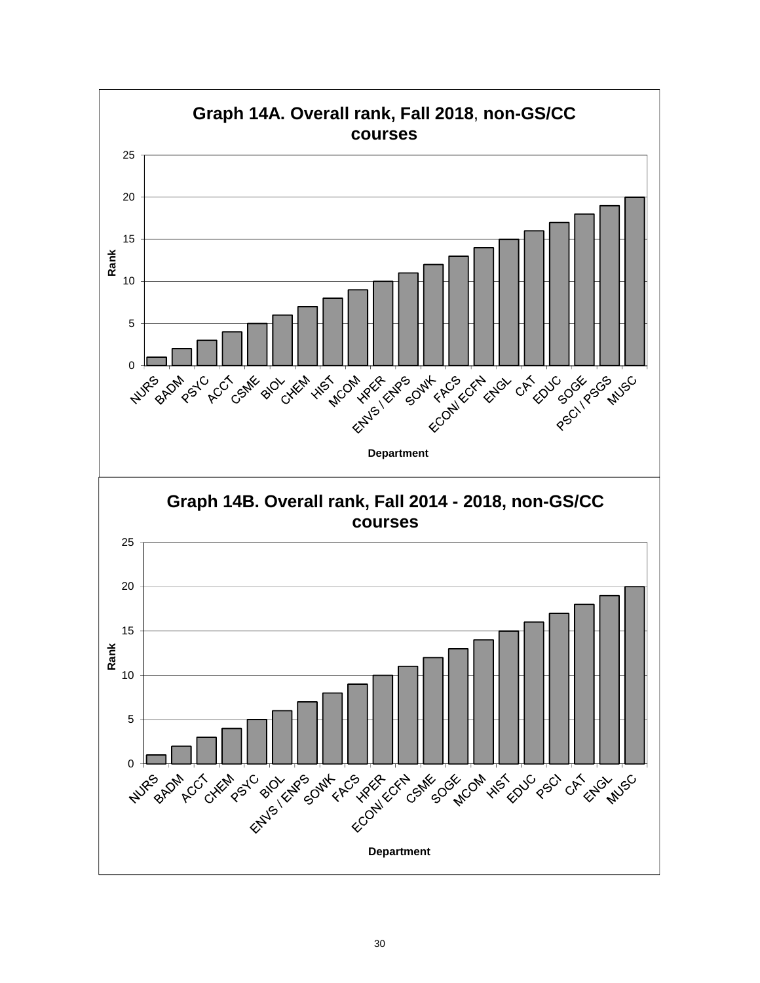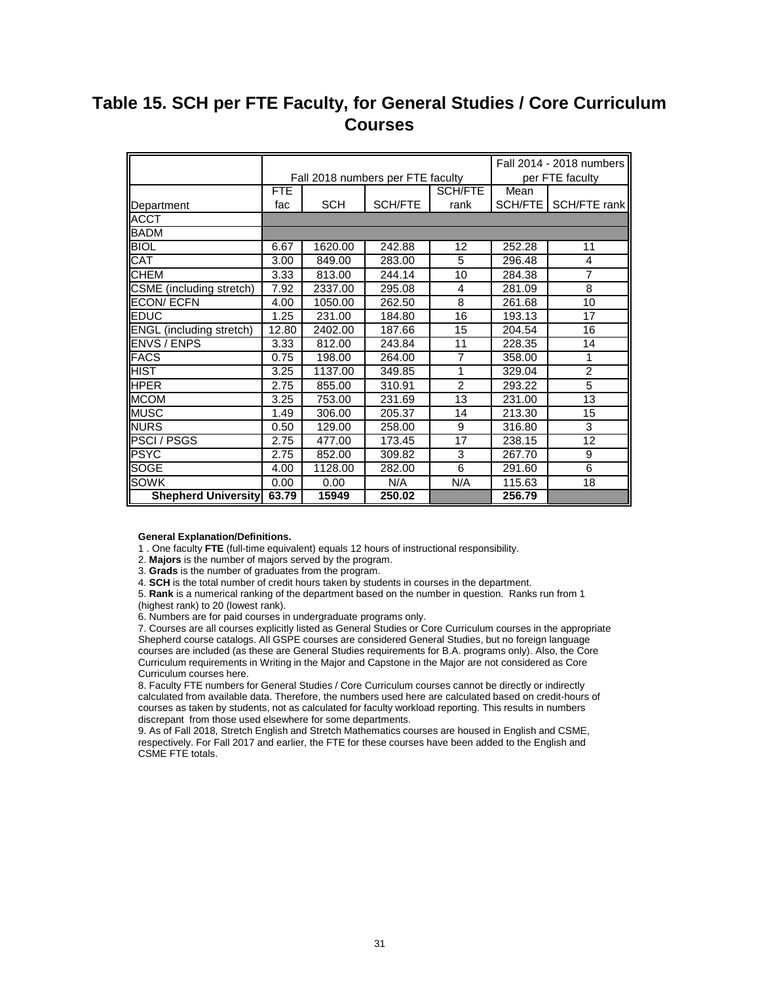# **Table 15. SCH per FTE Faculty, for General Studies / Core Curriculum Courses**

|                                 |       |            |                                   |                |        | Fall 2014 - 2018 numbers |
|---------------------------------|-------|------------|-----------------------------------|----------------|--------|--------------------------|
|                                 |       |            | Fall 2018 numbers per FTE faculty |                |        | per FTE faculty          |
|                                 | FTE   |            |                                   | <b>SCH/FTE</b> | Mean   |                          |
| Department                      | fac   | <b>SCH</b> | SCH/FTE                           | rank           |        | SCH/FTE   SCH/FTE rank   |
| <b>ACCT</b>                     |       |            |                                   |                |        |                          |
| <b>BADM</b>                     |       |            |                                   |                |        |                          |
| <b>BIOL</b>                     | 6.67  | 1620.00    | 242.88                            | 12             | 252.28 | 11                       |
| CAT                             | 3.00  | 849.00     | 283.00                            | 5              | 296.48 | 4                        |
| <b>CHEM</b>                     | 3.33  | 813.00     | 244.14                            | 10             | 284.38 | $\overline{7}$           |
| CSME (including stretch)        | 7.92  | 2337.00    | 295.08                            | 4              | 281.09 | 8                        |
| <b>ECON/ECFN</b>                | 4.00  | 1050.00    | 262.50                            | 8              | 261.68 | 10                       |
| <b>EDUC</b>                     | 1.25  | 231.00     | 184.80                            | 16             | 193.13 | 17                       |
| <b>ENGL</b> (including stretch) | 12.80 | 2402.00    | 187.66                            | 15             | 204.54 | 16                       |
| <b>ENVS / ENPS</b>              | 3.33  | 812.00     | 243.84                            | 11             | 228.35 | 14                       |
| <b>FACS</b>                     | 0.75  | 198.00     | 264.00                            | $\overline{7}$ | 358.00 | 1                        |
| <b>HIST</b>                     | 3.25  | 1137.00    | 349.85                            | 1              | 329.04 | $\overline{2}$           |
| <b>IHPER</b>                    | 2.75  | 855.00     | 310.91                            | 2              | 293.22 | $\overline{5}$           |
| <b>MCOM</b>                     | 3.25  | 753.00     | 231.69                            | 13             | 231.00 | $\overline{13}$          |
| <b>MUSC</b>                     | 1.49  | 306.00     | 205.37                            | 14             | 213.30 | 15                       |
| <b>NURS</b>                     | 0.50  | 129.00     | 258.00                            | 9              | 316.80 | 3                        |
| <b>PSCI/PSGS</b>                | 2.75  | 477.00     | 173.45                            | 17             | 238.15 | 12                       |
| <b>PSYC</b>                     | 2.75  | 852.00     | 309.82                            | 3              | 267.70 | 9                        |
| <b>SOGE</b>                     | 4.00  | 1128.00    | 282.00                            | 6              | 291.60 | 6                        |
| <b>SOWK</b>                     | 0.00  | 0.00       | N/A                               | N/A            | 115.63 | 18                       |
| <b>Shepherd University</b>      | 63.79 | 15949      | 250.02                            |                | 256.79 |                          |

#### **General Explanation/Definitions.**

1 . One faculty **FTE** (full-time equivalent) equals 12 hours of instructional responsibility.

2. **Majors** is the number of majors served by the program.

3. **Grads** is the number of graduates from the program.

4. **SCH** is the total number of credit hours taken by students in courses in the department.

5. **Rank** is a numerical ranking of the department based on the number in question. Ranks run from 1 (highest rank) to 20 (lowest rank).

6. Numbers are for paid courses in undergraduate programs only.

7. Courses are all courses explicitly listed as General Studies or Core Curriculum courses in the appropriate Shepherd course catalogs. All GSPE courses are considered General Studies, but no foreign language courses are included (as these are General Studies requirements for B.A. programs only). Also, the Core Curriculum requirements in Writing in the Major and Capstone in the Major are not considered as Core Curriculum courses here.

8. Faculty FTE numbers for General Studies / Core Curriculum courses cannot be directly or indirectly calculated from available data. Therefore, the numbers used here are calculated based on credit-hours of courses as taken by students, not as calculated for faculty workload reporting. This results in numbers discrepant from those used elsewhere for some departments.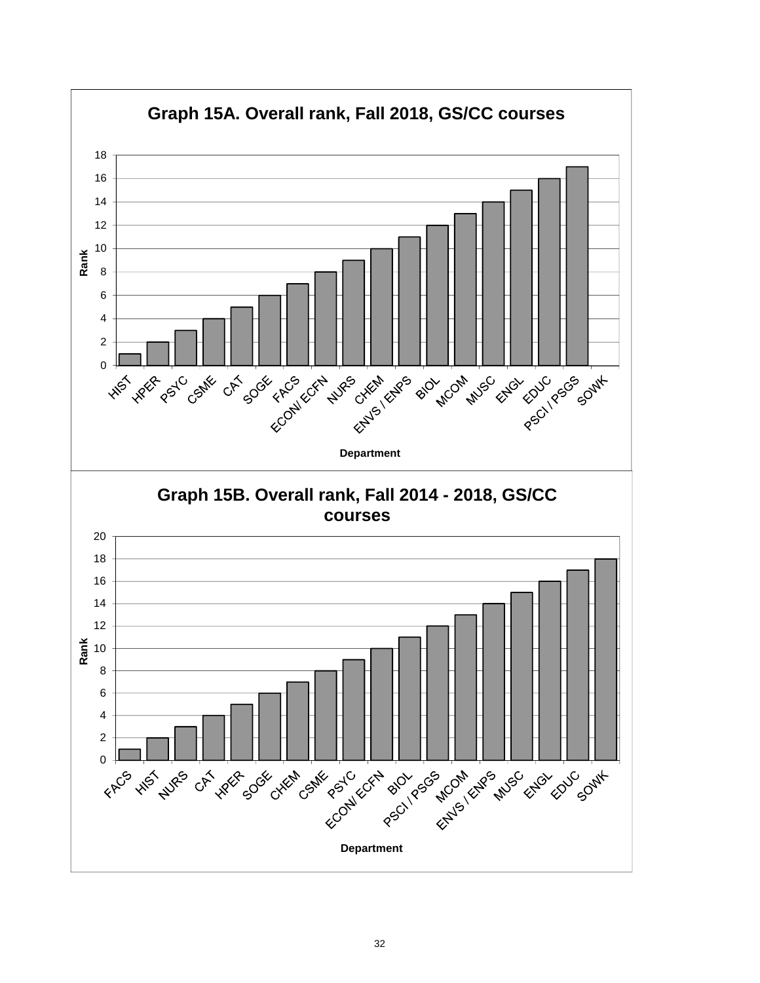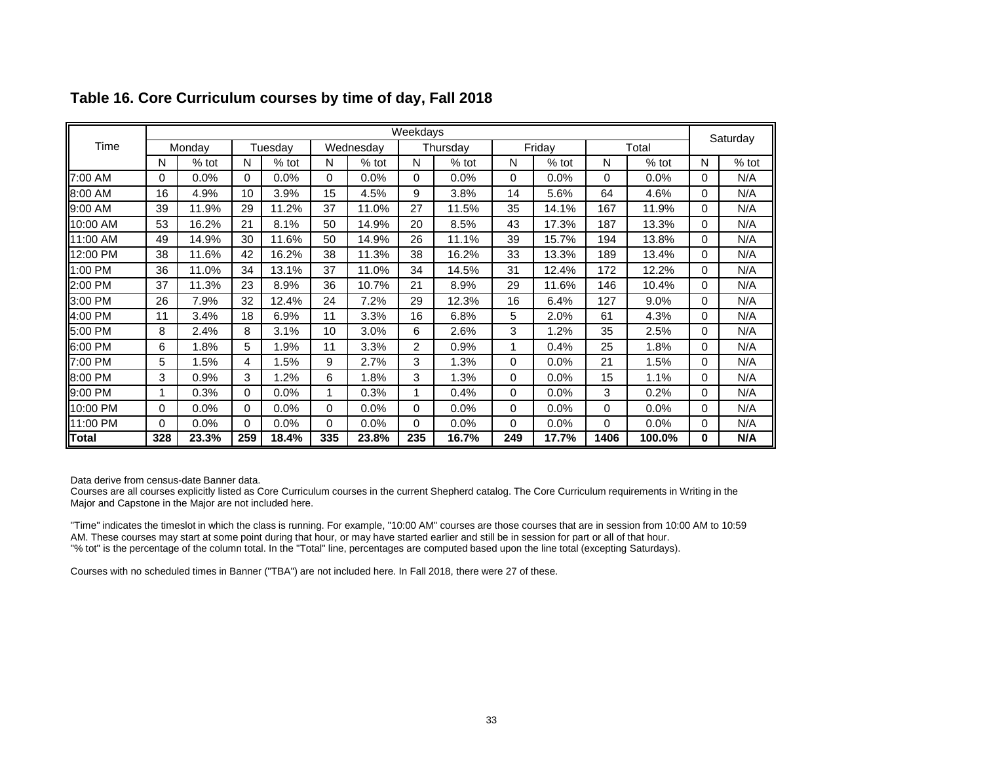|              |     |         |     |         |          |           | Weekdays |          |          |         |      |         |          | Saturday |
|--------------|-----|---------|-----|---------|----------|-----------|----------|----------|----------|---------|------|---------|----------|----------|
| Time         |     | Monday  |     | Tuesday |          | Wednesday |          | Thursday |          | Friday  |      | Total   |          |          |
|              | N   | $%$ tot | N   | $%$ tot | N        | $%$ tot   | N        | $%$ tot  | N        | $%$ tot | N    | $%$ tot | N        | $%$ tot  |
| 7:00 AM      | 0   | $0.0\%$ | 0   | 0.0%    | $\Omega$ | 0.0%      | 0        | 0.0%     | $\Omega$ | 0.0%    | 0    | 0.0%    | 0        | N/A      |
| 8:00 AM      | 16  | 4.9%    | 10  | 3.9%    | 15       | 4.5%      | 9        | 3.8%     | 14       | 5.6%    | 64   | 4.6%    | $\Omega$ | N/A      |
| 9:00 AM      | 39  | 11.9%   | 29  | 11.2%   | 37       | 11.0%     | 27       | 11.5%    | 35       | 14.1%   | 167  | 11.9%   | $\Omega$ | N/A      |
| 10:00 AM     | 53  | 16.2%   | 21  | 8.1%    | 50       | 14.9%     | 20       | 8.5%     | 43       | 17.3%   | 187  | 13.3%   | 0        | N/A      |
| 11:00 AM     | 49  | 14.9%   | 30  | 11.6%   | 50       | 14.9%     | 26       | 11.1%    | 39       | 15.7%   | 194  | 13.8%   | 0        | N/A      |
| 12:00 PM     | 38  | 11.6%   | 42  | 16.2%   | 38       | 11.3%     | 38       | 16.2%    | 33       | 13.3%   | 189  | 13.4%   | 0        | N/A      |
| 1:00 PM      | 36  | 11.0%   | 34  | 13.1%   | 37       | 11.0%     | 34       | 14.5%    | 31       | 12.4%   | 172  | 12.2%   | $\Omega$ | N/A      |
| 2:00 PM      | 37  | 11.3%   | 23  | 8.9%    | 36       | 10.7%     | 21       | 8.9%     | 29       | 11.6%   | 146  | 10.4%   | $\Omega$ | N/A      |
| 3:00 PM      | 26  | 7.9%    | 32  | 12.4%   | 24       | 7.2%      | 29       | 12.3%    | 16       | 6.4%    | 127  | 9.0%    | 0        | N/A      |
| 4:00 PM      | 11  | 3.4%    | 18  | 6.9%    | 11       | 3.3%      | 16       | 6.8%     | 5        | 2.0%    | 61   | 4.3%    | $\Omega$ | N/A      |
| 5:00 PM      | 8   | 2.4%    | 8   | 3.1%    | 10       | 3.0%      | 6        | 2.6%     | 3        | 1.2%    | 35   | 2.5%    | 0        | N/A      |
| 6:00 PM      | 6   | 1.8%    | 5   | .9%     | 11       | 3.3%      | 2        | 0.9%     |          | 0.4%    | 25   | 1.8%    | $\Omega$ | N/A      |
| 7:00 PM      | 5   | 1.5%    | 4   | 1.5%    | 9        | 2.7%      | 3        | 1.3%     | $\Omega$ | 0.0%    | 21   | 1.5%    | $\Omega$ | N/A      |
| 8:00 PM      | 3   | 0.9%    | 3   | $.2\%$  | 6        | 1.8%      | 3        | 1.3%     | 0        | 0.0%    | 15   | 1.1%    | $\Omega$ | N/A      |
| 9:00 PM      | 1   | 0.3%    | 0   | 0.0%    | 1        | 0.3%      |          | 0.4%     | $\Omega$ | 0.0%    | 3    | 0.2%    | $\Omega$ | N/A      |
| 10:00 PM     | 0   | 0.0%    | 0   | 0.0%    | $\Omega$ | $0.0\%$   | 0        | 0.0%     | $\Omega$ | 0.0%    | 0    | 0.0%    | $\Omega$ | N/A      |
| 11:00 PM     | 0   | $0.0\%$ | 0   | 0.0%    | $\Omega$ | $0.0\%$   | 0        | 0.0%     | $\Omega$ | 0.0%    | 0    | $0.0\%$ | $\Omega$ | N/A      |
| <b>Total</b> | 328 | 23.3%   | 259 | 18.4%   | 335      | 23.8%     | 235      | 16.7%    | 249      | 17.7%   | 1406 | 100.0%  | 0        | N/A      |

## **Table 16. Core Curriculum courses by time of day, Fall 2018**

Data derive from census-date Banner data.

 Courses are all courses explicitly listed as Core Curriculum courses in the current Shepherd catalog. The Core Curriculum requirements in Writing in the Major and Capstone in the Major are not included here.

"Time" indicates the timeslot in which the class is running. For example, "10:00 AM" courses are those courses that are in session from 10:00 AM to 10:59 AM. These courses may start at some point during that hour, or may have started earlier and still be in session for part or all of that hour. "% tot" is the percentage of the column total. In the "Total" line, percentages are computed based upon the line total (excepting Saturdays).

Courses with no scheduled times in Banner ("TBA") are not included here. In Fall 2018, there were 27 of these.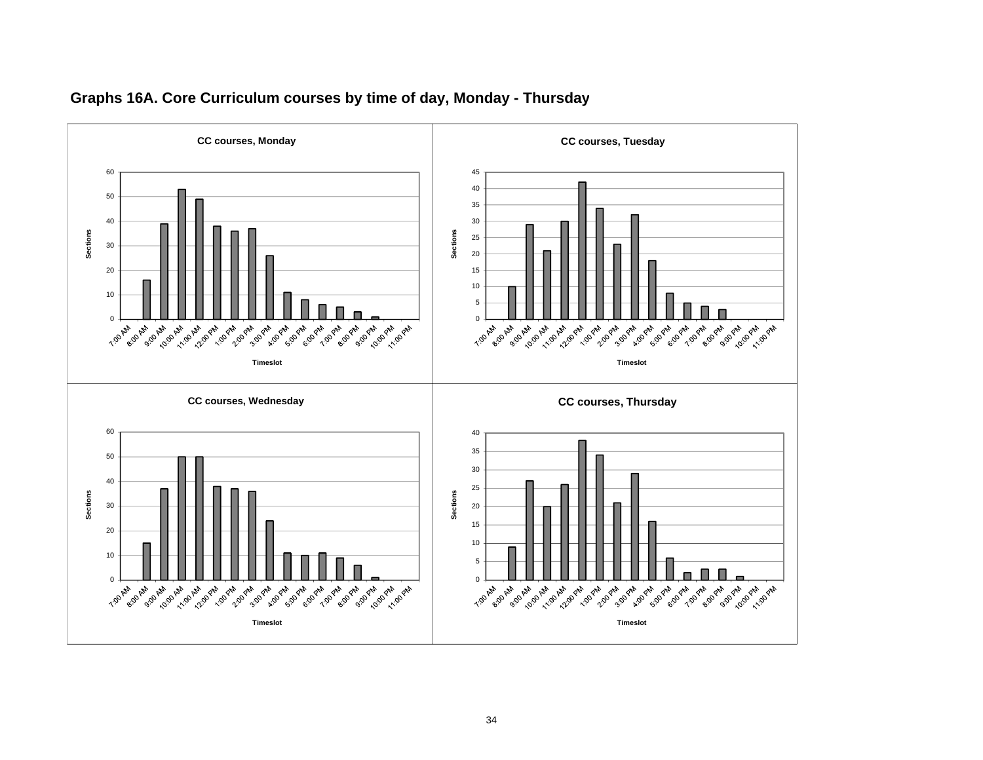

## **Graphs 16A. Core Curriculum courses by time of day, Monday - Thursda y**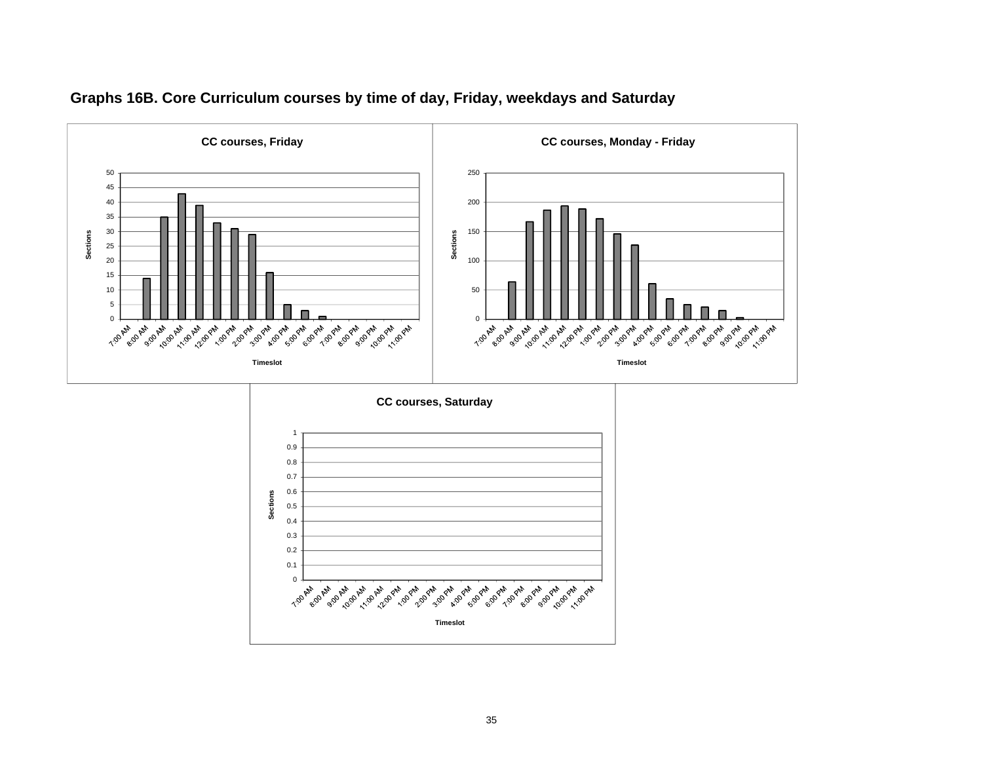

## **Graphs 16B. Core Curriculum courses by time of day, Friday, weekdays and Saturday**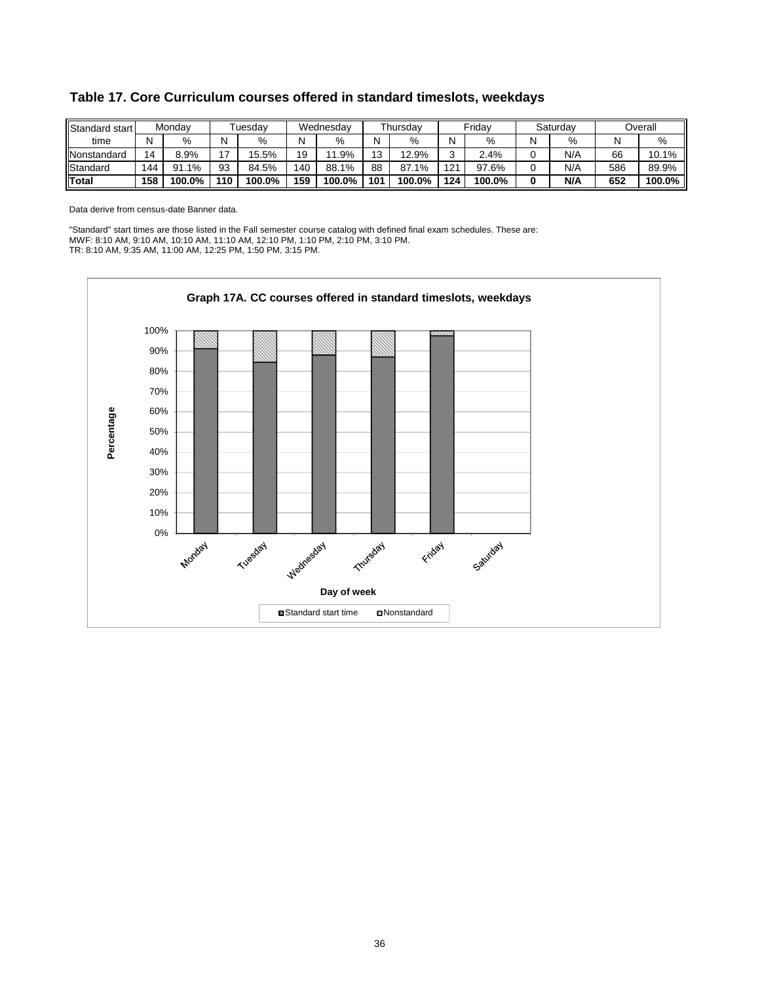| Standard start |     | Monday       |     | <sup>-</sup> uesdav |     | Wednesdav             |     | Thursday |             | Fridav |   | Saturday |     | Overall |
|----------------|-----|--------------|-----|---------------------|-----|-----------------------|-----|----------|-------------|--------|---|----------|-----|---------|
| time           | N   | %            | N   | %                   | Ν   | %                     | N   | %        | N           | %      | N | %        |     | %       |
| Nonstandard    | 14  | 8.9%         | - י | 15.5%               | 19  | .9%<br>$\overline{ }$ | 12  | 12.9%    | $\sim$<br>ບ | 2.4%   |   | N/A      | 66  | 10.1%   |
| Standard       | 144 | $.1\%$<br>91 | 93  | 84.5%               | 140 | 88.1%                 | 88  | 87.1%    | 121         | 97.6%  |   | N/A      | 586 | 89.9%   |
| Total          | 158 | 100.0%       | 110 | 100.0%              | 159 | $100.0\%$             | 101 | 100.0%   | 124         | 100.0% | 0 | N/A      | 652 | 100.0%  |

**Table 17. Core Curriculum courses offered in standard timeslots, weekdays**

Data derive from census-date Banner data.

"Standard" start times are those listed in the Fall semester course catalog with defined final exam schedules. These are: MWF: 8:10 AM, 9:10 AM, 10:10 AM, 11:10 AM, 12:10 PM, 1:10 PM, 2:10 PM, 3:10 PM. TR: 8:10 AM, 9:35 AM, 11:00 AM, 12:25 PM, 1:50 PM, 3:15 PM.

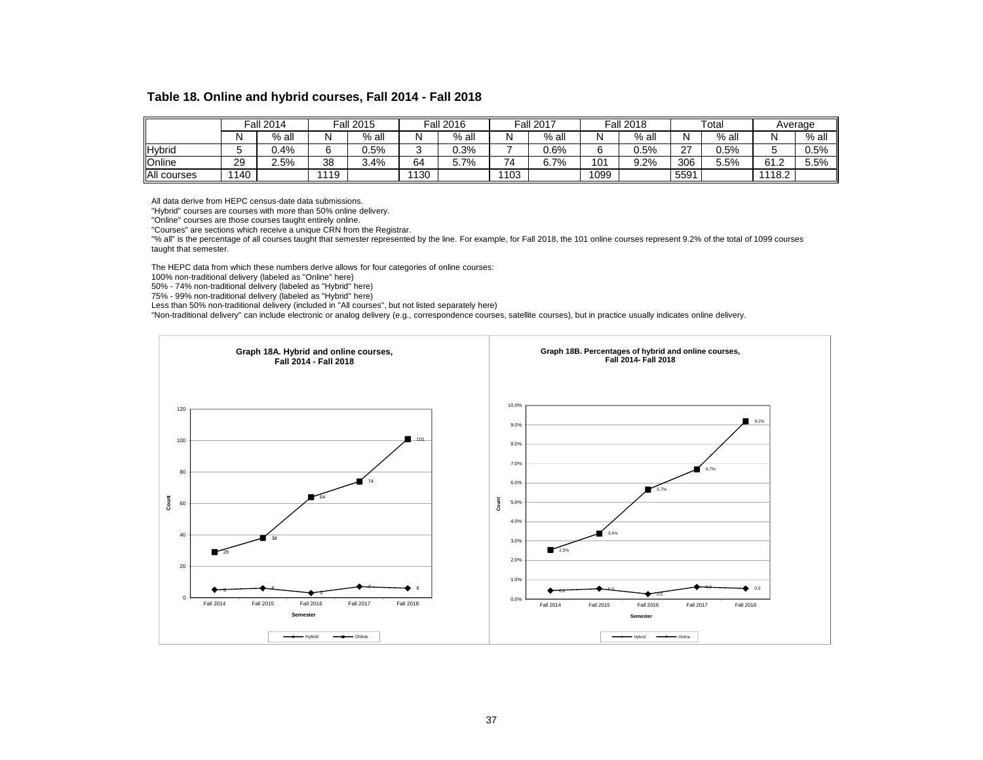#### **Table 18. Online and hybrid courses, Fall 2014 - Fall 2018**

|               |     | <b>Fall 2014</b> |      | <b>Fall 2015</b> |      | <b>Fall 2016</b> |      | <b>Fall 2017</b> |          | <b>Fall 2018</b> |                    | Total   |        | Average |
|---------------|-----|------------------|------|------------------|------|------------------|------|------------------|----------|------------------|--------------------|---------|--------|---------|
|               | N   | $%$ all          | N    | $%$ all          | IΝ   | $%$ all          |      | $%$ all          |          | $%$ all          | N                  | $%$ all |        | % all   |
| Hybrid        |     | $0.4\%$          |      | 0.5%             |      | 0.3%             |      | 0.6%             |          | 0.5%             | $\sim$<br><u>.</u> | $0.5\%$ |        | $0.5\%$ |
| <b>Online</b> | 29  | 2.5%             | 38   | 3.4%             | 64   | 5.7%             | 74   | 6.7%             | 101<br>ັ | 9.2%             | 306                | 5.5%    | 61.2   | 5.5%    |
| All courses   | 140 |                  | 1119 |                  | 1130 |                  | 1103 |                  | 1099     |                  | 5591               |         | 1118.2 |         |

All data derive from HEPC census-date data submissions.

"Hybrid" courses are courses with more than 50% online delivery.

"Online" courses are those courses taught entirely online.

"Courses" are sections which receive a unique CRN from the Registrar.

"% all" is the percentage of all courses taught that semester represented by the line. For example, for Fall 2018, the 101 online courses represent 9.2% of the total of 1099 courses taught that semester.

The HEPC data from which these numbers derive allows for four categories of online courses:

100% non-traditional delivery (labeled as "Online" here)

50% - 74% non-traditional delivery (labeled as "Hybrid" here)

75% - 99% non-traditional delivery (labeled as "Hybrid" here)

Less than 50% non-traditional delivery (included in "All courses", but not listed separately here)

"Non-traditional delivery" can include electronic or analog delivery (e.g., correspondence courses, satellite courses), but in practice usually indicates online delivery.

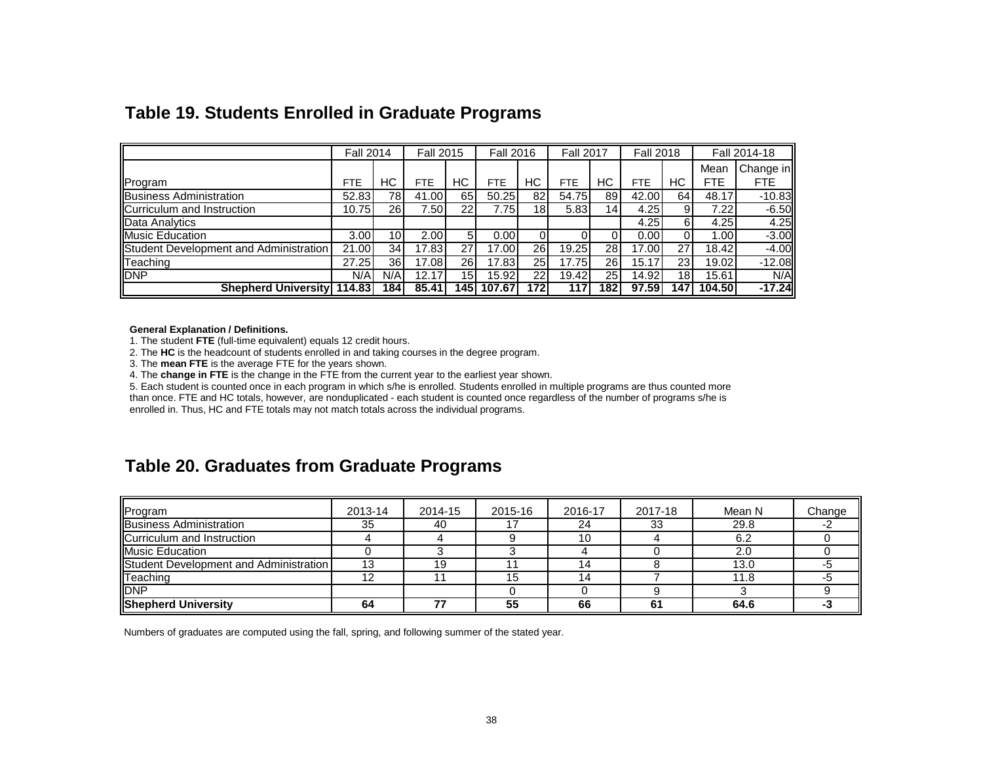|                                        | <b>Fall 2014</b> |     | <b>Fall 2015</b> |                 | <b>Fall 2016</b> |                 | <b>Fall 2017</b> |                 | <b>Fall 2018</b> |     |            | Fall 2014-18 |
|----------------------------------------|------------------|-----|------------------|-----------------|------------------|-----------------|------------------|-----------------|------------------|-----|------------|--------------|
|                                        |                  |     |                  |                 |                  |                 |                  |                 |                  |     | Mean       | Change in    |
| Program                                | <b>FTE</b>       | НC  | <b>FTE</b>       | НC              | <b>FTE</b>       | HС              | FTE              | НC              | FTE              | HС  | <b>FTE</b> | <b>FTE</b>   |
| <b>IBusiness Administration</b>        | 52.83            | 78  | 41.00            | 65              | 50.25            | 82              | 54.75            | 89              | 42.00            | 64  | 48.17      | $-10.83$     |
| Curriculum and Instruction             | 10.75            | 26  | 7.50 l           | 22 <sub>1</sub> | 7.75             | 18 <sub>1</sub> | 5.83             | 14 <sub>1</sub> | 4.25             |     | 7.22       | $-6.50$      |
| Data Analytics                         |                  |     |                  |                 |                  |                 |                  |                 | 4.25             | 6   | 4.25       | 4.25         |
| Music Education                        | 3.00             | 10  | 2.00             |                 | 0.00             |                 |                  |                 | 0.001            |     | 1.00       | $-3.00$      |
| Student Development and Administration | 21.00            | 34  | 17.83            | 27              | 17.00            | 26              | 19.25            | 28              | 17.00            | 27  | 18.42      | $-4.00$      |
| Teaching                               | 27.25            | 36  | 17.08            | 26              | 17.83            | 25              | 17.75            | 26              | 15.17            | 23  | 19.02      | $-12.08$     |
| <b>DNP</b>                             | N/A              | N/A | 12.17            | 15              | 15.92            | 22              | 19.42            | 25              | 14.92            | 18  | 15.61      | N/A          |
| <b>Shepherd University 114.83</b>      |                  | 184 | 85.41            | 1451            | 107.67           | 172             | 117              | 182             | 97.59            | 147 | 104.50     | $-17.24$     |

# **Table 19. Students Enrolled in Graduate Programs**

#### **General Explanation / Definitions.**

1. The student **FTE** (full-time equivalent) equals 12 credit hours.

2. The **HC** is the headcount of students enrolled in and taking courses in the degree program.

3. The **mean FTE** is the average FTE for the years shown.

4. The **change in FTE** is the change in the FTE from the current year to the earliest year shown.

5. Each student is counted once in each program in which s/he is enrolled. Students enrolled in multiple programs are thus counted more than once. FTE and HC totals, however, are nonduplicated - each student is counted once regardless of the number of programs s/he is enrolled in. Thus, HC and FTE totals may not match totals across the individual programs.

# **Table 20. Graduates from Graduate Programs**

| Program                                | 2013-14 | 2014-15 | 2015-16 | 2016-17 | 2017-18 | Mean N | Change |
|----------------------------------------|---------|---------|---------|---------|---------|--------|--------|
| <b>Business Administration</b>         | 35      | 40      |         | 24      | 33      | 29.8   |        |
| Curriculum and Instruction             |         |         |         |         |         | 6.2    |        |
| <b>Music Education</b>                 |         |         |         |         |         | 2.0    |        |
| Student Development and Administration |         | 19      |         |         |         | 13.0   |        |
| Teaching                               | 1 ຕ     |         |         |         |         | 11.8   |        |
| <b>DNP</b>                             |         |         |         |         |         |        |        |
| <b>Shepherd University</b>             | 64      |         | 55      | 66      | 61      | 64.6   |        |

Numbers of graduates are computed using the fall, spring, and following summer of the stated year.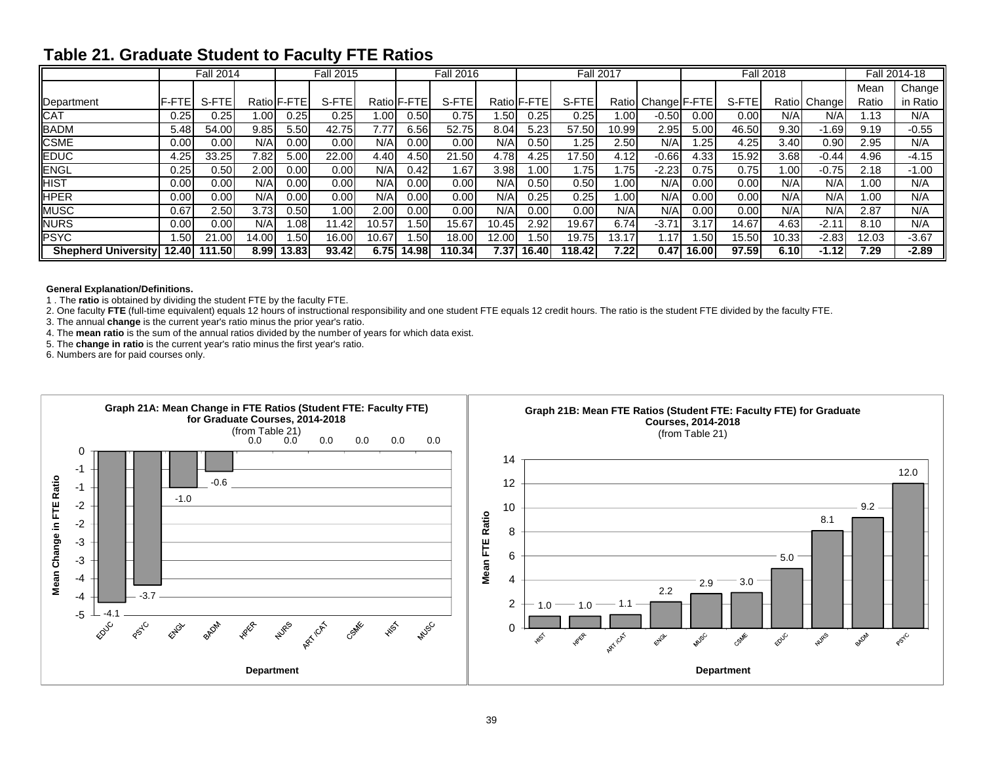# **Table 21. Graduate Student to Faculty FTE Ratios**

|                            |        | <b>Fall 2014</b> |         |                    | <b>Fall 2015</b> |       |             | <b>Fall 2016</b> |                  |             |        | <b>Fall 2017</b> |                     |       |       | <b>Fall 2018</b> |              |                  | Fall 2014-18 |
|----------------------------|--------|------------------|---------|--------------------|------------------|-------|-------------|------------------|------------------|-------------|--------|------------------|---------------------|-------|-------|------------------|--------------|------------------|--------------|
|                            |        |                  |         |                    |                  |       |             |                  |                  |             |        |                  |                     |       |       |                  |              | Mean             | Change       |
| Department                 | IF-FTE | S-FTE            |         | Ratio <b>F-FTE</b> | S-FTE            |       | Ratio F-FTE | S-FTE            |                  | Ratio F-FTE | S-FTE  |                  | Ratiol Change F-FTE |       | S-FTE |                  | Ratio Change | Ratio            | in Ratio     |
| CAT                        | 0.25   | 7.25             | ا 00. ا | 0.25               | 0.25             | 1.001 | 0.50        | 0.75             | .50 <sub>l</sub> | 0.25        | 0.25   | 1.00             | $-0.50$             | 0.00  | 0.00  | N/AI             | N/A          | $\overline{.13}$ | N/A          |
| <b>BADM</b>                | 5.48   | 54.00            | 9.85    | 5.50               | 42.75            | 7.77. | 6.56        | 52.75            | 8.04             | 5.23        | 57.50  | 10.99            | 2.95                | 5.00  | 46.50 | 9.30             | 1.69         | 9.19             | $-0.55$      |
| <b>CSME</b>                | 0.00   | 0.00             | N/A     | 0.00               | 0.00             | N/A   | 0.00        | 0.00             | N/A              | 0.50        | .25    | 2.50             | N/A                 | .25   | 4.25  | 3.40             | $0.90\,$     | 2.95             | N/A          |
| <b>EDUC</b>                | 4.25   | 33.25            | 7.82    | 5.00               | 22.00            | 4.40  | 4.50        | 21.50            | 4.78             | 4.25        | 17.50  | 4.12             | $-0.66$             | 4.33  | 15.92 | 3.68             | $-0.44$      | 4.96             | $-4.15$      |
| <b>ENGL</b>                | 0.25   | 0.50             | 2.00    | 0.00               | 0.00             | N/A   | 0.42        | .67              | 3.98             | 1.001       | .75۱   | 1.75             | $-2.23$             | 0.75  | 0.75  | .00 <sub>l</sub> | $-0.75$      | 2.18             | $-1.00$      |
| HIST                       | 0.00   | 0.00             | N/A     | 0.00               | 0.00             | N/A   | 0.00        | 0.00             | N/A              | 0.50        | 0.50   | 1.00             | N/A                 | 0.00  | 0.00  | N/A              | N/A          | 1.00             | N/A          |
| <b>HPER</b>                | 0.00   | 0.00             | N/A     | 0.00               | 0.00             | N/A   | 0.00        | 0.00             | N/A              | 0.25        | 0.25   | 1.00             | N/A                 | 0.00  | 0.00  | N/A              | N/A          | 1.00             | N/A          |
| <b>MUSC</b>                | 0.67   | 2.50             | 3.73    | 0.50               | 1.00             | 2.00  | 0.00        | 0.00             | N/A              | 0.00        | 0.00   | N/A              | N/AI                | 0.00  | 0.00  | N/A              | N/A          | 2.87             | N/A          |
| NURS                       | 0.00   | 0.00             | N/A     | .08 <sub>l</sub>   | 11.42            | 10.57 | .50         | 15.67            | 10.45            | 2.92        | 19.67  | 6.74             | $-3.71$             | 3.17  | 14.67 | 4.63             | $-2.11$      | 8.10             | N/A          |
| <b>PSYC</b>                | .50    | 21.00            | 14.00   | .50                | 16.00            | 10.67 | .501        | 18.00            | 12.00            | .501        | 19.75  | 13.17            | 1.17                | .50   | 15.50 | 10.33            | $-2.83$      | 12.03            | $-3.67$      |
| <b>Shepherd University</b> | 12.40  | 111.50           | 8.99 l  | 13.83              | 93.42            | 6.75  | 14.98       | 10.34            | 7.37             | 16.40       | 118.42 | 7.22             | 0.47                | 16.00 | 97.59 | 6.10             | $-1.12$      | 7.29             | $-2.89$      |

#### **General Explanation/Definitions.**

1 . The **ratio** is obtained by dividing the student FTE by the faculty FTE.

2. One faculty **FTE** (full-time equivalent) equals 12 hours of instructional responsibility and one student FTE equals 12 credit hours. The ratio is the student FTE divided by the faculty FTE.

3. The annual **change** is the current year's ratio minus the prior year's ratio.

4. The **mean ratio** is the sum of the annual ratios divided by the number of years for which data exist.

5. The **change in ratio** is the current year's ratio minus the first year's ratio.

6. Numbers are for paid courses only.

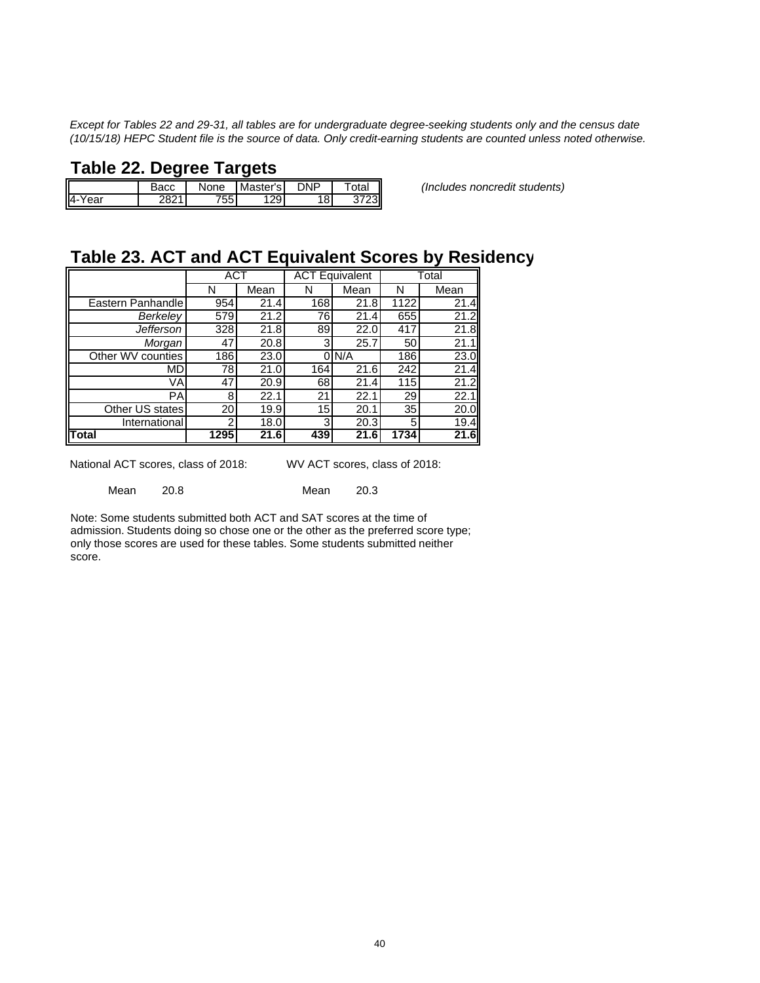*Except for Tables 22 and 29-31, all tables are for undergraduate degree-seeking students only and the census date (10/15/18) HEPC Student file is the source of data. Only credit-earning students are counted unless noted otherwise.*

# **Table 22. Degree Targets**

| I                        | Васс | None | Master's | NP⊣ | I<br>™ota⊧ |
|--------------------------|------|------|----------|-----|------------|
| $\overline{4}$ -<br>Year | 2821 | 755  | 29       | 18  | 3723       |

Bacc None Master's DNP Total *(Includes noncredit students)*

# **Table 23. ACT and ACT Equivalent Scores by Residency**

|                   | ACT  |      |     | <b>ACT Equivalent</b> |      | Total |
|-------------------|------|------|-----|-----------------------|------|-------|
|                   | N    | Mean | N   | Mean                  | N    | Mean  |
| Eastern Panhandle | 954  | 21.4 | 168 | 21.8                  | 1122 | 21.4  |
| Berkeley          | 579  | 21.2 | 76  | 21.4                  | 655  | 21.2  |
| <b>Jefferson</b>  | 328  | 21.8 | 89  | 22.0                  | 417  | 21.8  |
| Morgan            | 47   | 20.8 |     | 25.7                  | 50   | 21.1  |
| Other WV counties | 186  | 23.0 | ΩI  | N/A                   | 186  | 23.0  |
| MD.               | 78   | 21.0 | 164 | 21.6                  | 242  | 21.4  |
| VA                | 47   | 20.9 | 68  | 21.4                  | 115  | 21.2  |
| PA                | 8    | 22.1 | 21  | 22.1                  | 29   | 22.1  |
| Other US states   | 20   | 19.9 | 15  | 20.1                  | 35   | 20.0  |
| International     | າ    | 18.0 | 3   | 20.3                  | 5    | 19.4  |
| Total             | 1295 | 21.6 | 439 | 21.6                  | 1734 | 21.6  |

National ACT scores, class of 2018: WV ACT scores, class of 2018:

Mean 20.8 Mean 20.3

Note: Some students submitted both ACT and SAT scores at the time of admission. Students doing so chose one or the other as the preferred score type; only those scores are used for these tables. Some students submitted neither score.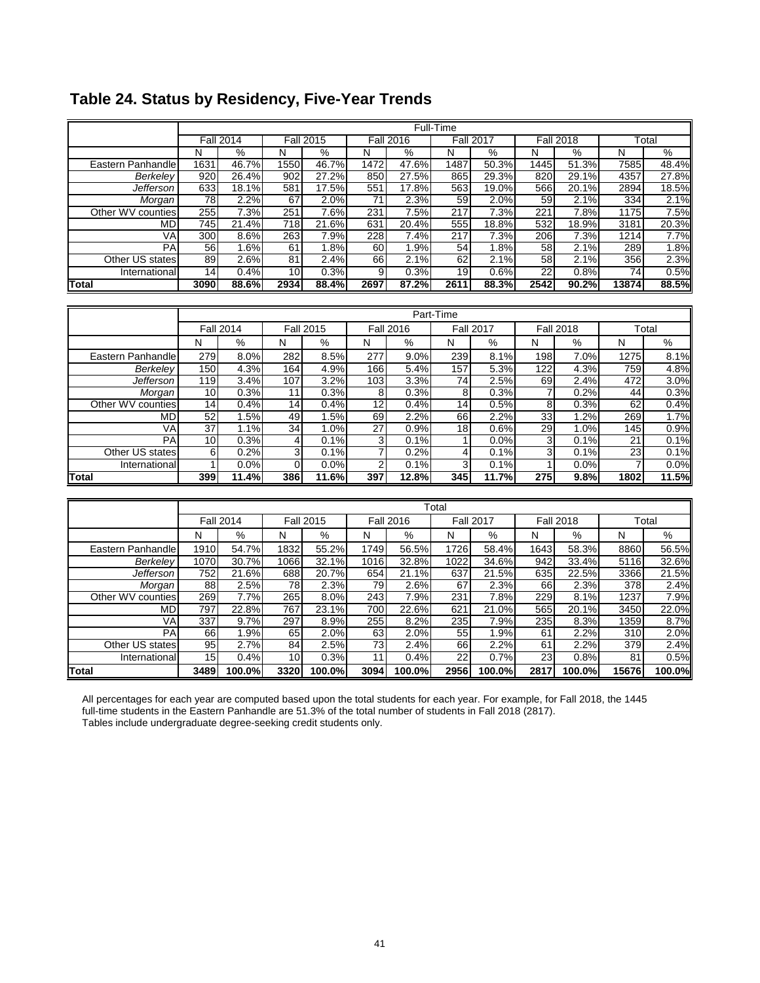|                     |      |                  |      |                  |                |                  | Full-Time |                  |      |                  |       |       |
|---------------------|------|------------------|------|------------------|----------------|------------------|-----------|------------------|------|------------------|-------|-------|
|                     |      | <b>Fall 2014</b> |      | <b>Fall 2015</b> |                | <b>Fall 2016</b> |           | <b>Fall 2017</b> |      | <b>Fall 2018</b> |       | Total |
|                     | N    | $\%$             | N    | $\overline{\%}$  | N              | $\%$             | N         | $\%$             | N    | $\%$             | N     | $\%$  |
| Eastern Panhandle   | 1631 | 46.7%            | 1550 | 46.7%            | 1472           | 47.6%            | 1487      | 50.3%            | 1445 | 51.3%            | 7585  | 48.4% |
| Berkeley            | 920  | 26.4%            | 902  | 27.2%            | 850            | 27.5%            | 865       | 29.3%            | 820  | 29.1%            | 4357  | 27.8% |
| Jefferson           | 633  | 18.1%            | 581  | 17.5%            | 551            | 17.8%            | 563       | 19.0%            | 566  | 20.1%            | 2894  | 18.5% |
| Morgan <sup>®</sup> | 78   | 2.2%             | 67   | 2.0%             | 71             | 2.3%             | 59        | 2.0%             | 59   | 2.1%             | 334   | 2.1%  |
| Other WV counties   | 255  | 7.3%             | 251  | 7.6%             | 231            | 7.5%             | 217       | 7.3%             | 221  | 7.8%             | 1175  | 7.5%  |
| MD                  | 745  | 21.4%            | 718  | 21.6%            | 631            | 20.4%            | 555       | 18.8%            | 532  | 18.9%            | 3181  | 20.3% |
| VA                  | 300  | 8.6%             | 263  | 7.9%             | 228            | 7.4%             | 217       | 7.3%             | 206  | 7.3%             | 1214  | 7.7%  |
| PA                  | 56   | 1.6%             | 61   | 1.8%             | 60             | 1.9%             | 54        | 1.8%             | 58   | 2.1%             | 289   | 1.8%  |
| Other US states     | 89   | 2.6%             | 81   | 2.4%             | 66             | 2.1%             | 62        | 2.1%             | 58   | 2.1%             | 356   | 2.3%  |
| International       | 14   | 0.4%             | 10   | 0.3%             | 9 <sub>l</sub> | 0.3%             | 19        | 0.6%             | 22   | 0.8%             | 74    | 0.5%  |
| <b>Total</b>        | 3090 | 88.6%            | 2934 | 88.4%            | 2697           | 87.2%            | 2611      | 88.3%            | 2542 | 90.2%            | 13874 | 88.5% |
|                     |      |                  |      |                  |                |                  |           |                  |      |                  |       |       |
|                     |      |                  |      |                  |                |                  | Part-Time |                  |      |                  |       |       |
|                     |      | <b>Fall 2014</b> |      | <b>Fall 2015</b> |                | <b>Fall 2016</b> |           | <b>Fall 2017</b> |      | <b>Fall 2018</b> |       | Total |
|                     | N    | %                | N    | %                | N              | %                | N         | %                | N    | %                | N     | %     |
| Eastern Panhandle   | 279  | 8.0%             | 282  | 8.5%             | 277            | 9.0%             | 239       | 8.1%             | 198  | 7.0%             | 1275  | 8.1%  |
| Berkeley            | 150  | 4.3%             | 164  | 4.9%             | 166            | 5.4%             | 157       | 5.3%             | 122  | 4.3%             | 759   | 4.8%  |

# **Table 24. Status by Residency, Five-Year Trends**

|                   |                   | <b>Fall 2014</b> |       | <b>Fall 2015</b> |      | Fall 2016 |                 | <b>Fall 2017</b> |     | Fall 2018 |      | Гоtal |
|-------------------|-------------------|------------------|-------|------------------|------|-----------|-----------------|------------------|-----|-----------|------|-------|
|                   | N                 | %                | N     | %                | N    | %         | N               | $\%$             | N   | $\%$      | N    | %     |
| Eastern Panhandle | 279               | 8.0%             | 282   | 8.5%             | 277  | 9.0%      | 239             | 8.1%             | 198 | 7.0%      | 1275 | 8.1%  |
| Berkelev          | 150               | 4.3%             | 164 I | 4.9%             | 166I | 5.4%      | 157             | 5.3%             | 122 | 4.3%      | 759  | 4.8%  |
| <b>Jefferson</b>  | 119 <sup>l</sup>  | 3.4%             | 107   | 3.2%             | 103  | 3.3%      | 74              | 2.5%             | 69  | 2.4%      | 472  | 3.0%  |
| Morgan I          | 10 <sup>1</sup>   | 0.3%             | 11    | 0.3%             | 81   | 0.3%      | 8               | 0.3%             |     | 0.2%      | 44   | 0.3%  |
| Other WV counties | 14                | 0.4%             | 14    | 0.4%             | 12   | 0.4%      | 14 <sup>1</sup> | 0.5%             | 8   | 0.3%      | 62   | 0.4%  |
| <b>MD</b>         | 52 I              | 1.5%             | 49    | 1.5%             | 69I  | 2.2%      | 66              | 2.2%             | 33  | 1.2%      | 269  | 1.7%  |
| VAI               | 37 I              | 1.1%             | 34 I  | 1.0%             | 27   | 0.9%      | 18 <sup>l</sup> | 0.6%             | 29  | 1.0%      | 145I | 0.9%  |
| PAI               | 10 <sup>1</sup>   | 0.3%             |       | 0.1%             |      | 0.1%      |                 | 0.0%             | 3   | 0.1%      | 21   | 0.1%  |
| Other US states   | 61                | 0.2%             |       | 0.1%             |      | 0.2%      |                 | 0.1%             |     | 0.1%      | 23   | 0.1%  |
| International     |                   | 0.0%             |       | 0.0%             |      | 0.1%      |                 | 0.1%             |     | 0.0%      |      | 0.0%  |
| <b>Total</b>      | 399               | 11.4%            | 386   | 11.6%            | 397  | 12.8%     | 345             | 11.7%            | 275 | 9.8%      | 1802 | 11.5% |
|                   |                   |                  |       |                  |      |           |                 |                  |     |           |      |       |
|                   | T <sub>ofol</sub> |                  |       |                  |      |           |                 |                  |     |           |      |       |

|                   |      |                  |      |                  |      |                  | Total |                  |      |                  |       |        |
|-------------------|------|------------------|------|------------------|------|------------------|-------|------------------|------|------------------|-------|--------|
|                   |      | <b>Fall 2014</b> |      | <b>Fall 2015</b> |      | <b>Fall 2016</b> |       | <b>Fall 2017</b> |      | <b>Fall 2018</b> |       | Total  |
|                   | N    | $\%$             | N    | $\%$             | N    | $\%$             | N     | $\%$             | N    | %                | N     | %      |
| Eastern Panhandle | 1910 | 54.7%            | 1832 | 55.2%            | 1749 | 56.5%            | 1726  | 58.4%            | 1643 | 58.3%            | 8860  | 56.5%  |
| Berkelev          | 1070 | 30.7%            | 1066 | 32.1%            | 1016 | 32.8%            | 1022  | 34.6%            | 942  | 33.4%            | 5116  | 32.6%  |
| Jefferson         | 752  | 21.6%            | 688  | 20.7%            | 654  | 21.1%            | 637   | 21.5%            | 635  | 22.5%            | 3366  | 21.5%  |
| Morgan            | 88   | 2.5%             | 78   | 2.3%             | 79   | 2.6%             | 67    | 2.3%             | 66   | 2.3%             | 378   | 2.4%   |
| Other WV counties | 269  | 7.7%             | 265  | 8.0%             | 243  | 7.9%             | 231   | 7.8%             | 229  | 8.1%             | 1237  | 7.9%   |
| MD.               | 797  | 22.8%            | 767  | 23.1%            | 700  | 22.6%            | 621   | 21.0%            | 565  | 20.1%            | 3450  | 22.0%  |
| VAI               | 337  | 9.7%             | 297  | 8.9%             | 255  | 8.2%             | 235   | 7.9%             | 235  | 8.3%             | 1359  | 8.7%   |
| <b>PA</b>         | 66   | .9%              | 65   | 2.0%             | 63I  | 2.0%             | 55    | 1.9%             | 61   | 2.2%             | 310   | 2.0%   |
| Other US states   | 95   | 2.7%             | 84   | 2.5%             | 731  | 2.4%             | 66    | 2.2%             | 61   | 2.2%             | 379   | 2.4%   |
| International     | 15   | 0.4%             | 10   | 0.3%             | 111  | 0.4%             | 22    | 0.7%             | 23   | 0.8%             | 81    | 0.5%   |
| <b>Total</b>      | 3489 | 100.0%           | 3320 | 100.0%           | 3094 | 100.0%           | 2956  | 100.0%l          | 2817 | 100.0%           | 15676 | 100.0% |

All percentages for each year are computed based upon the total students for each year. For example, for Fall 2018, the 1445 full-time students in the Eastern Panhandle are 51.3% of the total number of students in Fall 2018 (2817). Tables include undergraduate degree-seeking credit students only.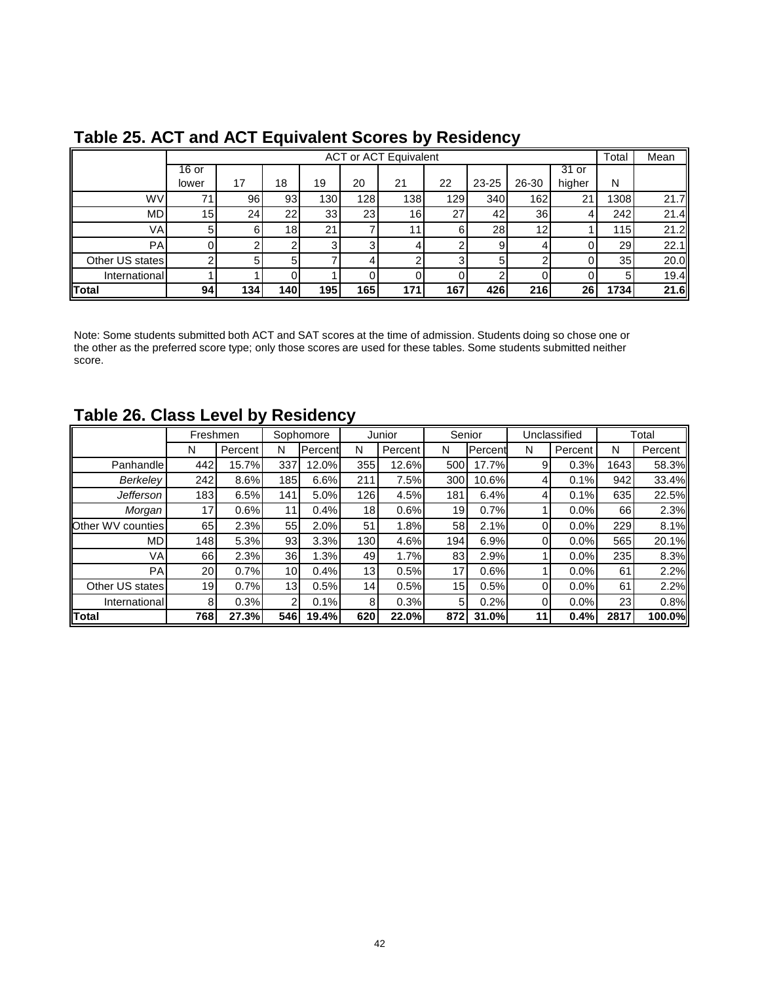|                 |       |     |                 |                  |     | <b>ACT or ACT Equivalent</b> |     |           |       |         | Total           | Mean |
|-----------------|-------|-----|-----------------|------------------|-----|------------------------------|-----|-----------|-------|---------|-----------------|------|
|                 | 16 or |     |                 |                  |     |                              |     |           |       | $31$ or |                 |      |
|                 | lower | 17  | 18              | 19               | 20  | 21                           | 22  | 23-25     | 26-30 | higher  | N               |      |
| <b>WV</b>       | 71    | 96  | 93              | 130 <sub>1</sub> | 128 | 138                          | 129 | 340       | 162   | 21      | 1308            | 21.7 |
| <b>MD</b>       | 15    | 24  | 22              | 33               | 23  | 16                           | 27  | 42        | 36    |         | 242             | 21.4 |
| VA <sub>I</sub> |       | 6   | 18 <sub>l</sub> | 21               |     | 11                           |     | <b>28</b> | 12    |         | 115             | 21.2 |
| PA <sub>I</sub> |       |     |                 |                  | 3   |                              |     | 9         |       |         | 29              | 22.1 |
| Other US states |       | 5   | 5               |                  | 4   |                              |     | 5         |       |         | 35 <sub>l</sub> | 20.0 |
| International   |       |     |                 |                  | 0   |                              |     |           |       |         |                 | 19.4 |
| Total           | 94    | 134 | 140             | 195              | 165 | 171                          | 167 | 426       | 216   | 26      | 1734            | 21.6 |

# **Table 25. ACT and ACT Equivalent Scores by Residency**

Note: Some students submitted both ACT and SAT scores at the time of admission. Students doing so chose one or the other as the preferred score type; only those scores are used for these tables. Some students submitted neither score.

# **Table 26. Class Level by Residency**

|                   | Freshmen |         |     | Sophomore       |     | Junior  | Senior          |                 |                | Unclassified |      | Total   |
|-------------------|----------|---------|-----|-----------------|-----|---------|-----------------|-----------------|----------------|--------------|------|---------|
|                   | N        | Percent | N   | <b>IPercent</b> | N   | Percent | N               | <b>IPercent</b> | N              | Percent      | N    | Percent |
| Panhandle         | 442      | 15.7%   | 337 | 12.0%           | 355 | 12.6%   | 500             | 17.7%           | 9              | 0.3%         | 1643 | 58.3%   |
| Berkeley          | 242      | 8.6%    | 185 | 6.6%            | 211 | 7.5%    | 300             | 10.6%           | $\overline{4}$ | 0.1%         | 942  | 33.4%   |
| <b>Jefferson</b>  | 183      | 6.5%    | 141 | 5.0%            | 126 | 4.5%    | 181             | 6.4%            | $\overline{4}$ | 0.1%         | 635  | 22.5%   |
| Morgan            | 17       | 0.6%    | 11  | 0.4%            | 18  | 0.6%    | 19              | 0.7%            |                | 0.0%         | 66   | 2.3%    |
| Other WV counties | 65       | 2.3%    | 55  | 2.0%            | 51  | 1.8%    | 58              | 2.1%            | 0              | 0.0%         | 229  | 8.1%    |
| <b>MD</b>         | 148      | 5.3%    | 93  | 3.3%            | 130 | 4.6%    | 194             | 6.9%            | 0              | 0.0%         | 565  | 20.1%   |
| VA                | 66       | 2.3%    | 36  | 1.3%            | 49  | 1.7%    | 83              | 2.9%            |                | 0.0%         | 235  | 8.3%    |
| PA                | 20       | 0.7%    | 10  | 0.4%            | 13  | 0.5%    | 17              | 0.6%            |                | 0.0%         | 61   | 2.2%    |
| Other US states   | 19       | 0.7%    | 13  | 0.5%            | 14  | 0.5%    | 15 <sub>l</sub> | 0.5%            | $\Omega$       | 0.0%         | 61   | 2.2%    |
| International     | 8        | 0.3%    | 2   | 0.1%            | 8   | 0.3%    | 5               | 0.2%            | $\Omega$       | 0.0%         | 23   | 0.8%    |
| <b>Total</b>      | 768      | 27.3%   | 546 | 19.4%           | 620 | 22.0%   | 872             | 31.0%l          | 11             | 0.4%         | 2817 | 100.0%  |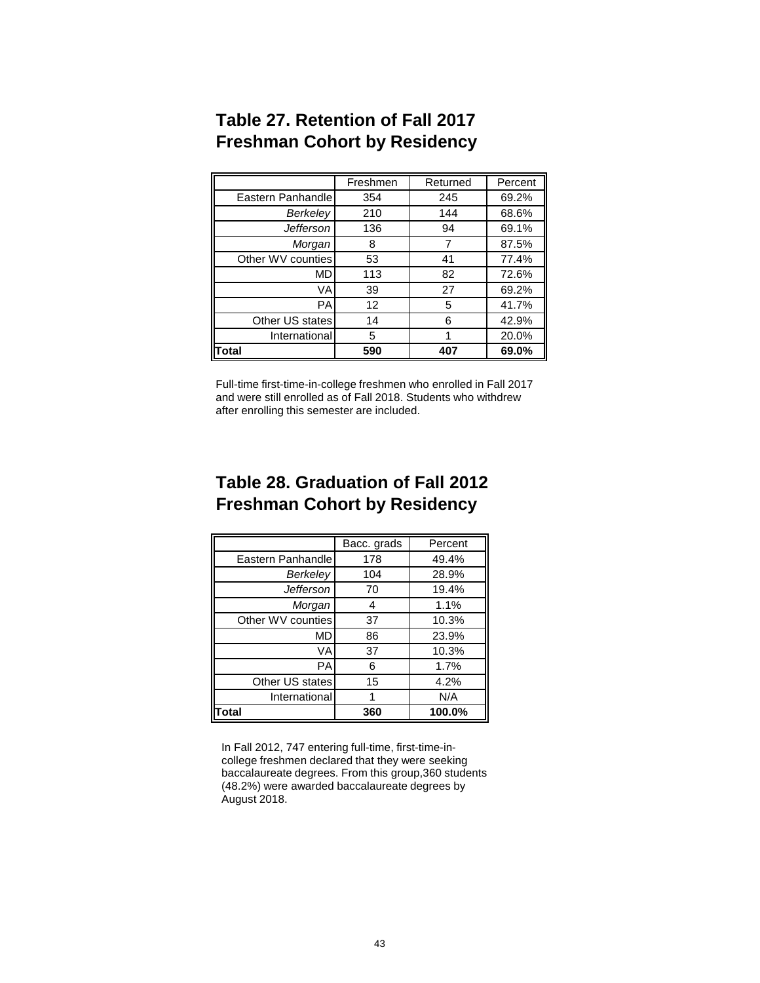|                   | Freshmen | Returned | Percent |
|-------------------|----------|----------|---------|
| Eastern Panhandle | 354      | 245      | 69.2%   |
| Berkeley          | 210      | 144      | 68.6%   |
| <b>Jefferson</b>  | 136      | 94       | 69.1%   |
| Morgan            | 8        | 7        | 87.5%   |
| Other WV counties | 53       | 41       | 77.4%   |
| МD                | 113      | 82       | 72.6%   |
| VA                | 39       | 27       | 69.2%   |
| PA                | 12       | 5        | 41.7%   |
| Other US states   | 14       | 6        | 42.9%   |
| International     | 5        | 1        | 20.0%   |
| <b>otal</b>       | 590      | 407      | 69.0%   |

# **Table 27. Retention of Fall 2017 Freshman Cohort by Residency**

Full-time first-time-in-college freshmen who enrolled in Fall 2017 and were still enrolled as of Fall 2018. Students who withdrew after enrolling this semester are included.

# **Table 28. Graduation of Fall 2012 Freshman Cohort by Residency**

|                   | Bacc. grads | Percent |
|-------------------|-------------|---------|
| Eastern Panhandle | 178         | 49.4%   |
| Berkelev          | 104         | 28.9%   |
| Jefferson         | 70          | 19.4%   |
| Morgan            | 4           | 1.1%    |
| Other WV counties | 37          | 10.3%   |
| MD                | 86          | 23.9%   |
| VA                | 37          | 10.3%   |
| РA                | 6           | 1.7%    |
| Other US states   | 15          | 4.2%    |
| International     |             | N/A     |
| ⊺otal             | 360         | 100.0%  |

In Fall 2012, 747 entering full-time, first-time-incollege freshmen declared that they were seeking baccalaureate degrees. From this group,360 students (48.2%) were awarded baccalaureate degrees by August 2018.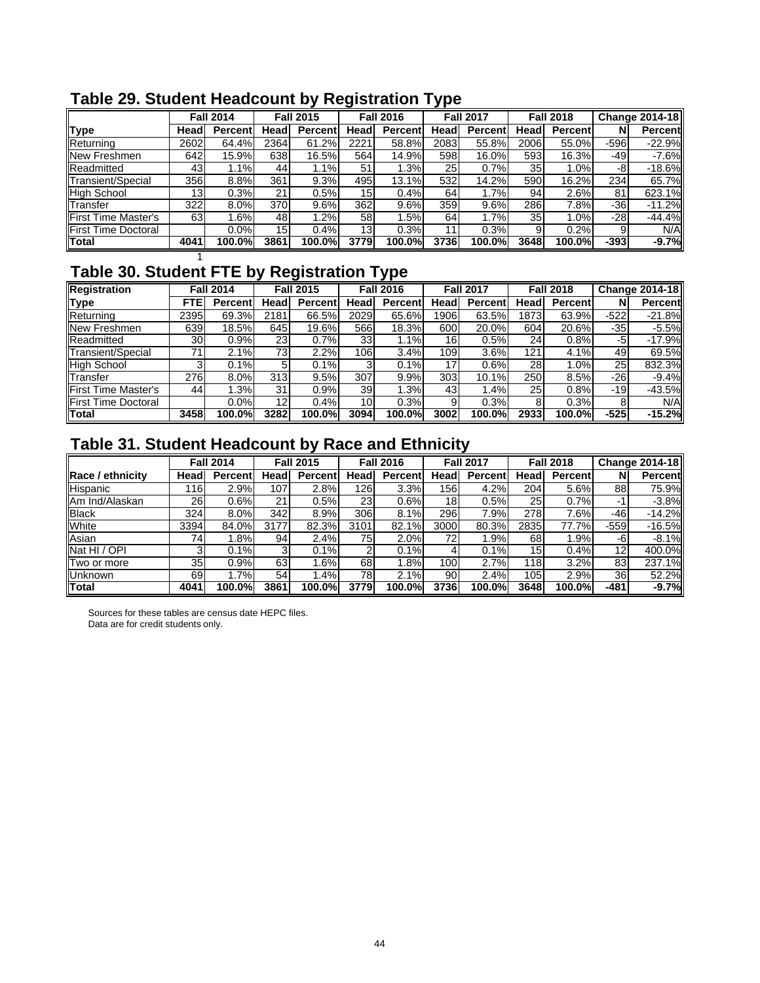|                            |                 |                  |                  |          |                  |                | . .              |         |                  |                |                       |          |
|----------------------------|-----------------|------------------|------------------|----------|------------------|----------------|------------------|---------|------------------|----------------|-----------------------|----------|
|                            |                 | <b>Fall 2014</b> | <b>Fall 2015</b> |          | <b>Fall 2016</b> |                | <b>Fall 2017</b> |         | <b>Fall 2018</b> |                | <b>Change 2014-18</b> |          |
| <b>Type</b>                | Head            | Percent          | Headl            | Percentl | Head             | <b>Percent</b> | Head             | Percent | Head             | <b>Percent</b> | N                     | Percent  |
| Returning                  | 2602            | 64.4%            | 2364             | 61.2%    | 2221             | 58.8%          | 2083             | 55.8%   | 2006             | 55.0%          | $-596$                | $-22.9%$ |
| New Freshmen               | 642             | 15.9%            | 638              | 16.5%    | 564              | 14.9%          | 598              | 16.0%   | 593              | 16.3%          | -491                  | $-7.6%$  |
| Readmitted                 | 43 <sub>l</sub> | 1.1%             | 44               | 1.1%     | 51               | 1.3%           | 25               | 0.7%    | 35 <sub>l</sub>  | 1.0%           | -8                    | $-18.6%$ |
| Transient/Special          | 356             | 8.8%             | 361              | 9.3%     | 495              | 13.1%          | 532              | 14.2%   | 590              | 16.2%          | 234                   | 65.7%    |
| <b>High School</b>         | 13 <sup>l</sup> | 0.3%             | 21 <sup>1</sup>  | 0.5%     | 15               | 0.4%           | 64               | 1.7%    | 94               | 2.6%           | 81                    | 623.1%   |
| Transfer                   | 322             | 8.0%             | 370              | 9.6%     | 362              | 9.6%           | 359              | 9.6%    | 286              | 7.8%           | -361                  | $-11.2%$ |
| <b>First Time Master's</b> | 63              | 1.6%             | 48               | $1.2\%$  | 58               | .5%            | 64               | 1.7%    | 35 <sub>l</sub>  | 1.0%           | $-28$                 | $-44.4%$ |
| <b>First Time Doctoral</b> |                 | $0.0\%$          | 15 <sup>1</sup>  | 0.4%     | 13 <sub>l</sub>  | 0.3%           | 11               | 0.3%    |                  | 0.2%           | 9                     | N/A      |
| <b>Total</b>               | 4041            | 100.0%l          | 3861             | 100.0%   | 3779             | <b>100.0%</b>  | 3736l            | 100.0%  | 3648             | 100.0%         | $-393$                | $-9.7%$  |
|                            |                 |                  |                  |          |                  |                |                  |         |                  |                |                       |          |

# **Table 29. Student Headcount by Registration Type**

# **Table 30. Student FTE by Registration Type**

| Registration               |                 | <b>Fall 2014</b> |      | <b>Fall 2015</b> |      | <b>Fall 2016</b> |                  | <b>Fall 2017</b> |      | <b>Fall 2018</b> |                 | Change 2014-18 |
|----------------------------|-----------------|------------------|------|------------------|------|------------------|------------------|------------------|------|------------------|-----------------|----------------|
| <b>Type</b>                | ΠЕ              | <b>Percent</b>   | Head | <b>Percent</b>   | Head | <b>Percent</b>   | Head             | <b>Percent</b>   | Head | <b>Percent</b>   |                 | Percentl       |
| Returning                  | 2395            | 69.3%            | 2181 | 66.5%            | 2029 | 65.6%            | 1906             | 63.5%            | 1873 | 63.9%            | $-522$          | $-21.8%$       |
| New Freshmen               | 639             | 18.5%            | 645  | 19.6%            | 566  | 18.3%            | 600              | 20.0%            | 604  | 20.6%            | -351            | $-5.5%$        |
| Readmitted                 | 30 <sub>l</sub> | 0.9%             | 23   | 0.7%             | 33   | $1.1\%$          | 16               | 0.5%             | 24   | 0.8%             | -5              | $-17.9%$       |
| Transient/Special          |                 | 2.1%             | 73   | 2.2%             | 1061 | 3.4%             | 109 <sub>1</sub> | 3.6%             | 121  | 4.1%             | 491             | 69.5%          |
| <b>High School</b>         |                 | $0.1\%$          |      | 0.1%             |      | 0.1%             |                  | 0.6%             | 28   | 1.0%             | 25 <sub>l</sub> | 832.3%         |
| Transfer                   | 276             | 8.0%             | 313  | 9.5%             | 307  | 9.9%             | 303              | 10.1%            | 250  | 8.5%             | -261            | $-9.4%$        |
| <b>First Time Master's</b> | 44              | .3%              | 31   | 0.9%             | 39   | .3%              | 43               | 1.4%             | 25   | 0.8%             | -19             | $-43.5%$       |
| <b>First Time Doctoral</b> |                 | $0.0\%$          | 12   | 0.4%             | 10   | 0.3%             |                  | 0.3%             |      | 0.3%             |                 | N/A            |
| Total                      | 3458            | 100.0%l          | 3282 | 100.0%           | 3094 | 100.0%           | 3002             | 100.0%           | 2933 | 100.0%           | $-525$          | $-15.2%$       |

# **Table 31. Student Headcount by Race and Ethnicity**

|                    |                 | <b>Fall 2014</b> |      | <b>Fall 2015</b> |                 | <b>Fall 2016</b> |                 | <b>Fall 2017</b> |                 | <b>Fall 2018</b> |                 | Change 2014-18 |
|--------------------|-----------------|------------------|------|------------------|-----------------|------------------|-----------------|------------------|-----------------|------------------|-----------------|----------------|
| Race / ethnicity   | Head            | <b>Percent</b>   | Head | Percentl         | Head            | Percentl         | Head            | <b>Percentl</b>  | Headl           | <b>Percent</b>   |                 | <b>Percent</b> |
| Hispanic           | l 16 I          | 2.9%             | 107  | 2.8%             | 126             | 3.3%             | 156             | 4.2%             | 204             | 5.6%             | 88              | 75.9%          |
| Am Ind/Alaskan     | <b>26</b>       | 0.6%             | 21   | 0.5%             | 23 <sub>l</sub> | 0.6%             | 18 <sub>l</sub> | 0.5%             | 25 <sub>l</sub> | 0.7%             |                 | $-3.8%$        |
| <b>Black</b>       | 324             | 8.0%             | 342  | 8.9%             | 306             | 8.1%             | 296             | 7.9%             | 278             | 7.6%             | -461            | $-14.2%$       |
| White              | 3394            | 84.0%            | 3177 | 82.3%            | 3101            | 82.1%            | 3000            | 80.3%            | 2835            | 77.7%            | $-559$          | $-16.5%$       |
| Asian              | 74              | .8%              | 94   | 2.4%             | 75              | 2.0%             | 72              | .9%              | 68              | l.9%             | -6              | $-8.1%$        |
| Nat HI / OPI       |                 | 0.1%             | 31   | 0.1%             |                 | 0.1%             |                 | 0.1%             | 15 <sub>1</sub> | 0.4%             | 12              | 400.0%         |
| <b>Two or more</b> | 35 <sub>l</sub> | 0.9%             | 63   | .6%              | 68I             | .8%              | <b>100</b>      | 2.7%             | 118I            | 3.2%             | 831             | 237.1%         |
| <b>Unknown</b>     | 69              | $.7\%$           | 54   | .4%              | 78              | 2.1%             | 90              | 2.4%             | 105             | 2.9%             | 36 <sup>l</sup> | 52.2%          |
| <b>Total</b>       | 4041            | 100.0%           | 3861 | 100.0%           | 3779            | 100.0%           | 3736            | 100.0%           | 3648            | 100.0%l          | $-481$          | $-9.7%$        |

Sources for these tables are census date HEPC files. Data are for credit students only.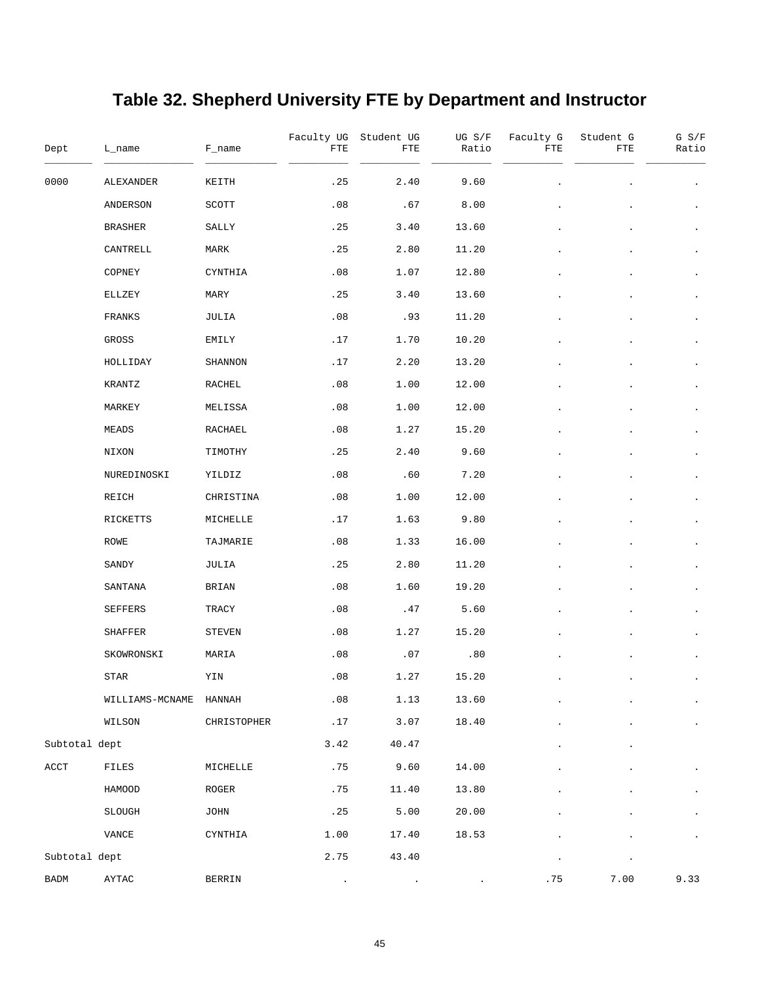# **Table 32. Shepherd University FTE by Department and Instructor**

| Dept                     | L_name          | F_name      | Faculty UG<br>${\rm FTE}$ | Student UG<br>FTE | UG S/F<br>Ratio | Faculty G<br>FTE | Student G<br>FTE | $G$ $S/F$<br>Ratio   |
|--------------------------|-----------------|-------------|---------------------------|-------------------|-----------------|------------------|------------------|----------------------|
| 0000                     | ALEXANDER       | KEITH       | .25                       | 2.40              | 9.60            |                  |                  |                      |
|                          | ANDERSON        | SCOTT       | .08                       | .67               | 8.00            |                  |                  |                      |
|                          | <b>BRASHER</b>  | SALLY       | . 25                      | 3.40              | 13.60           |                  |                  | $\bullet$            |
|                          | CANTRELL        | MARK        | .25                       | 2.80              | 11.20           |                  |                  | $\bullet$            |
|                          | COPNEY          | CYNTHIA     | .08                       | 1.07              | 12.80           |                  |                  | $\bullet$            |
|                          | ELLZEY          | MARY        | .25                       | 3.40              | 13.60           |                  |                  | $\bullet$            |
|                          | FRANKS          | JULIA       | .08                       | .93               | 11.20           |                  |                  | $\bullet$            |
|                          | GROSS           | EMILY       | .17                       | 1.70              | 10.20           |                  |                  |                      |
|                          | HOLLIDAY        | SHANNON     | .17                       | 2.20              | 13.20           |                  |                  | $\bullet$            |
|                          | KRANTZ          | RACHEL      | .08                       | 1.00              | 12.00           |                  |                  |                      |
|                          | MARKEY          | MELISSA     | .08                       | 1.00              | 12.00           |                  |                  | $\bullet$            |
|                          | MEADS           | RACHAEL     | .08                       | 1.27              | 15.20           |                  |                  | $\bullet$            |
|                          | NIXON           | TIMOTHY     | .25                       | 2.40              | 9.60            |                  |                  | $\bullet$            |
|                          | NUREDINOSKI     | YILDIZ      | .08                       | .60               | 7.20            |                  |                  | ٠                    |
|                          | REICH           | CHRISTINA   | .08                       | 1.00              | 12.00           |                  |                  | $\bullet$            |
|                          | RICKETTS        | MICHELLE    | .17                       | 1.63              | 9.80            |                  |                  | $\bullet$            |
|                          | ROWE            | TAJMARIE    | .08                       | 1.33              | 16.00           |                  |                  | $\bullet$            |
|                          | SANDY           | JULIA       | .25                       | 2.80              | 11.20           |                  |                  | $\bullet$            |
|                          | SANTANA         | BRIAN       | .08                       | 1.60              | 19.20           |                  |                  | $\bullet$            |
|                          | SEFFERS         | TRACY       | .08                       | .47               | 5.60            |                  |                  | $\bullet$            |
|                          | SHAFFER         | STEVEN      | .08                       | 1.27              | 15.20           |                  |                  |                      |
|                          | SKOWRONSKI      | MARIA       | .08                       | .07               | .80             |                  |                  |                      |
|                          | STAR            | YIN         | .08                       | 1.27              | 15.20           |                  |                  |                      |
|                          | WILLIAMS-MCNAME | HANNAH      | .08                       | 1.13              | 13.60           |                  |                  | $\ddot{\phantom{0}}$ |
|                          | WILSON          | CHRISTOPHER | .17                       | 3.07              | 18.40           |                  |                  |                      |
| Subtotal dept            |                 |             | 3.42                      | 40.47             |                 |                  |                  |                      |
| $\mathop{\mathrm{ACCT}}$ | FILES           | MICHELLE    | .75                       | 9.60              | 14.00           |                  |                  |                      |
|                          | HAMOOD          | $\tt ROGER$ | .75                       | 11.40             | 13.80           |                  |                  |                      |
|                          | <b>SLOUGH</b>   | JOHN        | .25                       | 5.00              | 20.00           |                  |                  | $\ddot{\phantom{0}}$ |
|                          | VANCE           | CYNTHIA     | 1.00                      | 17.40             | 18.53           |                  |                  |                      |
| Subtotal dept            |                 |             | 2.75                      | 43.40             |                 | $\bullet$        | $\bullet$        |                      |
| BADM                     | AYTAC           | BERRIN      |                           |                   |                 | .75              | 7.00             | 9.33                 |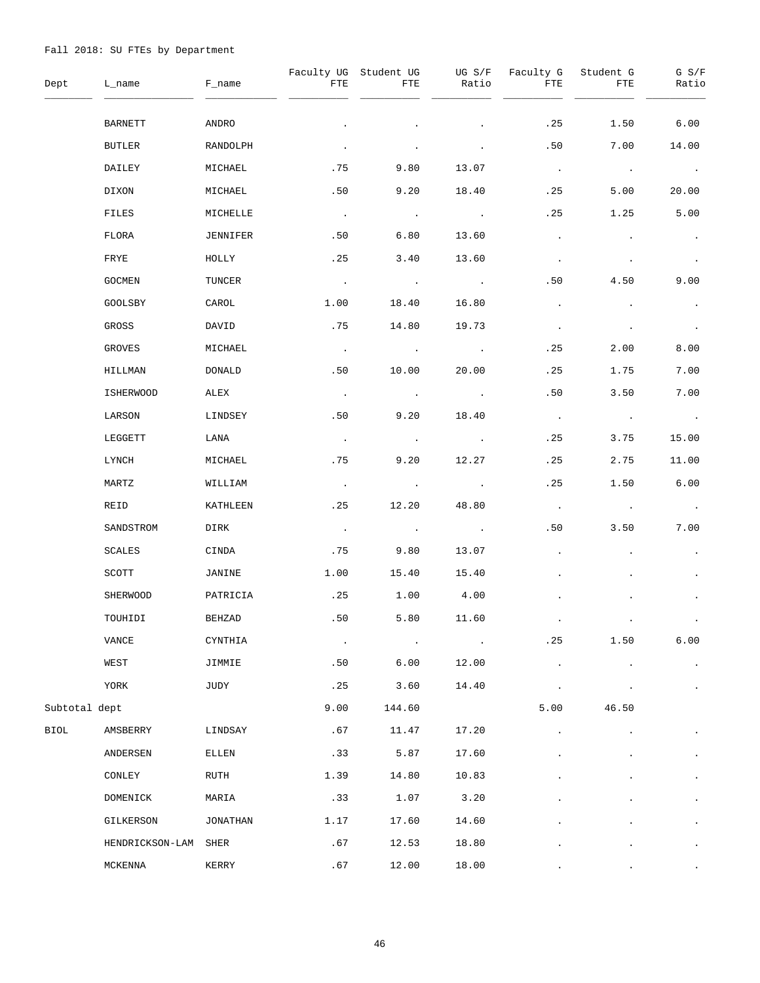| Dept          | L_name               | F_name   | FTE           | Faculty UG Student UG<br>FTE | UG S/F<br>Ratio           | Faculty G<br>FTE | Student G<br>FTE      | $G$ $S/F$<br>Ratio    |
|---------------|----------------------|----------|---------------|------------------------------|---------------------------|------------------|-----------------------|-----------------------|
|               | <b>BARNETT</b>       | ANDRO    |               |                              |                           | .25              | 1.50                  | 6.00                  |
|               | BUTLER               | RANDOLPH | $\bullet$     |                              |                           | .50              | 7.00                  | 14.00                 |
|               | DAILEY               | MICHAEL  | .75           | 9.80                         | 13.07                     | $\sim$ $\sim$    | $\sim 100$ $\mu$      | <b>Contract</b>       |
|               | DIXON                | MICHAEL  | .50           | 9.20                         | 18.40                     | .25              | 5.00                  | 20.00                 |
|               | FILES                | MICHELLE | $\sim$ $\sim$ | $\sim 100$ km $^{-1}$        | <b>Contract Advised</b>   | .25              | 1.25                  | 5.00                  |
|               | FLORA                | JENNIFER | .50           | 6.80                         | 13.60                     | $\blacksquare$   |                       | $\bullet$             |
|               | FRYE                 | HOLLY    | .25           | 3.40                         | 13.60                     | $\bullet$        |                       | $\sim 100$            |
|               | GOCMEN               | TUNCER   | $\sim 100$    | $\sim 100$ km $^{-1}$        | $\sim 100$ km s $^{-1}$   | .50              | 4.50                  | 9.00                  |
|               | GOOLSBY              | CAROL    | 1.00          | 18.40                        | 16.80                     | $\bullet$        |                       | $\bullet$             |
|               | GROSS                | DAVID    | .75           | 14.80                        | 19.73                     | $\bullet$        |                       | $\sim$ 100 $\pm$      |
|               | GROVES               | MICHAEL  | $\sim$ $\sim$ | $\sim$ $\sim$                | $\sim 10^{11}$ km $^{-1}$ | . 25             | 2.00                  | 8.00                  |
|               | HILLMAN              | DONALD   | .50           | 10.00                        | 20.00                     | .25              | 1.75                  | 7.00                  |
|               | <b>ISHERWOOD</b>     | ALEX     | $\sim$ $\sim$ | $\sim 100$                   | $\sim 100$                | .50              | 3.50                  | 7.00                  |
|               | LARSON               | LINDSEY  | .50           | 9.20                         | 18.40                     | $\sim$ $\sim$    | $\sim 100$ km $^{-1}$ | $\sim 100$ km $^{-1}$ |
|               | LEGGETT              | LANA     | $\sim$ $\sim$ | $\sim 100$ km                | $\sim 100$                | . 25             | 3.75                  | 15.00                 |
|               | LYNCH                | MICHAEL  | .75           | 9.20                         | 12.27                     | .25              | 2.75                  | 11.00                 |
|               | MARTZ                | WILLIAM  | $\sim$ $\sim$ | $\sim 100$                   | $\sim 100$                | .25              | 1.50                  | 6.00                  |
|               | REID                 | KATHLEEN | .25           | 12.20                        | 48.80                     | $\sim 100$       | $\sim 100$            | $\sim 100$            |
|               | SANDSTROM            | DIRK     | $\sim$ $\sim$ | $\sim 100$                   | $\sim 100$ km s $^{-1}$   | .50              | 3.50                  | 7.00                  |
|               | SCALES               | CINDA    | .75           | 9.80                         | 13.07                     | $\bullet$        |                       | $\bullet$             |
|               | SCOTT                | JANINE   | 1.00          | 15.40                        | 15.40                     |                  |                       | $\bullet$             |
|               | SHERWOOD             | PATRICIA | .25           | 1.00                         | 4.00                      |                  |                       |                       |
|               | TOUHIDI              | BEHZAD   | .50           | 5.80                         | 11.60                     |                  |                       |                       |
|               | VANCE                | CYNTHIA  | $\cdot$       |                              |                           | .25              | 1.50                  | 6.00                  |
|               | WEST                 | JIMMIE   | .50           | 6.00                         | 12.00                     |                  |                       | $\bullet$             |
|               | YORK                 | JUDY     | .25           | 3.60                         | 14.40                     |                  |                       | $\bullet$             |
| Subtotal dept |                      |          | 9.00          | 144.60                       |                           | 5.00             | 46.50                 |                       |
| BIOL          | AMSBERRY             | LINDSAY  | .67           | 11.47                        | 17.20                     |                  |                       |                       |
|               | ANDERSEN             | ELLEN    | .33           | 5.87                         | 17.60                     |                  |                       |                       |
|               | CONLEY               | RUTH     | 1.39          | 14.80                        | 10.83                     |                  |                       | $\bullet$             |
|               | DOMENICK             | MARIA    | .33           | 1.07                         | 3.20                      |                  |                       |                       |
|               | GILKERSON            | JONATHAN | 1.17          | 17.60                        | 14.60                     |                  |                       | $\bullet$             |
|               | HENDRICKSON-LAM SHER |          | .67           | 12.53                        | 18.80                     |                  |                       |                       |
|               | MCKENNA              | KERRY    | .67           | 12.00                        | 18.00                     |                  |                       |                       |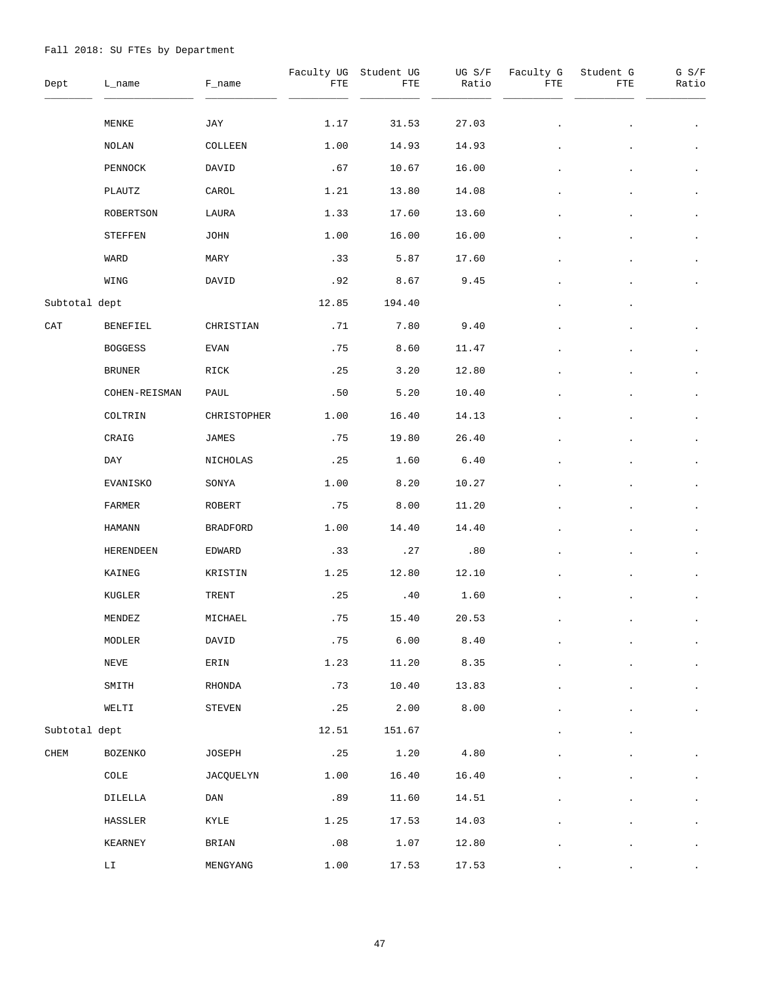| Dept          | L_name                     | F_name          | FTE   | Faculty UG Student UG<br>FTE | UG S/F<br>Ratio | Faculty G<br>FTE | Student G<br>FTE | $G$ $S/F$<br>Ratio |
|---------------|----------------------------|-----------------|-------|------------------------------|-----------------|------------------|------------------|--------------------|
|               | MENKE                      | JAY             | 1.17  | 31.53                        | 27.03           |                  |                  | $\bullet$          |
|               | NOLAN                      | COLLEEN         | 1.00  | 14.93                        | 14.93           |                  |                  |                    |
|               | PENNOCK                    | DAVID           | .67   | 10.67                        | 16.00           |                  |                  | $\bullet$          |
|               | PLAUTZ                     | CAROL           | 1.21  | 13.80                        | 14.08           |                  |                  |                    |
|               | ROBERTSON                  | LAURA           | 1.33  | 17.60                        | 13.60           |                  |                  | $\bullet$          |
|               | STEFFEN                    | JOHN            | 1.00  | 16.00                        | 16.00           |                  |                  |                    |
|               | WARD                       | MARY            | .33   | 5.87                         | 17.60           |                  |                  | $\bullet$          |
|               | WING                       | DAVID           | .92   | 8.67                         | 9.45            |                  |                  |                    |
| Subtotal dept |                            |                 | 12.85 | 194.40                       |                 |                  |                  |                    |
| CAT           | BENEFIEL                   | CHRISTIAN       | .71   | 7.80                         | 9.40            |                  |                  |                    |
|               | <b>BOGGESS</b>             | EVAN            | .75   | 8.60                         | 11.47           |                  |                  | $\bullet$          |
|               | <b>BRUNER</b>              | RICK            | .25   | 3.20                         | 12.80           |                  |                  |                    |
|               | COHEN-REISMAN              | PAUL            | .50   | 5.20                         | 10.40           |                  |                  | $\bullet$          |
|               | COLTRIN                    | CHRISTOPHER     | 1.00  | 16.40                        | 14.13           |                  |                  | $\bullet$          |
|               | CRAIG                      | JAMES           | .75   | 19.80                        | 26.40           |                  |                  | $\bullet$          |
|               | DAY                        | NICHOLAS        | .25   | 1.60                         | 6.40            |                  |                  | $\bullet$          |
|               | EVANISKO                   | SONYA           | 1.00  | 8.20                         | 10.27           |                  |                  | $\bullet$          |
|               | FARMER                     | ROBERT          | .75   | 8.00                         | 11.20           |                  |                  | $\bullet$          |
|               | <b>HAMANN</b>              | <b>BRADFORD</b> | 1.00  | 14.40                        | 14.40           |                  |                  | $\bullet$          |
|               | HERENDEEN                  | EDWARD          | .33   | .27                          | .80             |                  |                  | $\bullet$          |
|               | KAINEG                     | KRISTIN         | 1.25  | 12.80                        | 12.10           |                  |                  | $\bullet$          |
|               | KUGLER                     | TRENT           | .25   | .40                          | 1.60            |                  |                  |                    |
|               | MENDEZ                     | MICHAEL         | .75   | 15.40                        | 20.53           |                  |                  |                    |
|               | MODLER                     | DAVID           | .75   | 6.00                         | 8.40            |                  |                  | $\blacksquare$     |
|               | NEVE                       | ERIN            | 1.23  | 11.20                        | 8.35            |                  |                  |                    |
|               | SMITH                      | RHONDA          | .73   | 10.40                        | 13.83           |                  |                  |                    |
|               | WELTI                      | STEVEN          | .25   | 2.00                         | 8.00            |                  |                  |                    |
| Subtotal dept |                            |                 | 12.51 | 151.67                       |                 |                  |                  |                    |
| ${\tt CHEM}$  | BOZENKO                    | JOSEPH          | .25   | 1.20                         | 4.80            |                  |                  |                    |
|               | COLE                       | JACQUELYN       | 1.00  | 16.40                        | 16.40           |                  |                  |                    |
|               | DILELLA                    | DAN             | .89   | 11.60                        | 14.51           |                  |                  |                    |
|               | HASSLER                    | KYLE            | 1.25  | 17.53                        | 14.03           |                  |                  |                    |
|               | KEARNEY                    | BRIAN           | .08   | 1.07                         | 12.80           |                  |                  |                    |
|               | $\mathop{\rm LT}\nolimits$ | MENGYANG        | 1.00  | 17.53                        | 17.53           |                  |                  |                    |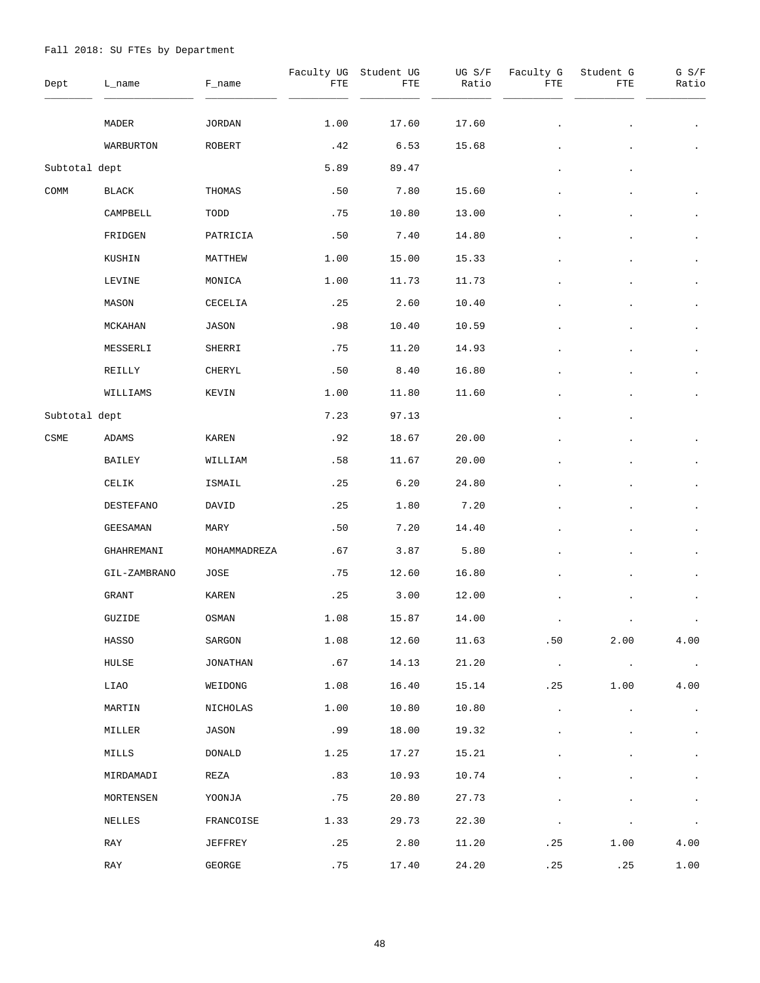| Dept          | L_name       | F_name       | FTE  | Faculty UG Student UG<br>FTE | UG S/F<br>Ratio | Faculty G<br>FTE | Student G<br>FTE      | G S/F<br>Ratio        |
|---------------|--------------|--------------|------|------------------------------|-----------------|------------------|-----------------------|-----------------------|
|               | MADER        | JORDAN       | 1.00 | 17.60                        | 17.60           |                  |                       |                       |
|               | WARBURTON    | ROBERT       | .42  | 6.53                         | 15.68           |                  |                       |                       |
| Subtotal dept |              |              | 5.89 | 89.47                        |                 |                  |                       |                       |
| COMM          | BLACK        | THOMAS       | .50  | 7.80                         | 15.60           |                  |                       |                       |
|               | CAMPBELL     | TODD         | .75  | 10.80                        | 13.00           |                  |                       | $\ddot{\phantom{0}}$  |
|               | FRIDGEN      | PATRICIA     | .50  | 7.40                         | 14.80           |                  |                       |                       |
|               | KUSHIN       | MATTHEW      | 1.00 | 15.00                        | 15.33           |                  |                       | $\bullet$             |
|               | LEVINE       | MONICA       | 1.00 | 11.73                        | 11.73           |                  |                       |                       |
|               | MASON        | CECELIA      | .25  | 2.60                         | 10.40           |                  |                       |                       |
|               | MCKAHAN      | JASON        | .98  | 10.40                        | 10.59           |                  |                       |                       |
|               | MESSERLI     | SHERRI       | .75  | 11.20                        | 14.93           |                  |                       |                       |
|               | REILLY       | CHERYL       | .50  | 8.40                         | 16.80           |                  |                       |                       |
|               | WILLIAMS     | KEVIN        | 1.00 | 11.80                        | 11.60           |                  |                       | $\bullet$             |
| Subtotal dept |              |              | 7.23 | 97.13                        |                 |                  |                       |                       |
| CSME          | ADAMS        | KAREN        | .92  | 18.67                        | 20.00           |                  |                       |                       |
|               | BAILEY       | WILLIAM      | .58  | 11.67                        | 20.00           |                  |                       |                       |
|               | CELIK        | ISMAIL       | .25  | 6.20                         | 24.80           |                  |                       | $\bullet$             |
|               | DESTEFANO    | DAVID        | .25  | 1.80                         | 7.20            |                  |                       | $\bullet$             |
|               | GEESAMAN     | MARY         | .50  | 7.20                         | 14.40           |                  |                       | $\bullet$             |
|               | GHAHREMANI   | MOHAMMADREZA | .67  | 3.87                         | 5.80            |                  |                       |                       |
|               | GIL-ZAMBRANO | JOSE         | .75  | 12.60                        | 16.80           |                  |                       | $\bullet$             |
|               | GRANT        | KAREN        | .25  | 3.00                         | 12.00           |                  |                       |                       |
|               | GUZIDE       | OSMAN        | 1.08 | 15.87                        | 14.00           |                  |                       |                       |
|               | HASSO        | SARGON       | 1.08 | 12.60                        | 11.63           | .50              | 2.00                  | 4.00                  |
|               | HULSE        | JONATHAN     | .67  | 14.13                        | 21.20           | $\sim 100$       | $\sim 100$ km $^{-1}$ | $\sim 100$ km $^{-1}$ |
|               | LIAO         | WEIDONG      | 1.08 | 16.40                        | 15.14           | .25              | 1.00                  | 4.00                  |
|               | MARTIN       | NICHOLAS     | 1.00 | 10.80                        | 10.80           |                  |                       | $\bullet$             |
|               | MILLER       | JASON        | .99  | 18.00                        | 19.32           |                  |                       | $\bullet$             |
|               | MILLS        | DONALD       | 1.25 | 17.27                        | 15.21           |                  |                       | $\bullet$             |
|               | MIRDAMADI    | REZA         | .83  | 10.93                        | 10.74           |                  |                       | $\bullet$             |
|               | MORTENSEN    | YOONJA       | .75  | 20.80                        | 27.73           |                  |                       |                       |
|               | NELLES       | FRANCOISE    | 1.33 | 29.73                        | 22.30           |                  |                       | $\bullet$             |
|               | RAY          | JEFFREY      | .25  | 2.80                         | 11.20           | . 25             | 1.00                  | 4.00                  |
|               | RAY          | GEORGE       | .75  | 17.40                        | 24.20           | .25              | .25                   | 1.00                  |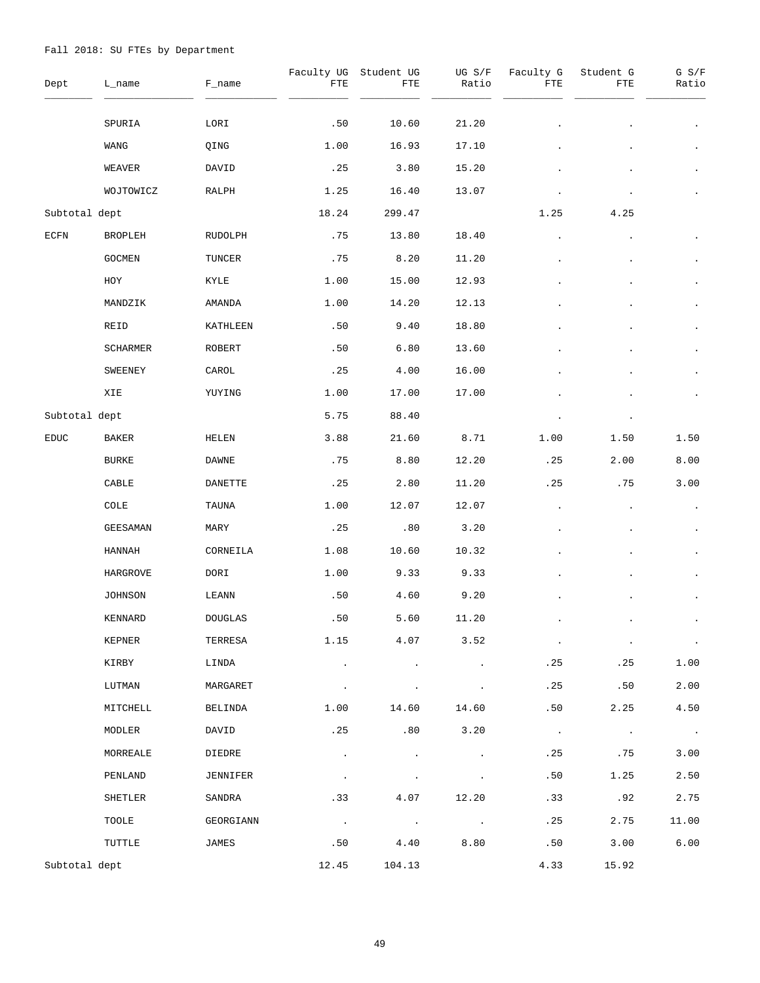| Dept          | L_name          | F_name         | Faculty UG<br>FTE | Student UG<br>FTE    | UG S/F<br>Ratio | Faculty G<br>FTE | Student G<br>FTE | G S/F<br>Ratio        |
|---------------|-----------------|----------------|-------------------|----------------------|-----------------|------------------|------------------|-----------------------|
|               | SPURIA          | LORI           | .50               | 10.60                | 21.20           |                  |                  |                       |
|               | WANG            | QING           | 1.00              | 16.93                | 17.10           |                  |                  |                       |
|               | WEAVER          | DAVID          | .25               | 3.80                 | 15.20           |                  |                  | $\bullet$             |
|               | WOJTOWICZ       | RALPH          | 1.25              | 16.40                | 13.07           |                  |                  |                       |
| Subtotal dept |                 |                | 18.24             | 299.47               |                 | 1.25             | 4.25             |                       |
| ECFN          | BROPLEH         | RUDOLPH        | .75               | 13.80                | 18.40           |                  |                  |                       |
|               | <b>GOCMEN</b>   | TUNCER         | .75               | 8.20                 | 11.20           |                  |                  | $\bullet$             |
|               | HOY             | KYLE           | 1.00              | 15.00                | 12.93           |                  |                  |                       |
|               | MANDZIK         | AMANDA         | 1.00              | 14.20                | 12.13           |                  |                  |                       |
|               | REID            | KATHLEEN       | .50               | 9.40                 | 18.80           |                  |                  |                       |
|               | <b>SCHARMER</b> | ROBERT         | .50               | 6.80                 | 13.60           |                  |                  |                       |
|               | SWEENEY         | CAROL          | .25               | 4.00                 | 16.00           |                  |                  |                       |
|               | XIE             | YUYING         | 1.00              | 17.00                | 17.00           |                  |                  |                       |
| Subtotal dept |                 |                | 5.75              | 88.40                |                 |                  |                  |                       |
| <b>EDUC</b>   | BAKER           | HELEN          | 3.88              | 21.60                | 8.71            | 1.00             | 1.50             | 1.50                  |
|               | <b>BURKE</b>    | DAWNE          | .75               | 8.80                 | 12.20           | .25              | 2.00             | 8.00                  |
|               | CABLE           | DANETTE        | .25               | 2.80                 | 11.20           | .25              | .75              | 3.00                  |
|               | COLE            | TAUNA          | 1.00              | 12.07                | 12.07           |                  |                  |                       |
|               | <b>GEESAMAN</b> | MARY           | .25               | .80                  | 3.20            |                  |                  | $\bullet$             |
|               | HANNAH          | CORNEILA       | 1.08              | 10.60                | 10.32           |                  |                  |                       |
|               | HARGROVE        | DORI           | 1.00              | 9.33                 | 9.33            |                  |                  | $\bullet$             |
|               | JOHNSON         | LEANN          | .50               | 4.60                 | 9.20            |                  |                  |                       |
|               | KENNARD         | <b>DOUGLAS</b> | .50               | 5.60                 | 11.20           |                  |                  |                       |
|               | KEPNER          | TERRESA        | 1.15              | 4.07                 | 3.52            | $\cdot$          | $\cdot$          | $\sim 100$            |
|               | KIRBY           | LINDA          |                   |                      |                 | .25              | .25              | 1.00                  |
|               | LUTMAN          | MARGARET       |                   |                      |                 | .25              | .50              | 2.00                  |
|               | MITCHELL        | BELINDA        | 1.00              | 14.60                | 14.60           | .50              | 2.25             | 4.50                  |
|               | MODLER          | DAVID          | .25               | .80                  | 3.20            | $\sim$ $\sim$    | $\sim$           | $\sim 100$ km $^{-1}$ |
|               | MORREALE        | DIEDRE         | $\cdot$           | $\ddot{\phantom{a}}$ |                 | .25              | .75              | 3.00                  |
|               | PENLAND         | JENNIFER       | $\cdot$           |                      |                 | .50              | 1.25             | 2.50                  |
|               | SHETLER         | SANDRA         | .33               | 4.07                 | 12.20           | .33              | .92              | 2.75                  |
|               | TOOLE           | GEORGIANN      | $\sim$            | $\sim$               | $\sim$          | .25              | 2.75             | 11.00                 |
|               | TUTTLE          | JAMES          | .50               | 4.40                 | 8.80            | .50              | 3.00             | 6.00                  |
| Subtotal dept |                 |                | 12.45             | 104.13               |                 | 4.33             | 15.92            |                       |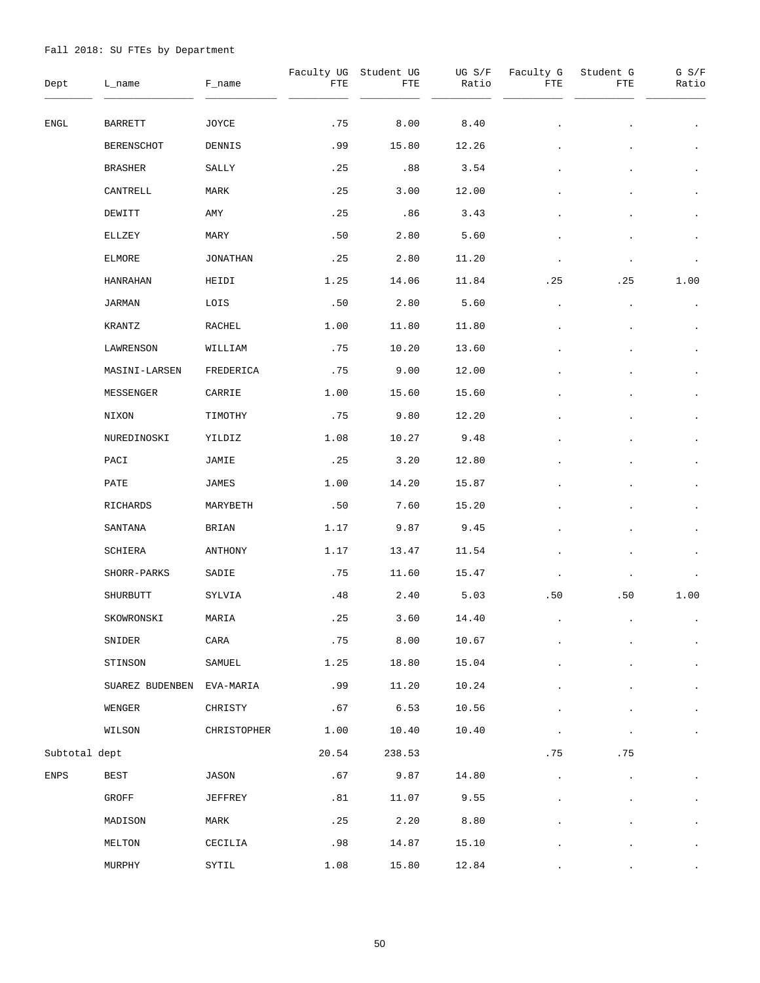| Dept          | L_name          | F_name      | FTE   | Faculty UG Student UG<br>FTE | UG S/F<br>Ratio | Faculty G<br>FTE | Student G<br>FTE | $G$ $S/F$<br>Ratio |
|---------------|-----------------|-------------|-------|------------------------------|-----------------|------------------|------------------|--------------------|
| ENGL          | BARRETT         | JOYCE       | .75   | 8.00                         | 8.40            |                  |                  | $\bullet$          |
|               | BERENSCHOT      | DENNIS      | .99   | 15.80                        | 12.26           |                  |                  | $\bullet$          |
|               | BRASHER         | SALLY       | .25   | .88                          | 3.54            |                  |                  | $\bullet$          |
|               | CANTRELL        | MARK        | .25   | 3.00                         | 12.00           |                  |                  | $\bullet$          |
|               | DEWITT          | AMY         | .25   | .86                          | 3.43            |                  |                  | $\bullet$          |
|               | ELLZEY          | MARY        | .50   | 2.80                         | 5.60            |                  |                  | $\bullet$          |
|               | <b>ELMORE</b>   | JONATHAN    | .25   | 2.80                         | 11.20           |                  |                  | $\bullet$          |
|               | HANRAHAN        | HEIDI       | 1.25  | 14.06                        | 11.84           | .25              | .25              | 1.00               |
|               | JARMAN          | LOIS        | .50   | 2.80                         | 5.60            |                  |                  | $\bullet$          |
|               | KRANTZ          | RACHEL      | 1.00  | 11.80                        | 11.80           |                  |                  |                    |
|               | LAWRENSON       | WILLIAM     | .75   | 10.20                        | 13.60           |                  |                  | $\bullet$          |
|               | MASINI-LARSEN   | FREDERICA   | .75   | 9.00                         | 12.00           |                  |                  |                    |
|               | MESSENGER       | CARRIE      | 1.00  | 15.60                        | 15.60           |                  |                  | $\bullet$          |
|               | NIXON           | TIMOTHY     | .75   | 9.80                         | 12.20           |                  |                  |                    |
|               | NUREDINOSKI     | YILDIZ      | 1.08  | 10.27                        | 9.48            |                  |                  | $\bullet$          |
|               | PACI            | JAMIE       | .25   | 3.20                         | 12.80           |                  |                  |                    |
|               | PATE            | JAMES       | 1.00  | 14.20                        | 15.87           |                  |                  | $\bullet$          |
|               | RICHARDS        | MARYBETH    | .50   | 7.60                         | 15.20           |                  |                  | $\bullet$          |
|               | SANTANA         | BRIAN       | 1.17  | 9.87                         | 9.45            |                  |                  | $\bullet$          |
|               | SCHIERA         | ANTHONY     | 1.17  | 13.47                        | 11.54           |                  |                  |                    |
|               | SHORR-PARKS     | SADIE       | . 75  | 11.60                        | 15.47           |                  |                  |                    |
|               | SHURBUTT        | SYLVIA      | .48   | 2.40                         | 5.03            | .50              | .50              | 1.00               |
|               | SKOWRONSKI      | MARIA       | .25   | 3.60                         | 14.40           |                  |                  |                    |
|               | SNIDER          | CARA        | .75   | 8.00                         | 10.67           |                  |                  | $\bullet$          |
|               | STINSON         | SAMUEL      | 1.25  | 18.80                        | 15.04           |                  |                  | $\bullet$          |
|               | SUAREZ BUDENBEN | EVA-MARIA   | .99   | 11.20                        | 10.24           |                  |                  | $\bullet$          |
|               | WENGER          | CHRISTY     | .67   | 6.53                         | 10.56           |                  |                  | $\bullet$          |
|               | WILSON          | CHRISTOPHER | 1.00  | 10.40                        | 10.40           |                  |                  | $\bullet$          |
| Subtotal dept |                 |             | 20.54 | 238.53                       |                 | .75              | .75              |                    |
| <b>ENPS</b>   | BEST            | JASON       | .67   | 9.87                         | 14.80           |                  |                  | $\bullet$          |
|               | GROFF           | JEFFREY     | .81   | 11.07                        | 9.55            |                  |                  | $\bullet$          |
|               | MADISON         | MARK        | .25   | 2.20                         | 8.80            |                  |                  | $\bullet$          |
|               | MELTON          | CECILIA     | .98   | 14.87                        | 15.10           |                  |                  | $\bullet$          |
|               | MURPHY          | SYTIL       | 1.08  | 15.80                        | 12.84           |                  |                  |                    |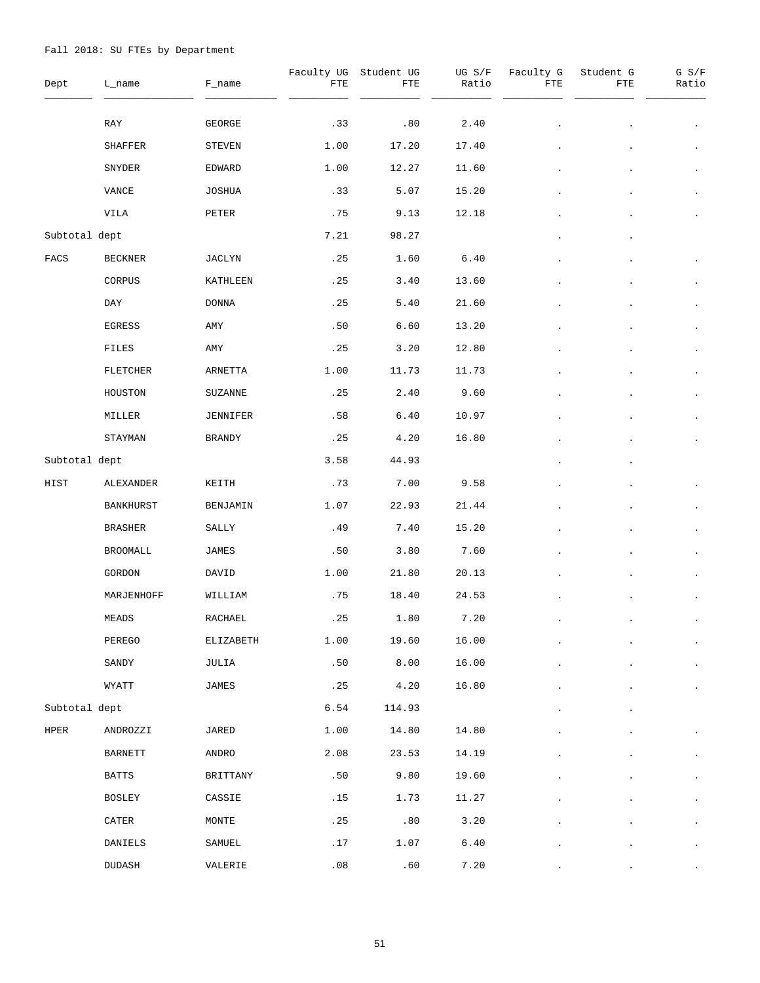| Dept               | L_name          | F_name        | Faculty UG<br>FTE | Student UG<br>${\tt FTE}$ | UG S/F<br>Ratio | Faculty G<br>FTE | Student G<br>FTE | $G$ $S/F$<br>Ratio |
|--------------------|-----------------|---------------|-------------------|---------------------------|-----------------|------------------|------------------|--------------------|
|                    | RAY             | GEORGE        | .33               | .80                       | 2.40            |                  |                  |                    |
|                    | SHAFFER         | STEVEN        | 1.00              | 17.20                     | 17.40           |                  |                  |                    |
|                    | SNYDER          | EDWARD        | 1.00              | 12.27                     | 11.60           |                  |                  | $\bullet$          |
|                    | VANCE           | JOSHUA        | .33               | 5.07                      | 15.20           |                  |                  | $\bullet$          |
|                    | VILA            | PETER         | .75               | 9.13                      | 12.18           |                  |                  |                    |
| Subtotal dept      |                 |               | 7.21              | 98.27                     |                 |                  |                  |                    |
| $_{\mathrm{FACS}}$ | <b>BECKNER</b>  | JACLYN        | .25               | 1.60                      | 6.40            |                  |                  |                    |
|                    | CORPUS          | KATHLEEN      | .25               | 3.40                      | 13.60           |                  |                  |                    |
|                    | DAY             | <b>DONNA</b>  | .25               | 5.40                      | 21.60           |                  |                  | $\bullet$          |
|                    | EGRESS          | AMY           | .50               | 6.60                      | 13.20           |                  |                  | $\bullet$          |
|                    | FILES           | AMY           | .25               | 3.20                      | 12.80           |                  |                  | $\bullet$          |
|                    | <b>FLETCHER</b> | ARNETTA       | 1.00              | 11.73                     | 11.73           |                  |                  | $\bullet$          |
|                    | HOUSTON         | SUZANNE       | .25               | 2.40                      | 9.60            |                  |                  | $\bullet$          |
|                    | MILLER          | JENNIFER      | .58               | 6.40                      | 10.97           |                  |                  | $\cdot$            |
|                    | STAYMAN         | <b>BRANDY</b> | .25               | 4.20                      | 16.80           |                  |                  | $\bullet$          |
| Subtotal dept      |                 |               | 3.58              | 44.93                     |                 |                  |                  |                    |
| HIST               | ALEXANDER       | KEITH         | .73               | 7.00                      | 9.58            |                  |                  |                    |
|                    | BANKHURST       | BENJAMIN      | 1.07              | 22.93                     | 21.44           |                  |                  |                    |
|                    | <b>BRASHER</b>  | SALLY         | .49               | 7.40                      | 15.20           |                  |                  | $\bullet$          |
|                    | BROOMALL        | JAMES         | .50               | 3.80                      | 7.60            |                  |                  |                    |
|                    | GORDON          | DAVID         | 1.00              | 21.80                     | 20.13           |                  |                  |                    |
|                    | MARJENHOFF      | WILLIAM       | .75               | 18.40                     | 24.53           |                  |                  |                    |
|                    | MEADS           | RACHAEL       | .25               | 1.80                      | 7.20            |                  |                  |                    |
|                    | PEREGO          | ELIZABETH     | 1.00              | 19.60                     | 16.00           |                  |                  | $\bullet$          |
|                    | SANDY           | JULIA         | .50               | 8.00                      | 16.00           |                  |                  |                    |
|                    | WYATT           | JAMES         | .25               | 4.20                      | 16.80           |                  |                  |                    |
| Subtotal dept      |                 |               | 6.54              | 114.93                    |                 |                  |                  |                    |
| HPER               | ANDROZZI        | JARED         | 1.00              | 14.80                     | 14.80           |                  |                  |                    |
|                    | <b>BARNETT</b>  | ANDRO         | 2.08              | 23.53                     | 14.19           |                  |                  |                    |
|                    | <b>BATTS</b>    | BRITTANY      | .50               | 9.80                      | 19.60           |                  |                  | $\bullet$          |
|                    | BOSLEY          | CASSIE        | .15               | 1.73                      | 11.27           |                  |                  |                    |
|                    | CATER           | MONTE         | .25               | .80                       | 3.20            |                  |                  | $\bullet$          |
|                    | DANIELS         | SAMUEL        | .17               | 1.07                      | $6.40\,$        |                  |                  |                    |
|                    | DUDASH          | VALERIE       | .08               | .60                       | 7.20            |                  |                  |                    |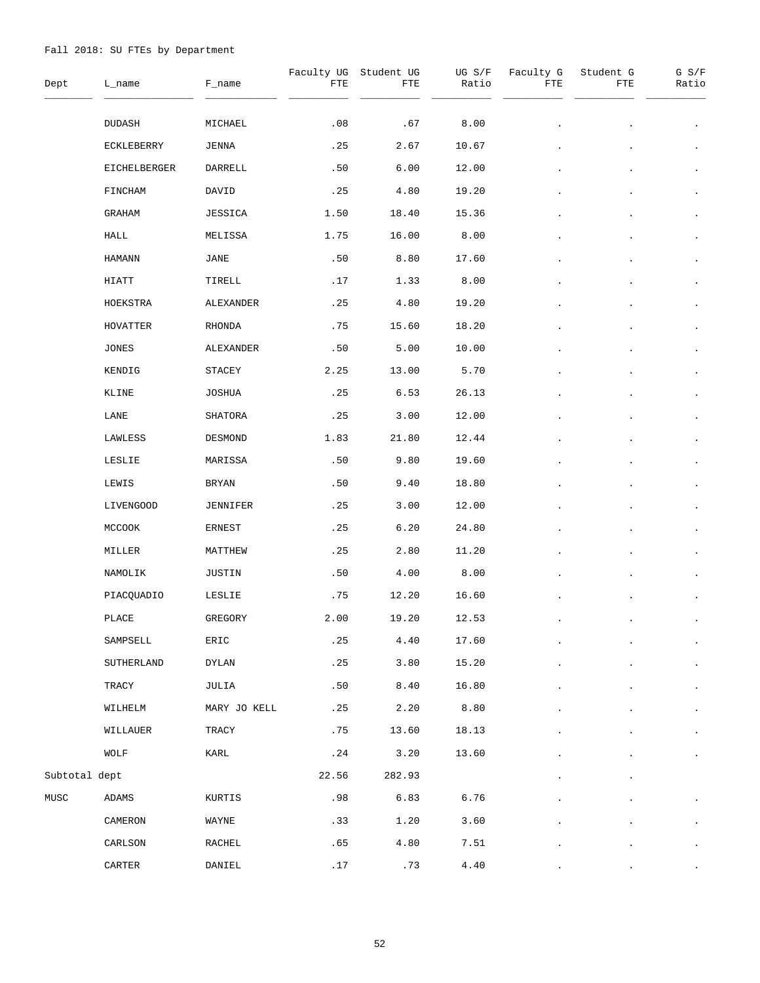| Dept          | L_name           | F_name        | FTE   | Faculty UG Student UG<br>FTE | UG S/F<br>Ratio | Faculty G<br>FTE | Student G<br>FTE | G S/F<br>Ratio |
|---------------|------------------|---------------|-------|------------------------------|-----------------|------------------|------------------|----------------|
|               | DUDASH           | MICHAEL       | .08   | .67                          | 8.00            |                  |                  |                |
|               | ECKLEBERRY       | JENNA         | .25   | 2.67                         | 10.67           |                  |                  |                |
|               | EICHELBERGER     | DARRELL       | .50   | 6.00                         | 12.00           |                  |                  | $\bullet$      |
|               | FINCHAM          | DAVID         | .25   | 4.80                         | 19.20           |                  |                  | $\bullet$      |
|               | GRAHAM           | JESSICA       | 1.50  | 18.40                        | 15.36           |                  |                  | $\bullet$      |
|               | HALL             | MELISSA       | 1.75  | 16.00                        | 8.00            |                  |                  | $\bullet$      |
|               | <b>HAMANN</b>    | JANE          | .50   | 8.80                         | 17.60           |                  |                  | $\bullet$      |
|               | HIATT            | TIRELL        | .17   | 1.33                         | 8.00            |                  |                  | $\bullet$      |
|               | HOEKSTRA         | ALEXANDER     | .25   | 4.80                         | 19.20           |                  |                  | $\bullet$      |
|               | HOVATTER         | RHONDA        | .75   | 15.60                        | 18.20           |                  |                  | $\bullet$      |
|               | <b>JONES</b>     | ALEXANDER     | .50   | 5.00                         | 10.00           |                  |                  | $\bullet$      |
|               | KENDIG           | STACEY        | 2.25  | 13.00                        | 5.70            |                  |                  | $\bullet$      |
|               | KLINE            | <b>JOSHUA</b> | .25   | 6.53                         | 26.13           |                  |                  | $\bullet$      |
|               | LANE             | SHATORA       | .25   | 3.00                         | 12.00           |                  |                  | $\bullet$      |
|               | LAWLESS          | DESMOND       | 1.83  | 21.80                        | 12.44           |                  |                  | $\bullet$      |
|               | LESLIE           | MARISSA       | .50   | 9.80                         | 19.60           |                  |                  | $\bullet$      |
|               | LEWIS            | BRYAN         | .50   | 9.40                         | 18.80           |                  |                  | $\bullet$      |
|               | <b>LIVENGOOD</b> | JENNIFER      | .25   | 3.00                         | 12.00           |                  |                  |                |
|               | MCCOOK           | ERNEST        | .25   | 6.20                         | 24.80           |                  |                  | $\bullet$      |
|               | MILLER           | MATTHEW       | .25   | 2.80                         | 11.20           |                  |                  |                |
|               | NAMOLIK          | JUSTIN        | .50   | 4.00                         | 8.00            |                  |                  |                |
|               | PIACQUADIO       | LESLIE        | .75   | 12.20                        | 16.60           |                  |                  |                |
|               | PLACE            | GREGORY       | 2.00  | 19.20                        | 12.53           |                  |                  |                |
|               | SAMPSELL         | ERIC          | .25   | 4.40                         | 17.60           |                  |                  | $\bullet$      |
|               | SUTHERLAND       | DYLAN         | .25   | 3.80                         | 15.20           |                  |                  |                |
|               | TRACY            | JULIA         | .50   | 8.40                         | 16.80           |                  |                  | $\bullet$      |
|               | WILHELM          | MARY JO KELL  | .25   | 2.20                         | 8.80            |                  |                  |                |
|               | WILLAUER         | TRACY         | .75   | 13.60                        | 18.13           |                  |                  | $\bullet$      |
|               | WOLF             | KARL          | .24   | 3.20                         | 13.60           |                  |                  |                |
| Subtotal dept |                  |               | 22.56 | 282.93                       |                 |                  |                  |                |
| MUSC          | ADAMS            | KURTIS        | .98   | 6.83                         | 6.76            |                  |                  |                |
|               | CAMERON          | WAYNE         | .33   | 1.20                         | 3.60            |                  |                  | $\bullet$      |
|               | CARLSON          | RACHEL        | .65   | 4.80                         | 7.51            |                  |                  |                |
|               | CARTER           | DANIEL        | .17   | .73                          | $4\,.40$        |                  |                  |                |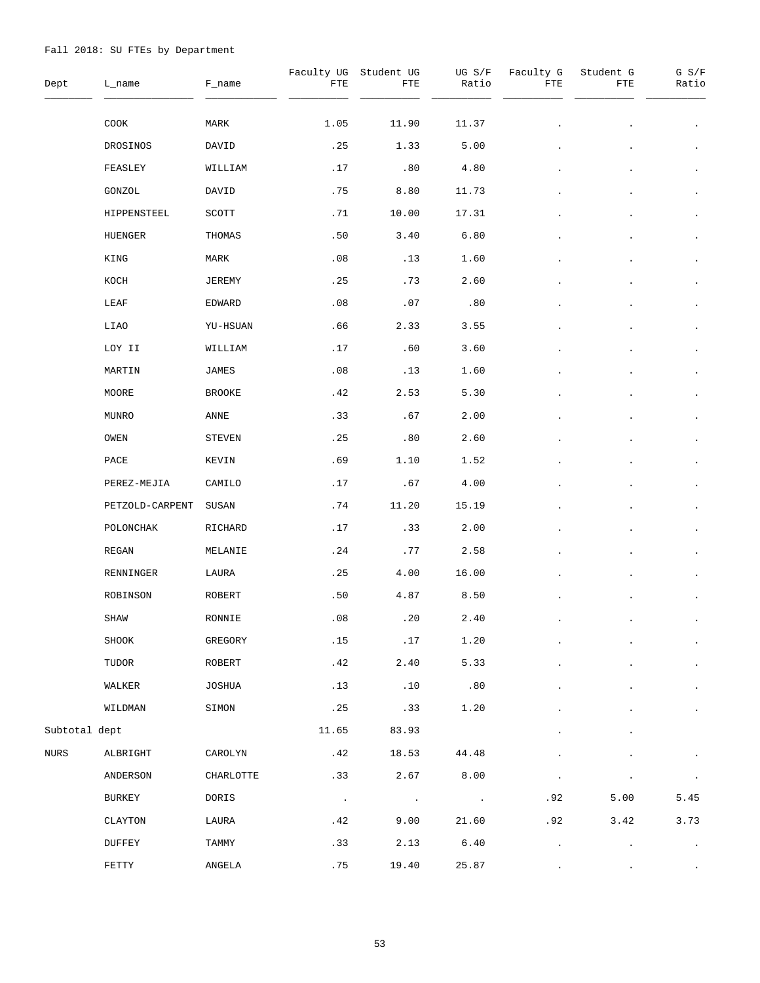| Dept          | L_name          | F_name        | FTE        | Faculty UG Student UG<br>FTE | UG S/F<br>Ratio          | Faculty G<br>FTE | Student G<br>FTE | $G$ $S/F$<br>Ratio   |
|---------------|-----------------|---------------|------------|------------------------------|--------------------------|------------------|------------------|----------------------|
|               | COOK            | MARK          | 1.05       | 11.90                        | 11.37                    |                  |                  |                      |
|               | DROSINOS        | DAVID         | .25        | 1.33                         | 5.00                     |                  |                  | $\bullet$            |
|               | FEASLEY         | WILLIAM       | .17        | .80                          | 4.80                     |                  |                  | $\bullet$            |
|               | GONZOL          | DAVID         | .75        | 8.80                         | 11.73                    |                  |                  | $\bullet$            |
|               | HIPPENSTEEL     | SCOTT         | .71        | 10.00                        | 17.31                    |                  |                  | $\bullet$            |
|               | HUENGER         | THOMAS        | .50        | 3.40                         | 6.80                     |                  |                  | $\ddot{\phantom{0}}$ |
|               | $\verb KING $   | MARK          | .08        | .13                          | 1.60                     |                  |                  | $\bullet$            |
|               | KOCH            | JEREMY        | .25        | .73                          | 2.60                     |                  |                  | $\bullet$            |
|               | LEAF            | EDWARD        | .08        | .07                          | .80                      |                  |                  | $\cdot$              |
|               | LIAO            | YU-HSUAN      | .66        | 2.33                         | 3.55                     |                  |                  | $\ddot{\phantom{0}}$ |
|               | LOY II          | WILLIAM       | .17        | .60                          | 3.60                     |                  |                  | $\cdot$              |
|               | MARTIN          | JAMES         | .08        | .13                          | 1.60                     |                  |                  |                      |
|               | MOORE           | <b>BROOKE</b> | .42        | 2.53                         | 5.30                     |                  |                  | $\ddot{\phantom{0}}$ |
|               | MUNRO           | ANNE          | .33        | .67                          | 2.00                     |                  |                  |                      |
|               | OWEN            | <b>STEVEN</b> | .25        | .80                          | 2.60                     |                  |                  | $\ddot{\phantom{0}}$ |
|               | $\texttt{PACE}$ | KEVIN         | .69        | 1.10                         | 1.52                     |                  |                  |                      |
|               | PEREZ-MEJIA     | CAMILO        | .17        | .67                          | 4.00                     |                  |                  | $\cdot$              |
|               | PETZOLD-CARPENT | SUSAN         | .74        | 11.20                        | 15.19                    |                  |                  |                      |
|               | POLONCHAK       | RICHARD       | .17        | .33                          | 2.00                     |                  |                  |                      |
|               | ${\tt REGAN}$   | MELANIE       | .24        | .77                          | 2.58                     |                  |                  |                      |
|               | RENNINGER       | LAURA         | .25        | 4.00                         | 16.00                    |                  |                  |                      |
|               | ROBINSON        | ROBERT        | .50        | 4.87                         | 8.50                     |                  |                  |                      |
|               | SHAW            | RONNIE        | .08        | .20                          | 2.40                     |                  |                  |                      |
|               | SHOOK           | GREGORY       | .15        | .17                          | 1.20                     |                  |                  | $\bullet$ .          |
|               | TUDOR           | ROBERT        | .42        | 2.40                         | 5.33                     |                  |                  | $\bullet$            |
|               | WALKER          | JOSHUA        | .13        | .10                          | .80                      |                  |                  | $\bullet$            |
|               | WILDMAN         | SIMON         | .25        | .33                          | 1.20                     |                  |                  |                      |
| Subtotal dept |                 |               | 11.65      | 83.93                        |                          |                  |                  |                      |
| NURS          | ALBRIGHT        | CAROLYN       | .42        | 18.53                        | 44.48                    |                  |                  |                      |
|               | ANDERSON        | CHARLOTTE     | .33        | 2.67                         | 8.00                     |                  |                  |                      |
|               | <b>BURKEY</b>   | DORIS         | $\sim 100$ | $\sim 100$ km $^{-1}$        | <b>Contract Contract</b> | .92              | 5.00             | 5.45                 |
|               | CLAYTON         | LAURA         | .42        | 9.00                         | 21.60                    | .92              | 3.42             | 3.73                 |
|               | <b>DUFFEY</b>   | TAMMY         | .33        | 2.13                         | 6.40                     |                  |                  | $\sim 10^{-1}$       |
|               | FETTY           | ANGELA        | .75        | 19.40                        | 25.87                    |                  |                  |                      |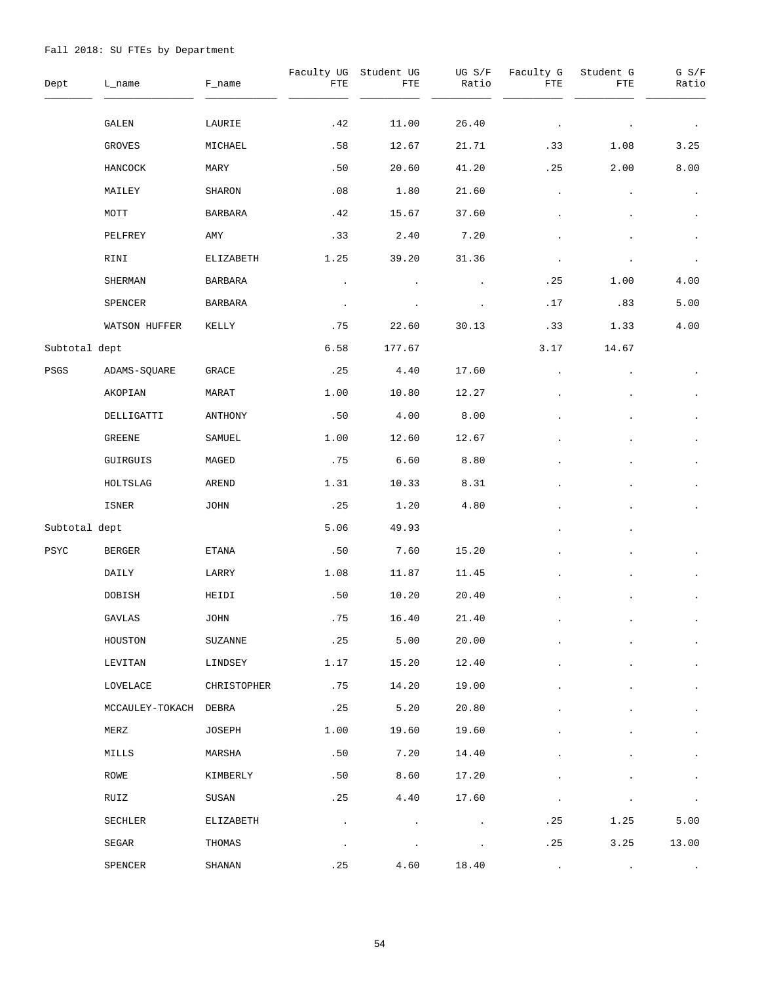| Dept          | L_name                | F_name         | Faculty UG<br>FTE       | Student UG<br>FTE | UG S/F<br>Ratio | Faculty G<br>FTE | Student G<br>FTE | G S/F<br>Ratio       |
|---------------|-----------------------|----------------|-------------------------|-------------------|-----------------|------------------|------------------|----------------------|
|               | GALEN                 | LAURIE         | .42                     | 11.00             | 26.40           |                  |                  |                      |
|               | GROVES                | MICHAEL        | .58                     | 12.67             | 21.71           | .33              | 1.08             | 3.25                 |
|               | HANCOCK               | MARY           | .50                     | 20.60             | 41.20           | .25              | 2.00             | 8.00                 |
|               | MAILEY                | SHARON         | .08                     | 1.80              | 21.60           | $\bullet$        |                  |                      |
|               | MOTT                  | <b>BARBARA</b> | .42                     | 15.67             | 37.60           |                  |                  | $\bullet$            |
|               | PELFREY               | AMY            | .33                     | 2.40              | 7.20            |                  |                  |                      |
|               | RINI                  | ELIZABETH      | 1.25                    | 39.20             | 31.36           |                  |                  |                      |
|               | SHERMAN               | BARBARA        |                         |                   |                 | .25              | 1.00             | 4.00                 |
|               | SPENCER               | BARBARA        |                         |                   |                 | .17              | .83              | 5.00                 |
|               | WATSON HUFFER         | KELLY          | .75                     | 22.60             | 30.13           | .33              | 1.33             | 4.00                 |
| Subtotal dept |                       |                | 6.58                    | 177.67            |                 | 3.17             | 14.67            |                      |
| PSGS          | ADAMS-SQUARE          | GRACE          | .25                     | 4.40              | 17.60           |                  |                  |                      |
|               | AKOPIAN               | MARAT          | 1.00                    | 10.80             | 12.27           |                  |                  | $\bullet$            |
|               | DELLIGATTI            | ANTHONY        | .50                     | 4.00              | 8.00            |                  |                  |                      |
|               | GREENE                | SAMUEL         | 1.00                    | 12.60             | 12.67           |                  |                  | $\bullet$            |
|               | GUIRGUIS              | MAGED          | .75                     | 6.60              | 8.80            |                  |                  | $\bullet$            |
|               | HOLTSLAG              | AREND          | 1.31                    | 10.33             | 8.31            |                  |                  | $\bullet$            |
|               | ISNER                 | JOHN           | .25                     | 1.20              | 4.80            |                  |                  |                      |
| Subtotal dept |                       |                | 5.06                    | 49.93             |                 |                  |                  |                      |
| $_{\rm PSYC}$ | <b>BERGER</b>         | ETANA          | .50                     | 7.60              | 15.20           |                  |                  |                      |
|               | DAILY                 | LARRY          | 1.08                    | 11.87             | 11.45           |                  |                  | $\bullet$            |
|               | DOBISH                | HEIDI          | .50                     | 10.20             | 20.40           |                  |                  |                      |
|               | GAVLAS                | JOHN           | $\boldsymbol{\cdot}$ 75 | 16.40             | 21.40           |                  |                  |                      |
|               | HOUSTON               | <b>SUZANNE</b> | .25                     | 5.00              | 20.00           |                  |                  | $\bullet$            |
|               | LEVITAN               | LINDSEY        | 1.17                    | 15.20             | 12.40           |                  |                  | $\blacksquare$       |
|               | LOVELACE              | CHRISTOPHER    | .75                     | 14.20             | 19.00           |                  |                  | $\ddot{\phantom{0}}$ |
|               | MCCAULEY-TOKACH DEBRA |                | .25                     | 5.20              | 20.80           |                  |                  | $\ddot{\phantom{0}}$ |
|               | MERZ                  | JOSEPH         | 1.00                    | 19.60             | 19.60           |                  |                  | $\blacksquare$       |
|               | MILLS                 | MARSHA         | .50                     | 7.20              | 14.40           |                  |                  |                      |
|               | ROWE                  | KIMBERLY       | .50                     | 8.60              | 17.20           |                  |                  |                      |
|               | RUIZ                  | SUSAN          | .25                     | 4.40              | 17.60           |                  |                  | $\bullet$            |
|               | SECHLER               | ELIZABETH      |                         |                   |                 | .25              | 1.25             | 5.00                 |
|               | SEGAR                 | THOMAS         |                         |                   |                 | .25              | 3.25             | 13.00                |
|               | SPENCER               | SHANAN         | .25                     | 4.60              | 18.40           |                  |                  |                      |